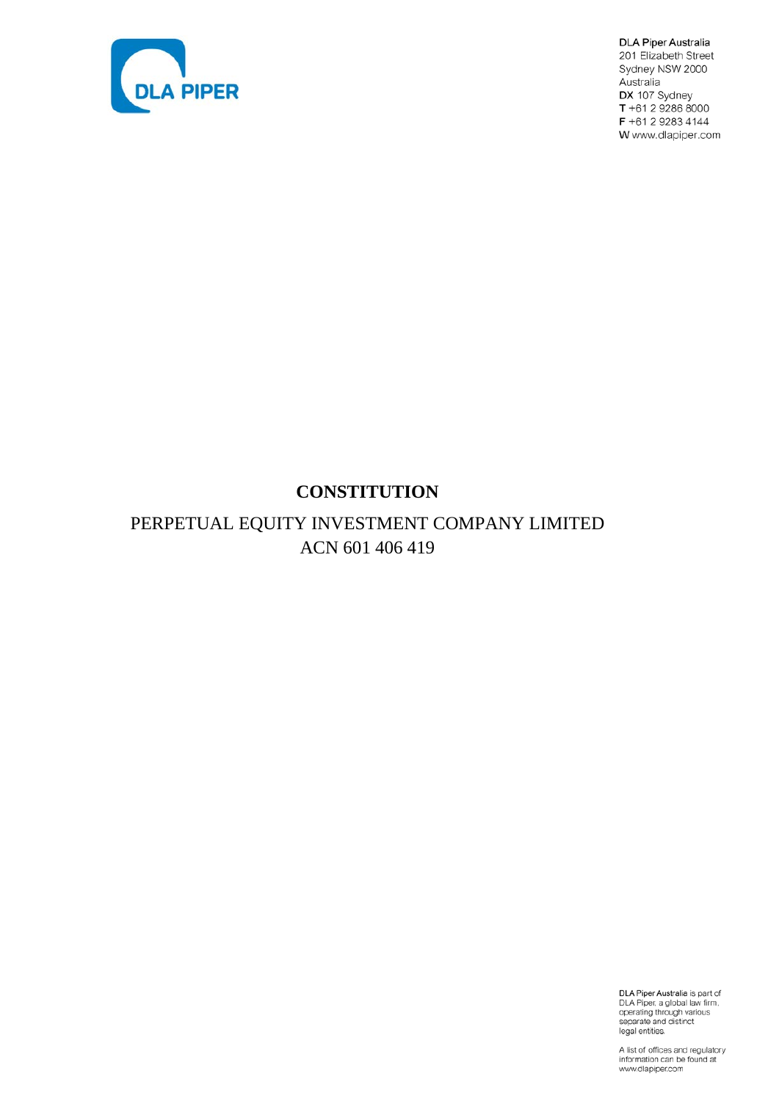

**DLA Piper Australia** 201 Elizabeth Street Sydney NSW 2000 Australia DX 107 Sydney T +61 2 9286 8000 F +61 2 9283 4144 W www.dlapiper.com

# **CONSTITUTION**

# PERPETUAL EQUITY INVESTMENT COMPANY LIMITED ACN 601 406 419

DLA Piper Australia is part of<br>DLA Piper, a global law firm,<br>operating through various<br>separate and distinct<br>legal entities.

A list of offices and regulatory information can be found at<br>www.dlapiper.com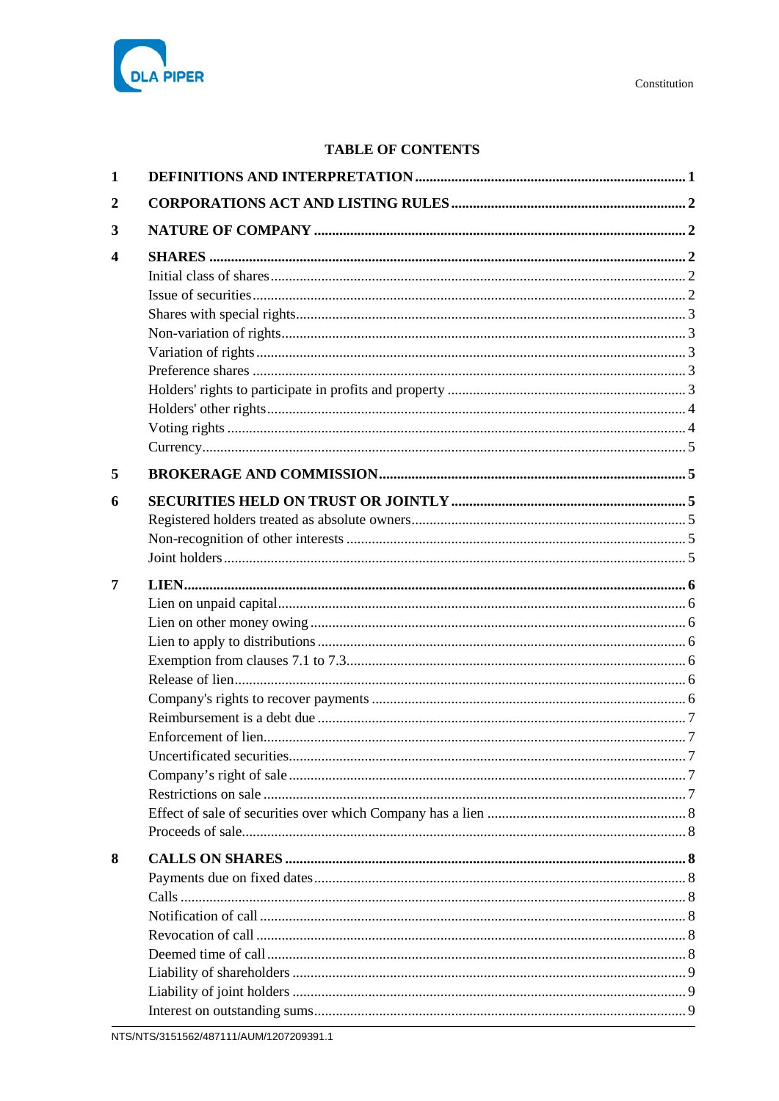

# **TABLE OF CONTENTS**

| 1              |  |
|----------------|--|
| $\overline{2}$ |  |
| 3              |  |
| 4              |  |
| 5              |  |
| 6              |  |
| 7              |  |
| 8              |  |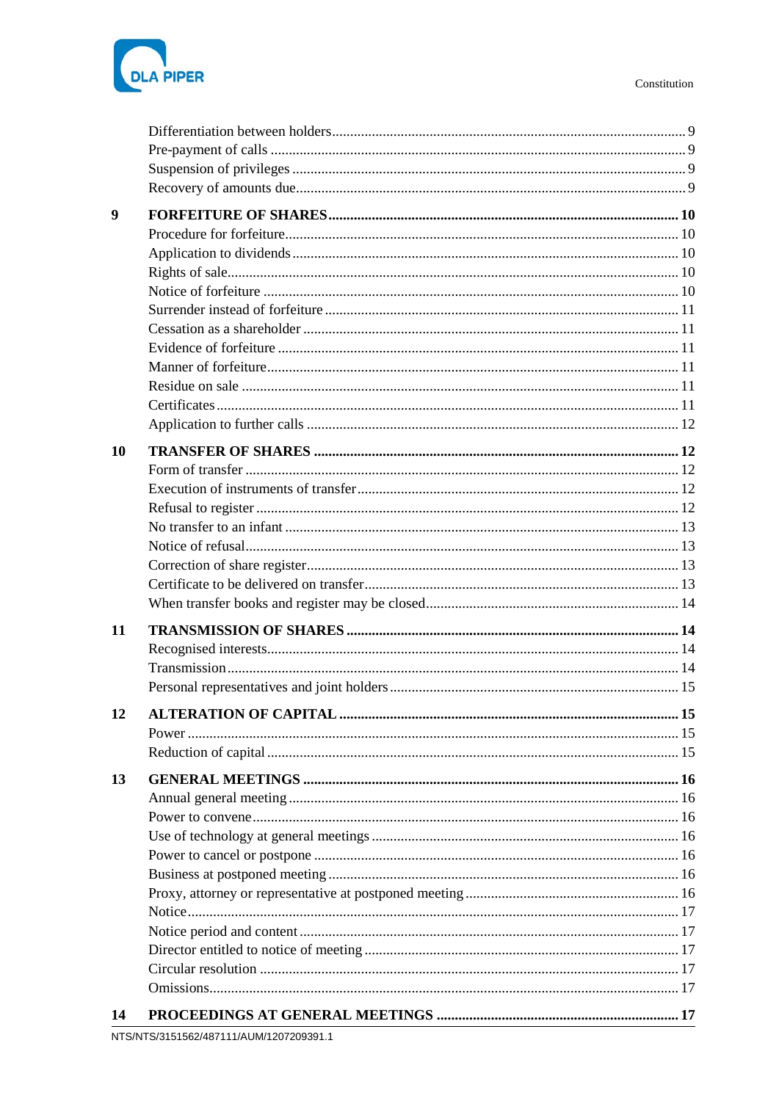

| 9  |    |
|----|----|
|    |    |
|    |    |
|    |    |
|    |    |
|    |    |
|    |    |
|    |    |
|    |    |
|    |    |
|    |    |
|    |    |
|    |    |
| 10 |    |
|    |    |
|    |    |
|    |    |
|    |    |
|    |    |
|    |    |
|    |    |
|    |    |
|    |    |
| 11 |    |
|    |    |
|    |    |
|    |    |
| 12 | 15 |
|    |    |
|    |    |
| 13 |    |
|    |    |
|    |    |
|    |    |
|    |    |
|    |    |
|    |    |
|    |    |
|    |    |
|    |    |
|    |    |
|    |    |
|    |    |
| 14 |    |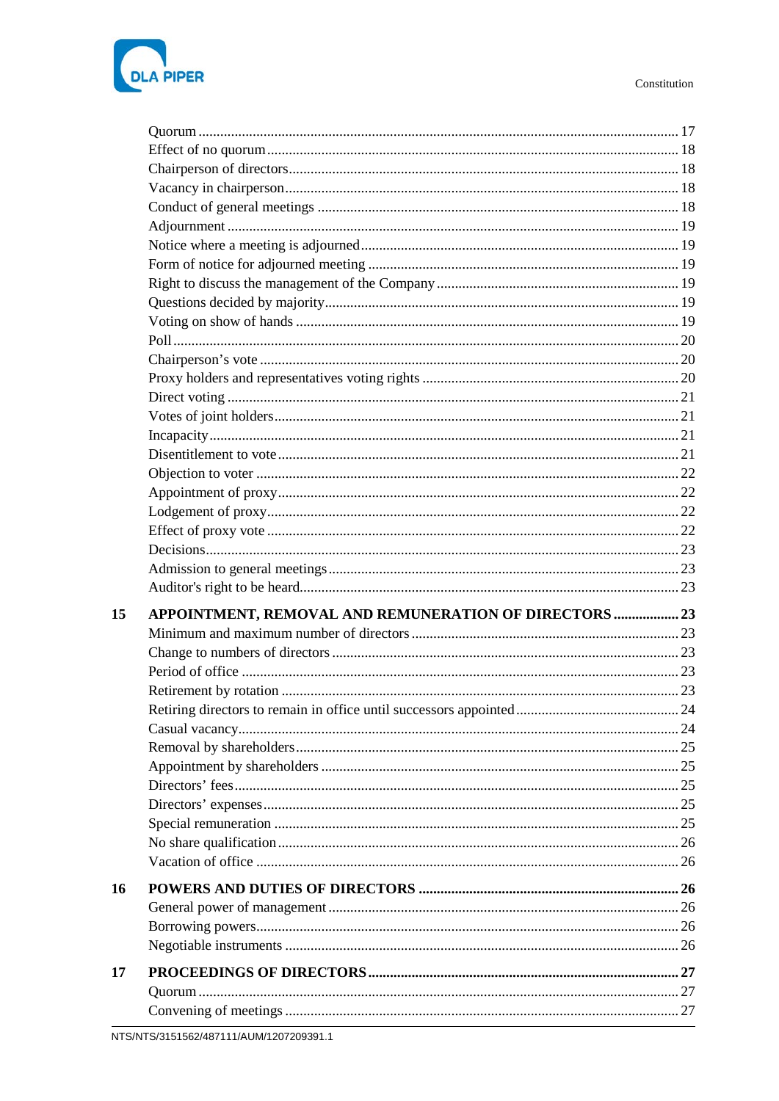

| 15 |                                                        |  |
|----|--------------------------------------------------------|--|
|    | APPOINTMENT, REMOVAL AND REMUNERATION OF DIRECTORS  23 |  |
|    |                                                        |  |
|    |                                                        |  |
|    |                                                        |  |
|    |                                                        |  |
|    |                                                        |  |
|    |                                                        |  |
|    |                                                        |  |
|    |                                                        |  |
|    |                                                        |  |
|    |                                                        |  |
|    |                                                        |  |
|    |                                                        |  |
|    |                                                        |  |
| 16 |                                                        |  |
|    |                                                        |  |
|    |                                                        |  |
|    |                                                        |  |
| 17 |                                                        |  |
|    |                                                        |  |
|    |                                                        |  |
|    |                                                        |  |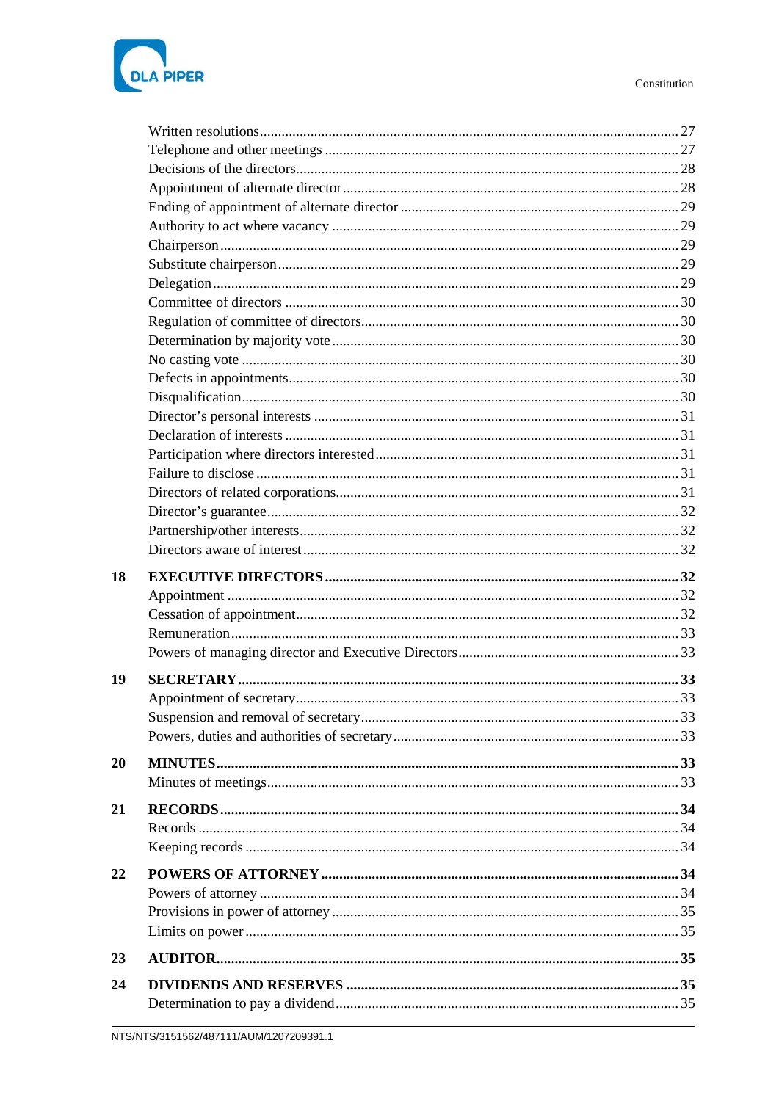

| 18 |  |
|----|--|
|    |  |
|    |  |
|    |  |
|    |  |
| 19 |  |
|    |  |
|    |  |
|    |  |
|    |  |
| 20 |  |
|    |  |
| 21 |  |
|    |  |
|    |  |
| 22 |  |
|    |  |
|    |  |
|    |  |
|    |  |
| 23 |  |
| 24 |  |
|    |  |
|    |  |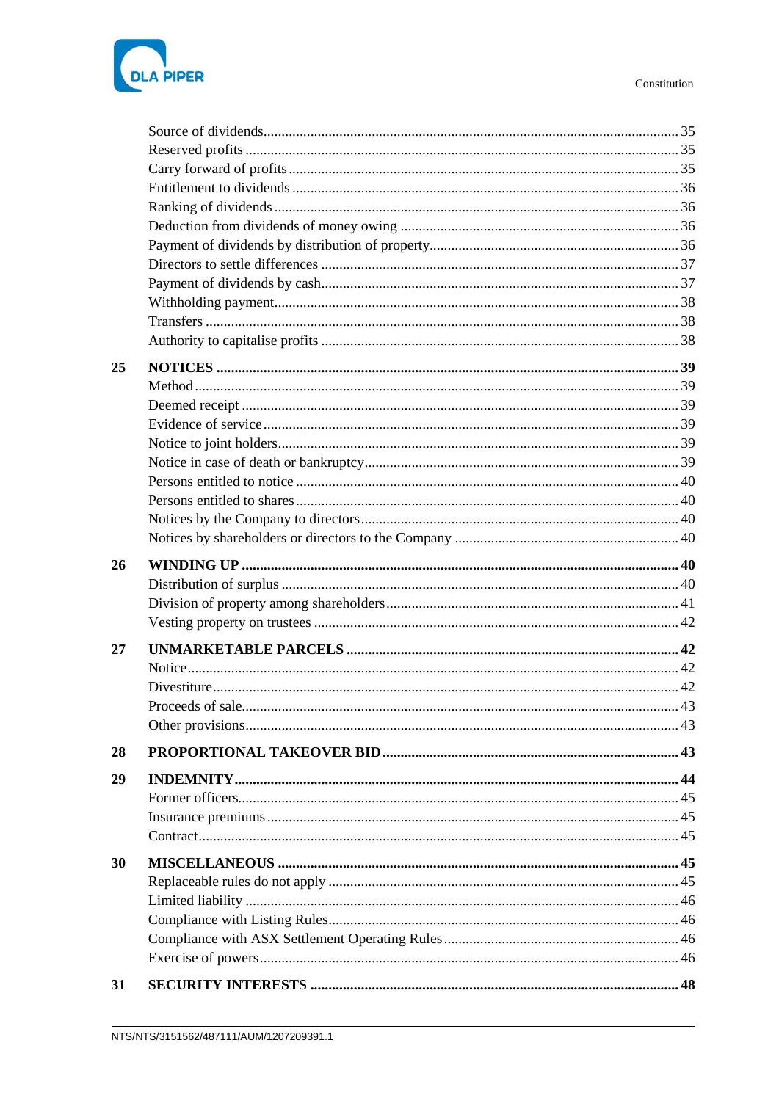



| 25 |  |
|----|--|
|    |  |
|    |  |
|    |  |
|    |  |
|    |  |
|    |  |
|    |  |
|    |  |
|    |  |
|    |  |
| 26 |  |
|    |  |
|    |  |
|    |  |
| 27 |  |
|    |  |
|    |  |
|    |  |
|    |  |
| 28 |  |
| 29 |  |
|    |  |
|    |  |
|    |  |
|    |  |
| 30 |  |
|    |  |
|    |  |
|    |  |
|    |  |
|    |  |
| 31 |  |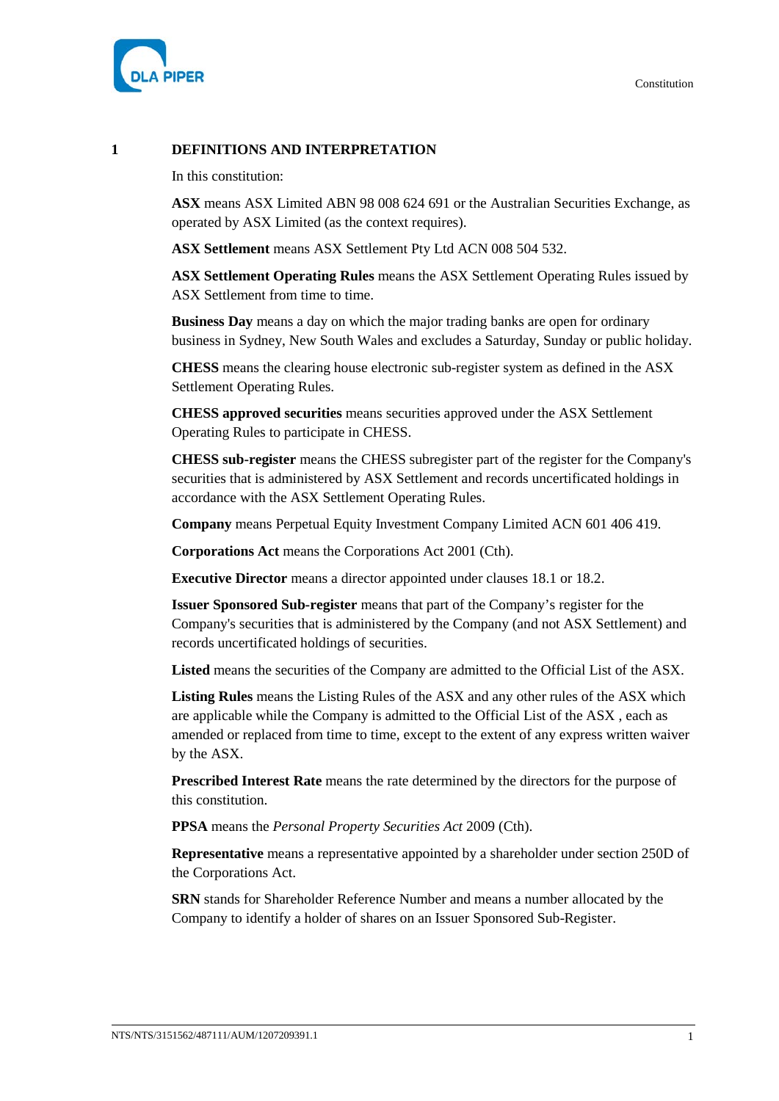

# **1 DEFINITIONS AND INTERPRETATION**

In this constitution:

**ASX** means ASX Limited ABN 98 008 624 691 or the Australian Securities Exchange, as operated by ASX Limited (as the context requires).

**ASX Settlement** means ASX Settlement Pty Ltd ACN 008 504 532.

**ASX Settlement Operating Rules** means the ASX Settlement Operating Rules issued by ASX Settlement from time to time.

**Business Day** means a day on which the major trading banks are open for ordinary business in Sydney, New South Wales and excludes a Saturday, Sunday or public holiday.

**CHESS** means the clearing house electronic sub-register system as defined in the ASX Settlement Operating Rules.

**CHESS approved securities** means securities approved under the ASX Settlement Operating Rules to participate in CHESS.

**CHESS sub-register** means the CHESS subregister part of the register for the Company's securities that is administered by ASX Settlement and records uncertificated holdings in accordance with the ASX Settlement Operating Rules.

**Company** means Perpetual Equity Investment Company Limited ACN 601 406 419.

**Corporations Act** means the Corporations Act 2001 (Cth).

**Executive Director** means a director appointed under clauses [18.1](#page-37-0) or [18.2.](#page-37-1)

**Issuer Sponsored Sub-register** means that part of the Company's register for the Company's securities that is administered by the Company (and not ASX Settlement) and records uncertificated holdings of securities.

**Listed** means the securities of the Company are admitted to the Official List of the ASX.

**Listing Rules** means the Listing Rules of the ASX and any other rules of the ASX which are applicable while the Company is admitted to the Official List of the ASX , each as amended or replaced from time to time, except to the extent of any express written waiver by the ASX.

**Prescribed Interest Rate** means the rate determined by the directors for the purpose of this constitution.

**PPSA** means the *Personal Property Securities Act* 2009 (Cth).

**Representative** means a representative appointed by a shareholder under section 250D of the Corporations Act.

**SRN** stands for Shareholder Reference Number and means a number allocated by the Company to identify a holder of shares on an Issuer Sponsored Sub-Register.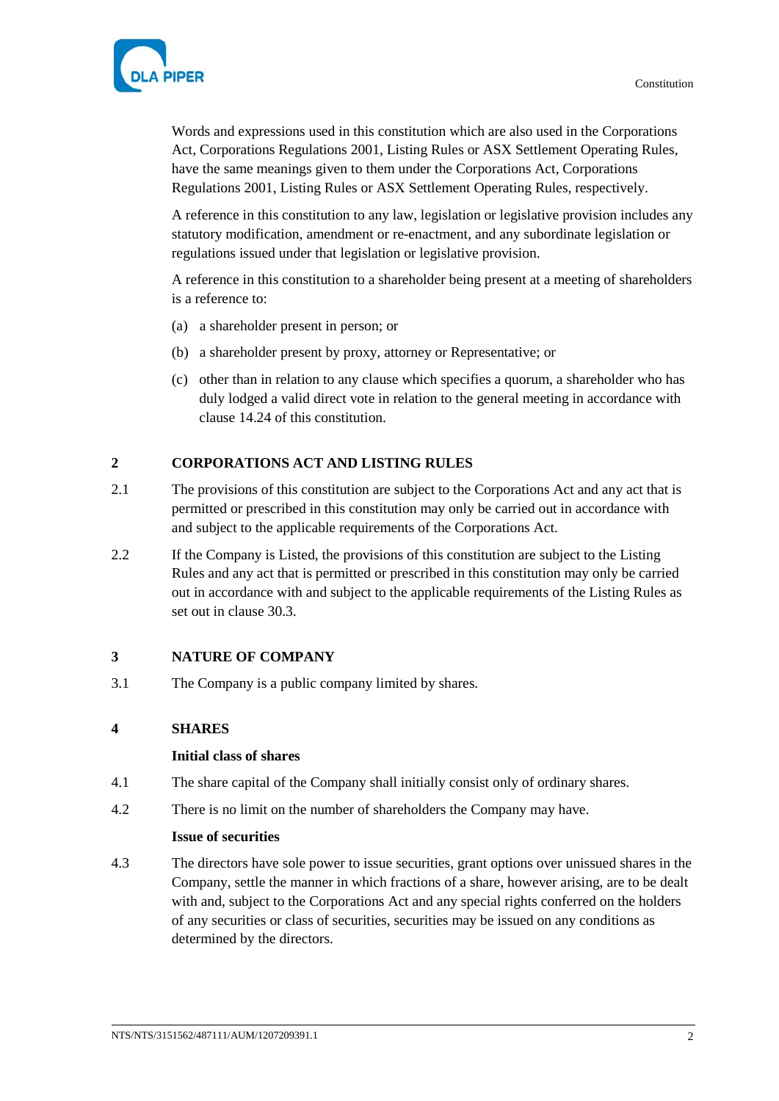

Words and expressions used in this constitution which are also used in the Corporations Act, Corporations Regulations 2001, Listing Rules or ASX Settlement Operating Rules, have the same meanings given to them under the Corporations Act, Corporations Regulations 2001, Listing Rules or ASX Settlement Operating Rules, respectively.

A reference in this constitution to any law, legislation or legislative provision includes any statutory modification, amendment or re-enactment, and any subordinate legislation or regulations issued under that legislation or legislative provision.

A reference in this constitution to a shareholder being present at a meeting of shareholders is a reference to:

- (a) a shareholder present in person; or
- (b) a shareholder present by proxy, attorney or Representative; or
- (c) other than in relation to any clause which specifies a quorum, a shareholder who has duly lodged a valid direct vote in relation to the general meeting in accordance with clause [14.24](#page-26-0) of this constitution.

# **2 CORPORATIONS ACT AND LISTING RULES**

- 2.1 The provisions of this constitution are subject to the Corporations Act and any act that is permitted or prescribed in this constitution may only be carried out in accordance with and subject to the applicable requirements of the Corporations Act.
- 2.2 If the Company is Listed, the provisions of this constitution are subject to the Listing Rules and any act that is permitted or prescribed in this constitution may only be carried out in accordance with and subject to the applicable requirements of the Listing Rules as set out in clause [30.3.](#page-51-0)

# **3 NATURE OF COMPANY**

3.1 The Company is a public company limited by shares.

#### **4 SHARES**

#### **Initial class of shares**

- 4.1 The share capital of the Company shall initially consist only of ordinary shares.
- 4.2 There is no limit on the number of shareholders the Company may have.

# **Issue of securities**

4.3 The directors have sole power to issue securities, grant options over unissued shares in the Company, settle the manner in which fractions of a share, however arising, are to be dealt with and, subject to the Corporations Act and any special rights conferred on the holders of any securities or class of securities, securities may be issued on any conditions as determined by the directors.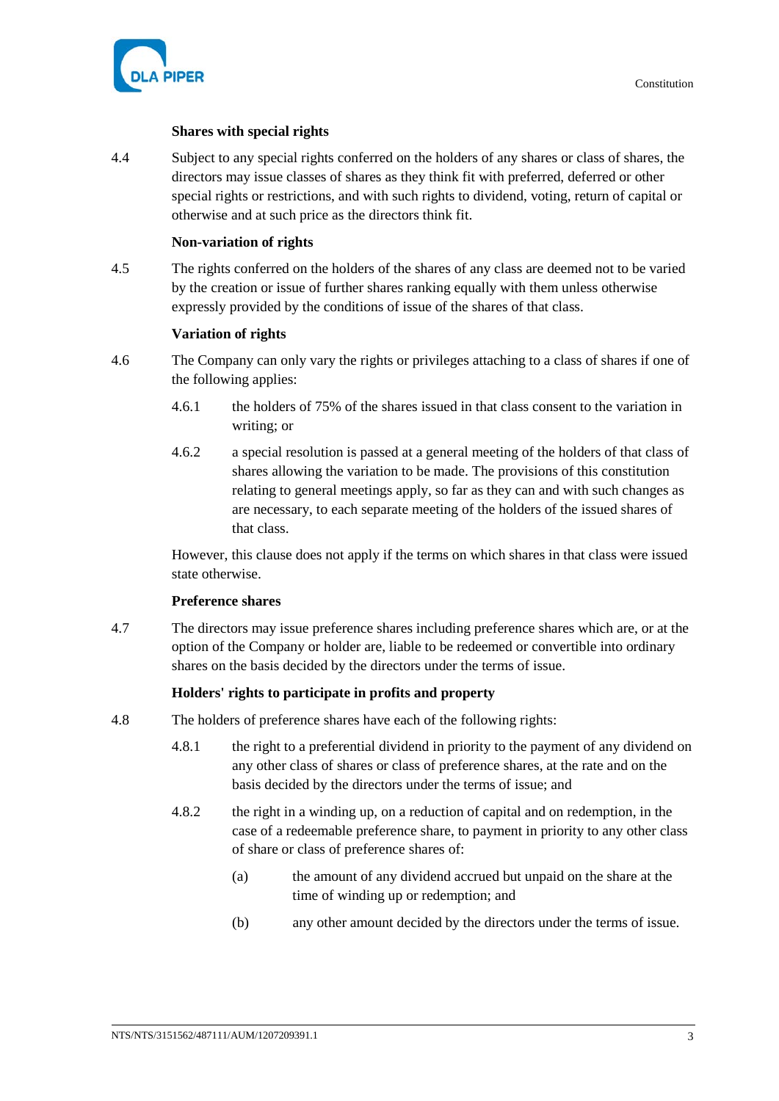

# **Shares with special rights**

4.4 Subject to any special rights conferred on the holders of any shares or class of shares, the directors may issue classes of shares as they think fit with preferred, deferred or other special rights or restrictions, and with such rights to dividend, voting, return of capital or otherwise and at such price as the directors think fit.

# **Non-variation of rights**

4.5 The rights conferred on the holders of the shares of any class are deemed not to be varied by the creation or issue of further shares ranking equally with them unless otherwise expressly provided by the conditions of issue of the shares of that class.

# **Variation of rights**

- 4.6 The Company can only vary the rights or privileges attaching to a class of shares if one of the following applies:
	- 4.6.1 the holders of 75% of the shares issued in that class consent to the variation in writing; or
	- 4.6.2 a special resolution is passed at a general meeting of the holders of that class of shares allowing the variation to be made. The provisions of this constitution relating to general meetings apply, so far as they can and with such changes as are necessary, to each separate meeting of the holders of the issued shares of that class.

However, this clause does not apply if the terms on which shares in that class were issued state otherwise.

# **Preference shares**

4.7 The directors may issue preference shares including preference shares which are, or at the option of the Company or holder are, liable to be redeemed or convertible into ordinary shares on the basis decided by the directors under the terms of issue.

# **Holders' rights to participate in profits and property**

- <span id="page-8-0"></span>4.8 The holders of preference shares have each of the following rights:
	- 4.8.1 the right to a preferential dividend in priority to the payment of any dividend on any other class of shares or class of preference shares, at the rate and on the basis decided by the directors under the terms of issue; and
	- 4.8.2 the right in a winding up, on a reduction of capital and on redemption, in the case of a redeemable preference share, to payment in priority to any other class of share or class of preference shares of:
		- (a) the amount of any dividend accrued but unpaid on the share at the time of winding up or redemption; and
		- (b) any other amount decided by the directors under the terms of issue.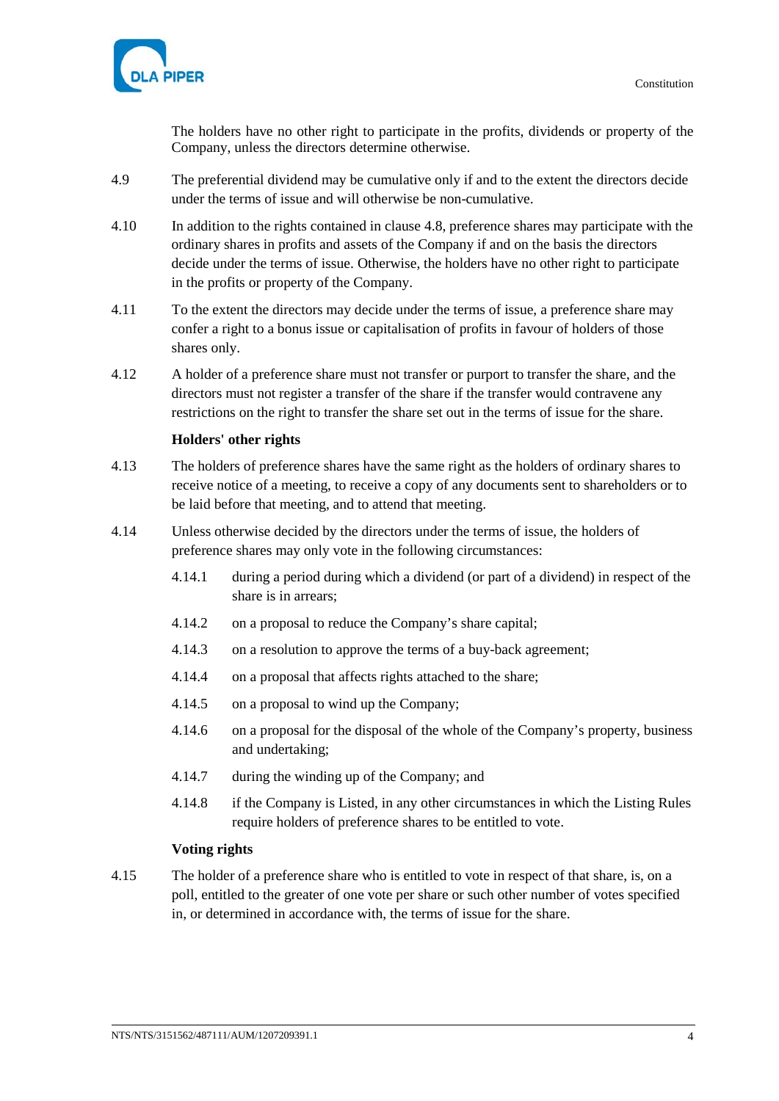

The holders have no other right to participate in the profits, dividends or property of the Company, unless the directors determine otherwise.

- 4.9 The preferential dividend may be cumulative only if and to the extent the directors decide under the terms of issue and will otherwise be non-cumulative.
- 4.10 In addition to the rights contained in clause [4.8,](#page-8-0) preference shares may participate with the ordinary shares in profits and assets of the Company if and on the basis the directors decide under the terms of issue. Otherwise, the holders have no other right to participate in the profits or property of the Company.
- 4.11 To the extent the directors may decide under the terms of issue, a preference share may confer a right to a bonus issue or capitalisation of profits in favour of holders of those shares only.
- 4.12 A holder of a preference share must not transfer or purport to transfer the share, and the directors must not register a transfer of the share if the transfer would contravene any restrictions on the right to transfer the share set out in the terms of issue for the share.

# **Holders' other rights**

- 4.13 The holders of preference shares have the same right as the holders of ordinary shares to receive notice of a meeting, to receive a copy of any documents sent to shareholders or to be laid before that meeting, and to attend that meeting.
- 4.14 Unless otherwise decided by the directors under the terms of issue, the holders of preference shares may only vote in the following circumstances:
	- 4.14.1 during a period during which a dividend (or part of a dividend) in respect of the share is in arrears;
	- 4.14.2 on a proposal to reduce the Company's share capital;
	- 4.14.3 on a resolution to approve the terms of a buy-back agreement;
	- 4.14.4 on a proposal that affects rights attached to the share;
	- 4.14.5 on a proposal to wind up the Company;
	- 4.14.6 on a proposal for the disposal of the whole of the Company's property, business and undertaking;
	- 4.14.7 during the winding up of the Company; and
	- 4.14.8 if the Company is Listed, in any other circumstances in which the Listing Rules require holders of preference shares to be entitled to vote.

# **Voting rights**

4.15 The holder of a preference share who is entitled to vote in respect of that share, is, on a poll, entitled to the greater of one vote per share or such other number of votes specified in, or determined in accordance with, the terms of issue for the share.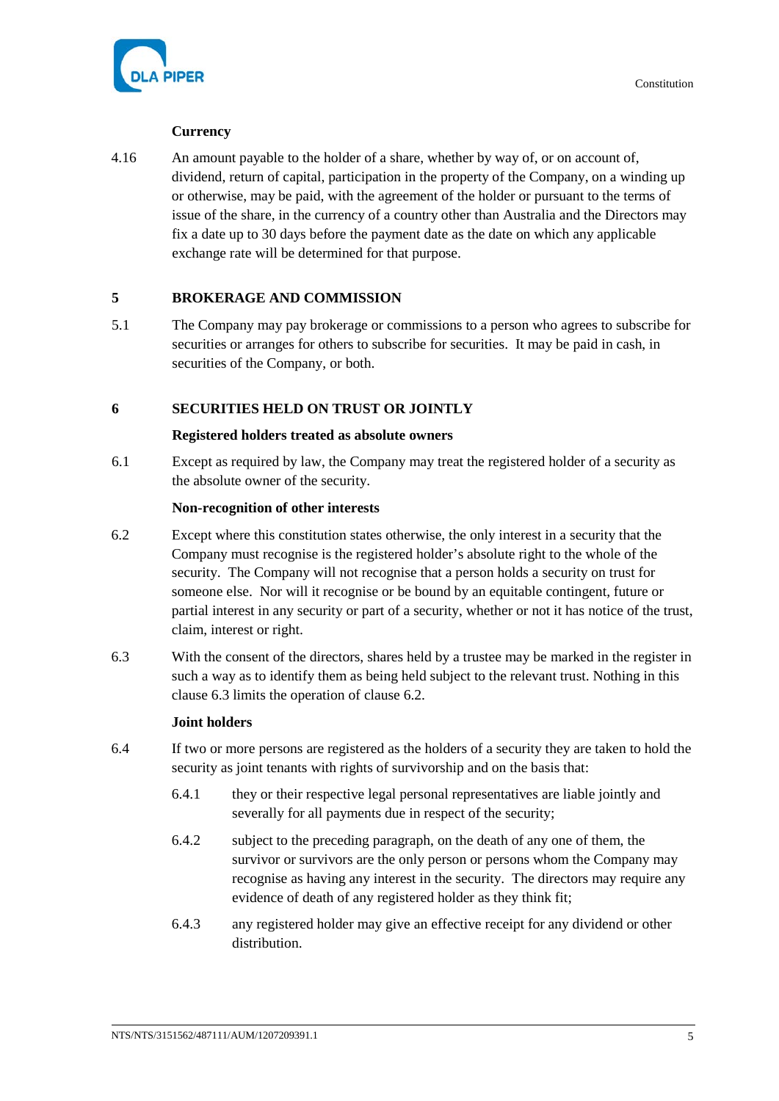

# **Currency**

4.16 An amount payable to the holder of a share, whether by way of, or on account of, dividend, return of capital, participation in the property of the Company, on a winding up or otherwise, may be paid, with the agreement of the holder or pursuant to the terms of issue of the share, in the currency of a country other than Australia and the Directors may fix a date up to 30 days before the payment date as the date on which any applicable exchange rate will be determined for that purpose.

# **5 BROKERAGE AND COMMISSION**

5.1 The Company may pay brokerage or commissions to a person who agrees to subscribe for securities or arranges for others to subscribe for securities. It may be paid in cash, in securities of the Company, or both.

# **6 SECURITIES HELD ON TRUST OR JOINTLY**

# **Registered holders treated as absolute owners**

6.1 Except as required by law, the Company may treat the registered holder of a security as the absolute owner of the security.

### **Non-recognition of other interests**

- <span id="page-10-1"></span>6.2 Except where this constitution states otherwise, the only interest in a security that the Company must recognise is the registered holder's absolute right to the whole of the security. The Company will not recognise that a person holds a security on trust for someone else. Nor will it recognise or be bound by an equitable contingent, future or partial interest in any security or part of a security, whether or not it has notice of the trust, claim, interest or right.
- <span id="page-10-0"></span>6.3 With the consent of the directors, shares held by a trustee may be marked in the register in such a way as to identify them as being held subject to the relevant trust. Nothing in this clause [6.3](#page-10-0) limits the operation of clause [6.2.](#page-10-1)

# **Joint holders**

- 6.4 If two or more persons are registered as the holders of a security they are taken to hold the security as joint tenants with rights of survivorship and on the basis that:
	- 6.4.1 they or their respective legal personal representatives are liable jointly and severally for all payments due in respect of the security;
	- 6.4.2 subject to the preceding paragraph, on the death of any one of them, the survivor or survivors are the only person or persons whom the Company may recognise as having any interest in the security. The directors may require any evidence of death of any registered holder as they think fit;
	- 6.4.3 any registered holder may give an effective receipt for any dividend or other distribution.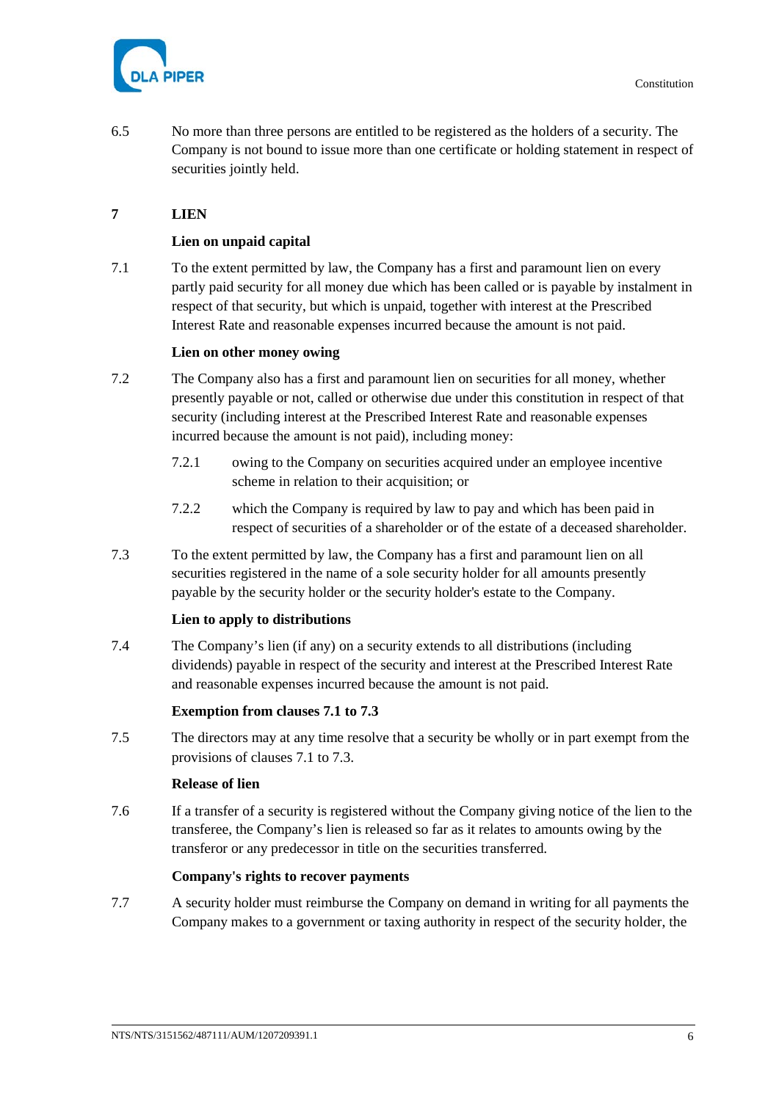

6.5 No more than three persons are entitled to be registered as the holders of a security. The Company is not bound to issue more than one certificate or holding statement in respect of securities jointly held.

# **7 LIEN**

# **Lien on unpaid capital**

<span id="page-11-0"></span>7.1 To the extent permitted by law, the Company has a first and paramount lien on every partly paid security for all money due which has been called or is payable by instalment in respect of that security, but which is unpaid, together with interest at the Prescribed Interest Rate and reasonable expenses incurred because the amount is not paid.

# **Lien on other money owing**

- 7.2 The Company also has a first and paramount lien on securities for all money, whether presently payable or not, called or otherwise due under this constitution in respect of that security (including interest at the Prescribed Interest Rate and reasonable expenses incurred because the amount is not paid), including money:
	- 7.2.1 owing to the Company on securities acquired under an employee incentive scheme in relation to their acquisition; or
	- 7.2.2 which the Company is required by law to pay and which has been paid in respect of securities of a shareholder or of the estate of a deceased shareholder.
- <span id="page-11-1"></span>7.3 To the extent permitted by law, the Company has a first and paramount lien on all securities registered in the name of a sole security holder for all amounts presently payable by the security holder or the security holder's estate to the Company.

# **Lien to apply to distributions**

7.4 The Company's lien (if any) on a security extends to all distributions (including dividends) payable in respect of the security and interest at the Prescribed Interest Rate and reasonable expenses incurred because the amount is not paid.

# **Exemption from clauses [7.1](#page-11-0) to [7.3](#page-11-1)**

7.5 The directors may at any time resolve that a security be wholly or in part exempt from the provisions of clauses [7.1](#page-11-0) to [7.3.](#page-11-1)

# **Release of lien**

7.6 If a transfer of a security is registered without the Company giving notice of the lien to the transferee, the Company's lien is released so far as it relates to amounts owing by the transferor or any predecessor in title on the securities transferred.

# **Company's rights to recover payments**

7.7 A security holder must reimburse the Company on demand in writing for all payments the Company makes to a government or taxing authority in respect of the security holder, the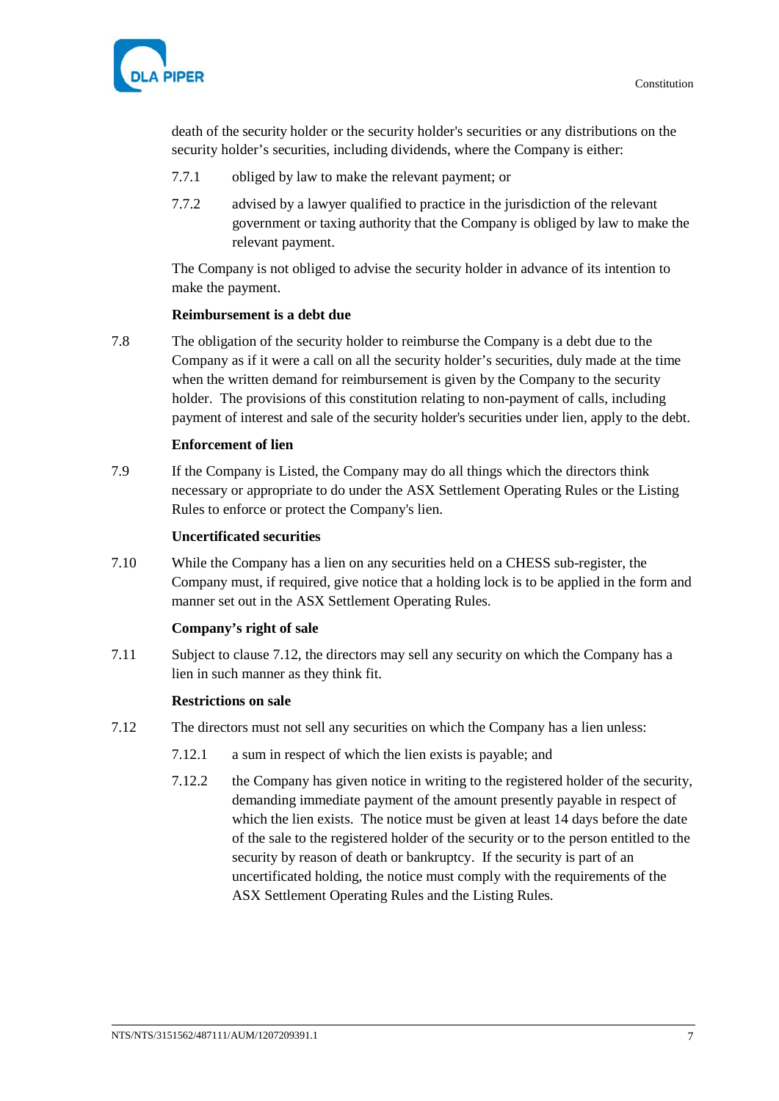

death of the security holder or the security holder's securities or any distributions on the security holder's securities, including dividends, where the Company is either:

- 7.7.1 obliged by law to make the relevant payment; or
- 7.7.2 advised by a lawyer qualified to practice in the jurisdiction of the relevant government or taxing authority that the Company is obliged by law to make the relevant payment.

The Company is not obliged to advise the security holder in advance of its intention to make the payment.

#### **Reimbursement is a debt due**

7.8 The obligation of the security holder to reimburse the Company is a debt due to the Company as if it were a call on all the security holder's securities, duly made at the time when the written demand for reimbursement is given by the Company to the security holder. The provisions of this constitution relating to non-payment of calls, including payment of interest and sale of the security holder's securities under lien, apply to the debt.

#### **Enforcement of lien**

7.9 If the Company is Listed, the Company may do all things which the directors think necessary or appropriate to do under the ASX Settlement Operating Rules or the Listing Rules to enforce or protect the Company's lien.

#### **Uncertificated securities**

7.10 While the Company has a lien on any securities held on a CHESS sub-register, the Company must, if required, give notice that a holding lock is to be applied in the form and manner set out in the ASX Settlement Operating Rules.

# **Company's right of sale**

7.11 Subject to clause [7.12,](#page-12-0) the directors may sell any security on which the Company has a lien in such manner as they think fit.

#### **Restrictions on sale**

- <span id="page-12-0"></span>7.12 The directors must not sell any securities on which the Company has a lien unless:
	- 7.12.1 a sum in respect of which the lien exists is payable; and
	- 7.12.2 the Company has given notice in writing to the registered holder of the security, demanding immediate payment of the amount presently payable in respect of which the lien exists. The notice must be given at least 14 days before the date of the sale to the registered holder of the security or to the person entitled to the security by reason of death or bankruptcy. If the security is part of an uncertificated holding, the notice must comply with the requirements of the ASX Settlement Operating Rules and the Listing Rules.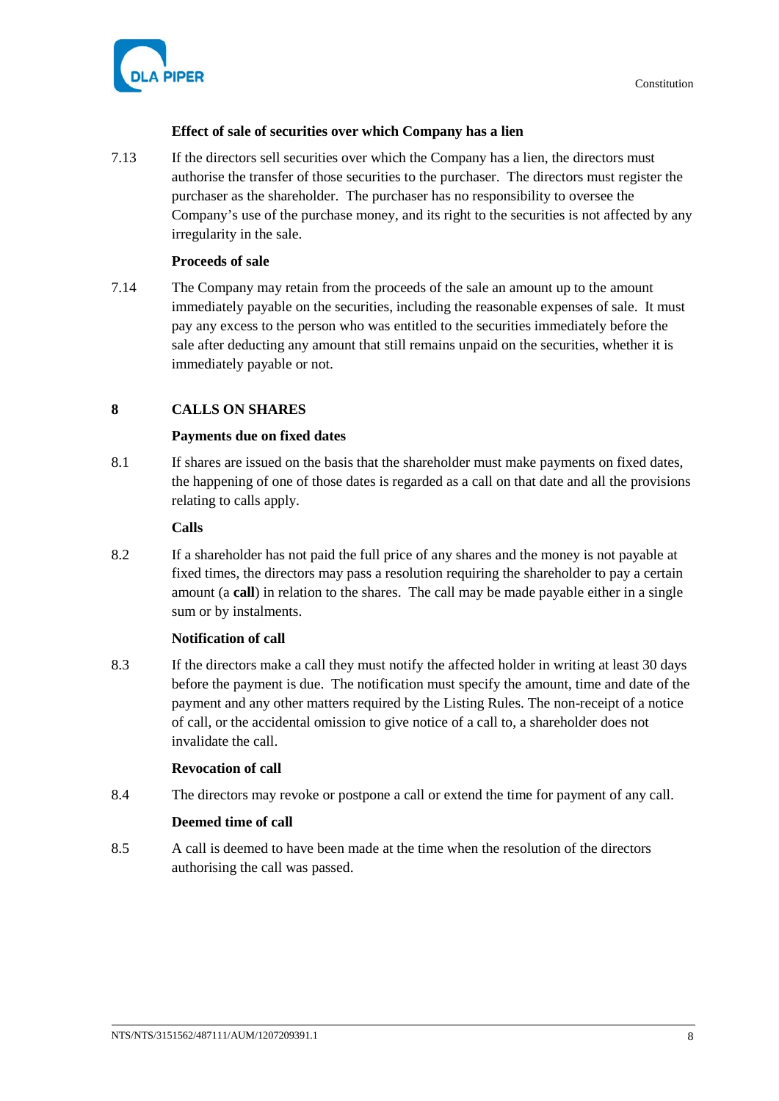

# **Effect of sale of securities over which Company has a lien**

7.13 If the directors sell securities over which the Company has a lien, the directors must authorise the transfer of those securities to the purchaser. The directors must register the purchaser as the shareholder. The purchaser has no responsibility to oversee the Company's use of the purchase money, and its right to the securities is not affected by any irregularity in the sale.

# **Proceeds of sale**

7.14 The Company may retain from the proceeds of the sale an amount up to the amount immediately payable on the securities, including the reasonable expenses of sale. It must pay any excess to the person who was entitled to the securities immediately before the sale after deducting any amount that still remains unpaid on the securities, whether it is immediately payable or not.

# **8 CALLS ON SHARES**

# **Payments due on fixed dates**

8.1 If shares are issued on the basis that the shareholder must make payments on fixed dates, the happening of one of those dates is regarded as a call on that date and all the provisions relating to calls apply.

# **Calls**

8.2 If a shareholder has not paid the full price of any shares and the money is not payable at fixed times, the directors may pass a resolution requiring the shareholder to pay a certain amount (a **call**) in relation to the shares. The call may be made payable either in a single sum or by instalments.

# **Notification of call**

<span id="page-13-0"></span>8.3 If the directors make a call they must notify the affected holder in writing at least 30 days before the payment is due. The notification must specify the amount, time and date of the payment and any other matters required by the Listing Rules. The non-receipt of a notice of call, or the accidental omission to give notice of a call to, a shareholder does not invalidate the call.

# **Revocation of call**

8.4 The directors may revoke or postpone a call or extend the time for payment of any call.

# **Deemed time of call**

8.5 A call is deemed to have been made at the time when the resolution of the directors authorising the call was passed.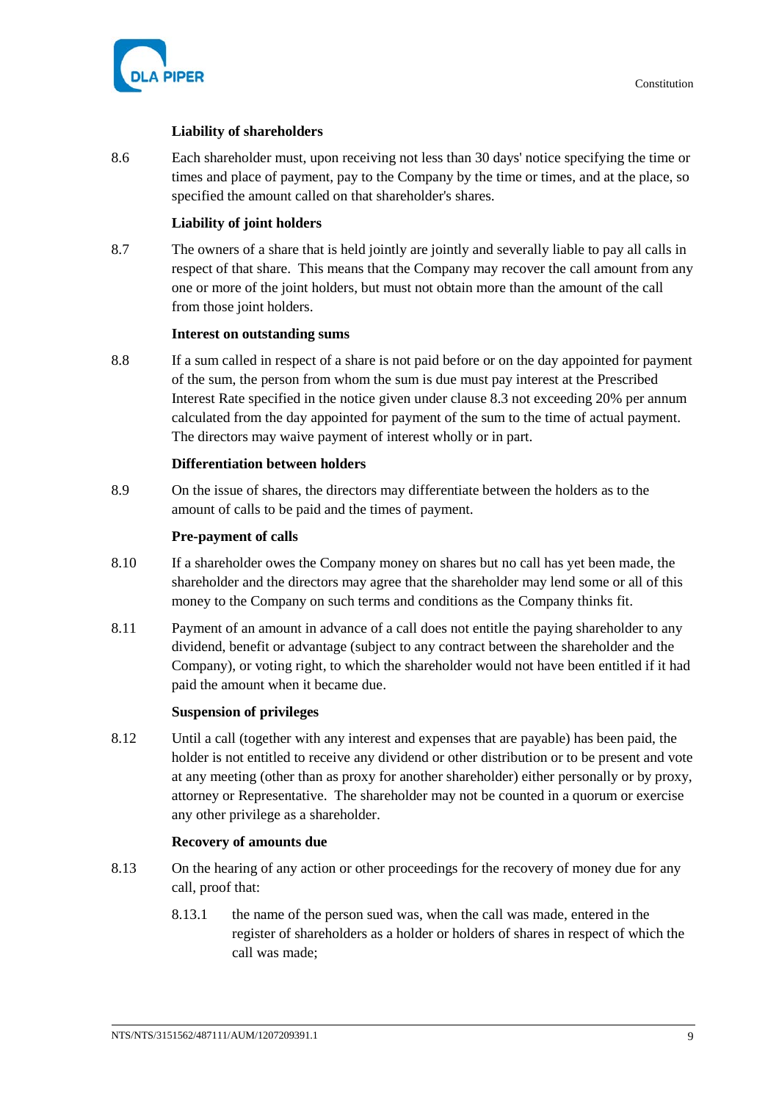

# **Liability of shareholders**

8.6 Each shareholder must, upon receiving not less than 30 days' notice specifying the time or times and place of payment, pay to the Company by the time or times, and at the place, so specified the amount called on that shareholder's shares.

# **Liability of joint holders**

8.7 The owners of a share that is held jointly are jointly and severally liable to pay all calls in respect of that share. This means that the Company may recover the call amount from any one or more of the joint holders, but must not obtain more than the amount of the call from those joint holders.

# **Interest on outstanding sums**

8.8 If a sum called in respect of a share is not paid before or on the day appointed for payment of the sum, the person from whom the sum is due must pay interest at the Prescribed Interest Rate specified in the notice given under claus[e 8.3](#page-13-0) not exceeding 20% per annum calculated from the day appointed for payment of the sum to the time of actual payment. The directors may waive payment of interest wholly or in part.

# **Differentiation between holders**

8.9 On the issue of shares, the directors may differentiate between the holders as to the amount of calls to be paid and the times of payment.

# **Pre-payment of calls**

- 8.10 If a shareholder owes the Company money on shares but no call has yet been made, the shareholder and the directors may agree that the shareholder may lend some or all of this money to the Company on such terms and conditions as the Company thinks fit.
- 8.11 Payment of an amount in advance of a call does not entitle the paying shareholder to any dividend, benefit or advantage (subject to any contract between the shareholder and the Company), or voting right, to which the shareholder would not have been entitled if it had paid the amount when it became due.

# **Suspension of privileges**

8.12 Until a call (together with any interest and expenses that are payable) has been paid, the holder is not entitled to receive any dividend or other distribution or to be present and vote at any meeting (other than as proxy for another shareholder) either personally or by proxy, attorney or Representative. The shareholder may not be counted in a quorum or exercise any other privilege as a shareholder.

# **Recovery of amounts due**

- <span id="page-14-0"></span>8.13 On the hearing of any action or other proceedings for the recovery of money due for any call, proof that:
	- 8.13.1 the name of the person sued was, when the call was made, entered in the register of shareholders as a holder or holders of shares in respect of which the call was made;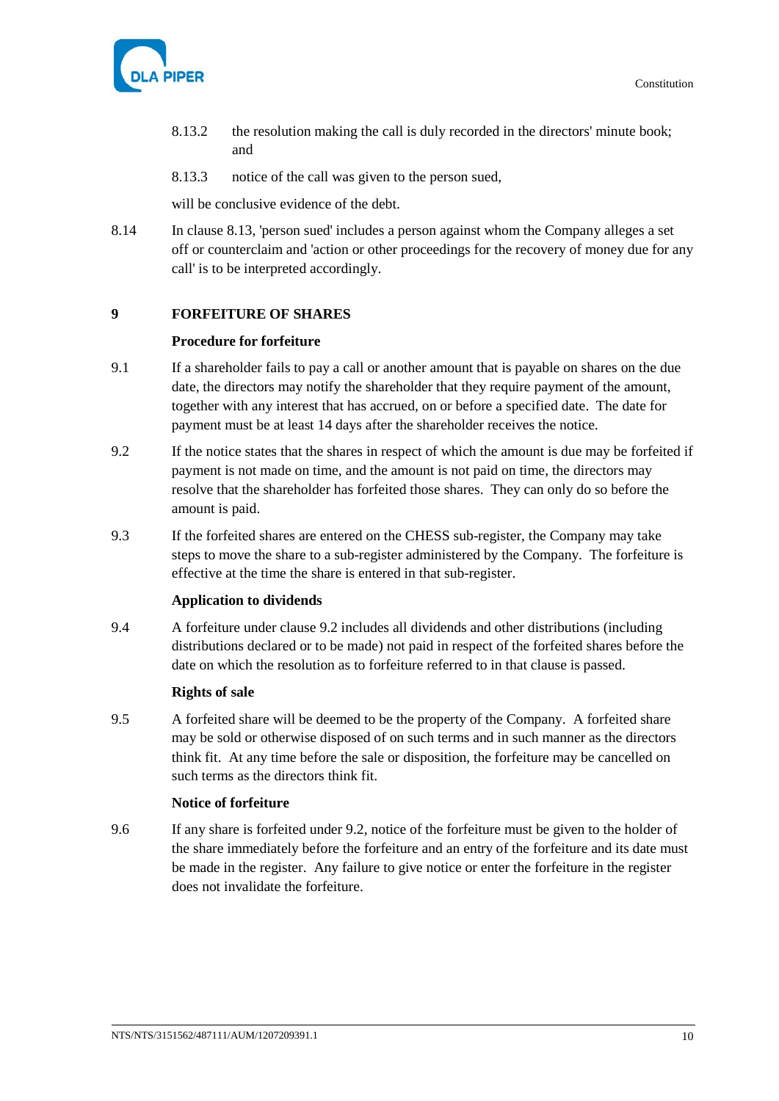

- 8.13.2 the resolution making the call is duly recorded in the directors' minute book; and
- 8.13.3 notice of the call was given to the person sued,

will be conclusive evidence of the debt.

8.14 In clause [8.13,](#page-14-0) 'person sued' includes a person against whom the Company alleges a set off or counterclaim and 'action or other proceedings for the recovery of money due for any call' is to be interpreted accordingly.

# **9 FORFEITURE OF SHARES**

#### **Procedure for forfeiture**

- 9.1 If a shareholder fails to pay a call or another amount that is payable on shares on the due date, the directors may notify the shareholder that they require payment of the amount, together with any interest that has accrued, on or before a specified date. The date for payment must be at least 14 days after the shareholder receives the notice.
- <span id="page-15-0"></span>9.2 If the notice states that the shares in respect of which the amount is due may be forfeited if payment is not made on time, and the amount is not paid on time, the directors may resolve that the shareholder has forfeited those shares. They can only do so before the amount is paid.
- 9.3 If the forfeited shares are entered on the CHESS sub-register, the Company may take steps to move the share to a sub-register administered by the Company. The forfeiture is effective at the time the share is entered in that sub-register.

# **Application to dividends**

9.4 A forfeiture under clause [9.2](#page-15-0) includes all dividends and other distributions (including distributions declared or to be made) not paid in respect of the forfeited shares before the date on which the resolution as to forfeiture referred to in that clause is passed.

# **Rights of sale**

9.5 A forfeited share will be deemed to be the property of the Company. A forfeited share may be sold or otherwise disposed of on such terms and in such manner as the directors think fit. At any time before the sale or disposition, the forfeiture may be cancelled on such terms as the directors think fit.

# **Notice of forfeiture**

9.6 If any share is forfeited under [9.2,](#page-15-0) notice of the forfeiture must be given to the holder of the share immediately before the forfeiture and an entry of the forfeiture and its date must be made in the register. Any failure to give notice or enter the forfeiture in the register does not invalidate the forfeiture.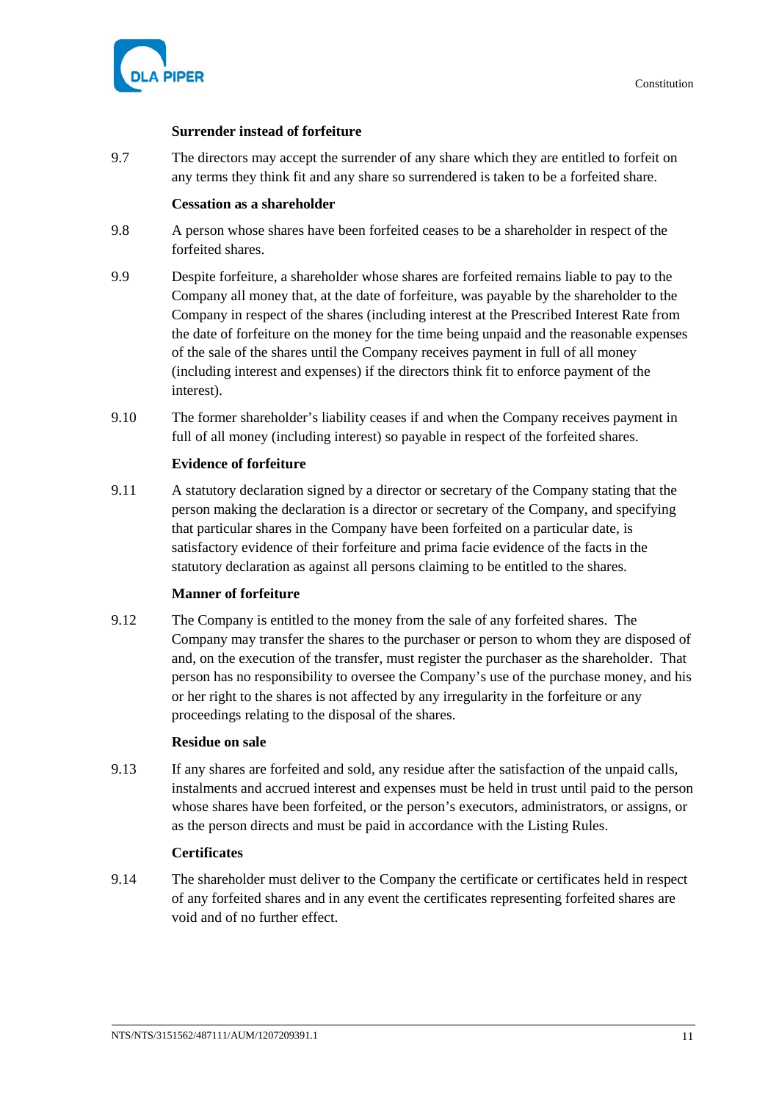

# **Surrender instead of forfeiture**

9.7 The directors may accept the surrender of any share which they are entitled to forfeit on any terms they think fit and any share so surrendered is taken to be a forfeited share.

# **Cessation as a shareholder**

- 9.8 A person whose shares have been forfeited ceases to be a shareholder in respect of the forfeited shares.
- 9.9 Despite forfeiture, a shareholder whose shares are forfeited remains liable to pay to the Company all money that, at the date of forfeiture, was payable by the shareholder to the Company in respect of the shares (including interest at the Prescribed Interest Rate from the date of forfeiture on the money for the time being unpaid and the reasonable expenses of the sale of the shares until the Company receives payment in full of all money (including interest and expenses) if the directors think fit to enforce payment of the interest).
- 9.10 The former shareholder's liability ceases if and when the Company receives payment in full of all money (including interest) so payable in respect of the forfeited shares.

# **Evidence of forfeiture**

9.11 A statutory declaration signed by a director or secretary of the Company stating that the person making the declaration is a director or secretary of the Company, and specifying that particular shares in the Company have been forfeited on a particular date, is satisfactory evidence of their forfeiture and prima facie evidence of the facts in the statutory declaration as against all persons claiming to be entitled to the shares.

# **Manner of forfeiture**

9.12 The Company is entitled to the money from the sale of any forfeited shares. The Company may transfer the shares to the purchaser or person to whom they are disposed of and, on the execution of the transfer, must register the purchaser as the shareholder. That person has no responsibility to oversee the Company's use of the purchase money, and his or her right to the shares is not affected by any irregularity in the forfeiture or any proceedings relating to the disposal of the shares.

# **Residue on sale**

9.13 If any shares are forfeited and sold, any residue after the satisfaction of the unpaid calls, instalments and accrued interest and expenses must be held in trust until paid to the person whose shares have been forfeited, or the person's executors, administrators, or assigns, or as the person directs and must be paid in accordance with the Listing Rules.

# **Certificates**

9.14 The shareholder must deliver to the Company the certificate or certificates held in respect of any forfeited shares and in any event the certificates representing forfeited shares are void and of no further effect.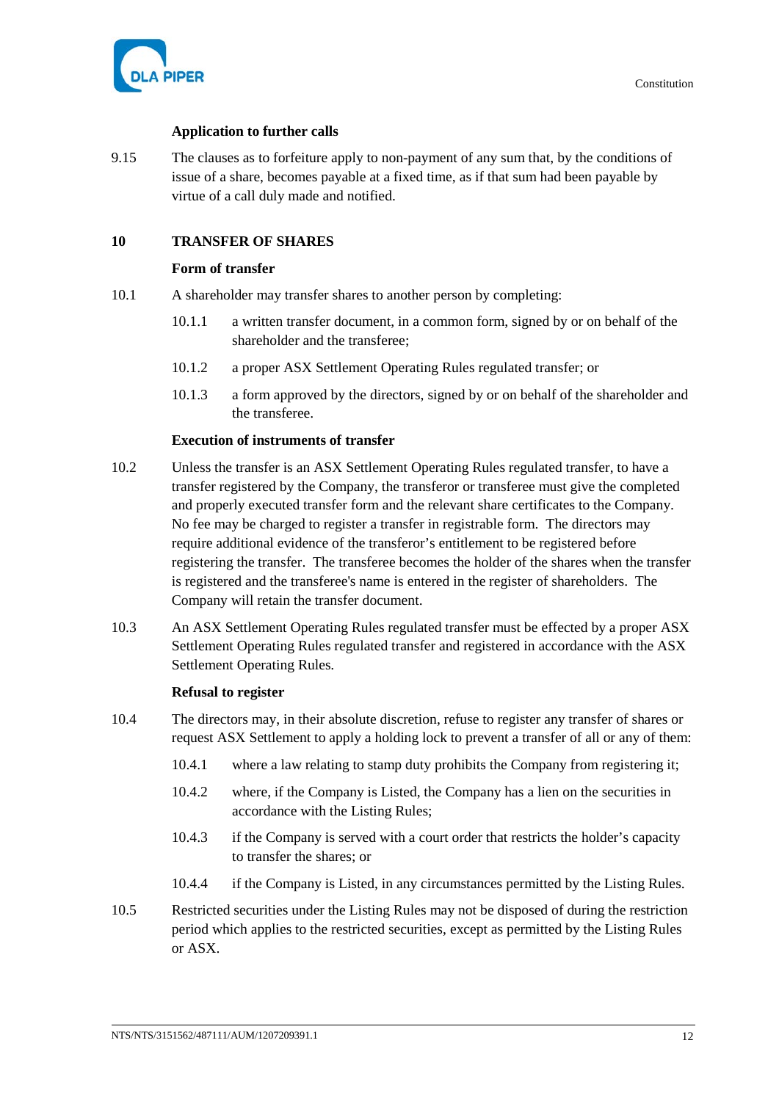

# **Application to further calls**

9.15 The clauses as to forfeiture apply to non-payment of any sum that, by the conditions of issue of a share, becomes payable at a fixed time, as if that sum had been payable by virtue of a call duly made and notified.

# **10 TRANSFER OF SHARES**

# **Form of transfer**

- 10.1 A shareholder may transfer shares to another person by completing:
	- 10.1.1 a written transfer document, in a common form, signed by or on behalf of the shareholder and the transferee;
	- 10.1.2 a proper ASX Settlement Operating Rules regulated transfer; or
	- 10.1.3 a form approved by the directors, signed by or on behalf of the shareholder and the transferee.

# **Execution of instruments of transfer**

- 10.2 Unless the transfer is an ASX Settlement Operating Rules regulated transfer, to have a transfer registered by the Company, the transferor or transferee must give the completed and properly executed transfer form and the relevant share certificates to the Company. No fee may be charged to register a transfer in registrable form. The directors may require additional evidence of the transferor's entitlement to be registered before registering the transfer. The transferee becomes the holder of the shares when the transfer is registered and the transferee's name is entered in the register of shareholders. The Company will retain the transfer document.
- 10.3 An ASX Settlement Operating Rules regulated transfer must be effected by a proper ASX Settlement Operating Rules regulated transfer and registered in accordance with the ASX Settlement Operating Rules.

# **Refusal to register**

- 10.4 The directors may, in their absolute discretion, refuse to register any transfer of shares or request ASX Settlement to apply a holding lock to prevent a transfer of all or any of them:
	- 10.4.1 where a law relating to stamp duty prohibits the Company from registering it;
	- 10.4.2 where, if the Company is Listed, the Company has a lien on the securities in accordance with the Listing Rules;
	- 10.4.3 if the Company is served with a court order that restricts the holder's capacity to transfer the shares; or
	- 10.4.4 if the Company is Listed, in any circumstances permitted by the Listing Rules.
- 10.5 Restricted securities under the Listing Rules may not be disposed of during the restriction period which applies to the restricted securities, except as permitted by the Listing Rules or ASX.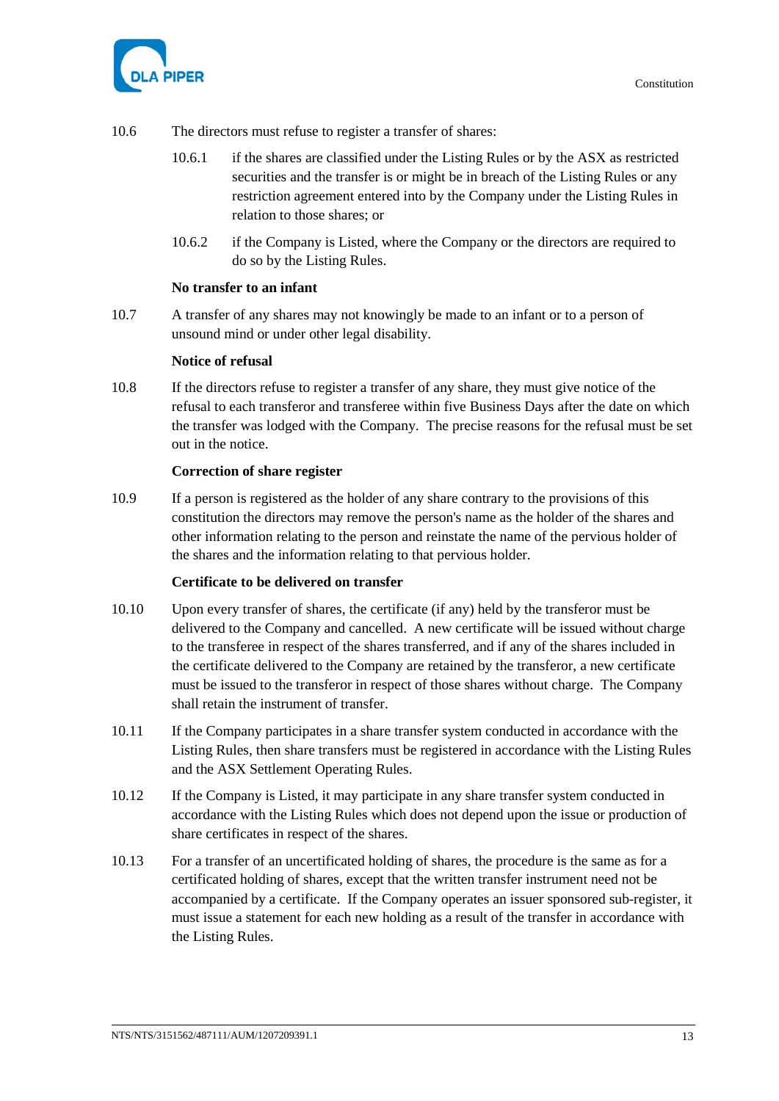

- 10.6 The directors must refuse to register a transfer of shares:
	- 10.6.1 if the shares are classified under the Listing Rules or by the ASX as restricted securities and the transfer is or might be in breach of the Listing Rules or any restriction agreement entered into by the Company under the Listing Rules in relation to those shares; or
	- 10.6.2 if the Company is Listed, where the Company or the directors are required to do so by the Listing Rules.

#### **No transfer to an infant**

10.7 A transfer of any shares may not knowingly be made to an infant or to a person of unsound mind or under other legal disability.

#### **Notice of refusal**

10.8 If the directors refuse to register a transfer of any share, they must give notice of the refusal to each transferor and transferee within five Business Days after the date on which the transfer was lodged with the Company. The precise reasons for the refusal must be set out in the notice.

# **Correction of share register**

10.9 If a person is registered as the holder of any share contrary to the provisions of this constitution the directors may remove the person's name as the holder of the shares and other information relating to the person and reinstate the name of the pervious holder of the shares and the information relating to that pervious holder.

#### **Certificate to be delivered on transfer**

- 10.10 Upon every transfer of shares, the certificate (if any) held by the transferor must be delivered to the Company and cancelled. A new certificate will be issued without charge to the transferee in respect of the shares transferred, and if any of the shares included in the certificate delivered to the Company are retained by the transferor, a new certificate must be issued to the transferor in respect of those shares without charge. The Company shall retain the instrument of transfer.
- 10.11 If the Company participates in a share transfer system conducted in accordance with the Listing Rules, then share transfers must be registered in accordance with the Listing Rules and the ASX Settlement Operating Rules.
- 10.12 If the Company is Listed, it may participate in any share transfer system conducted in accordance with the Listing Rules which does not depend upon the issue or production of share certificates in respect of the shares.
- 10.13 For a transfer of an uncertificated holding of shares, the procedure is the same as for a certificated holding of shares, except that the written transfer instrument need not be accompanied by a certificate. If the Company operates an issuer sponsored sub-register, it must issue a statement for each new holding as a result of the transfer in accordance with the Listing Rules.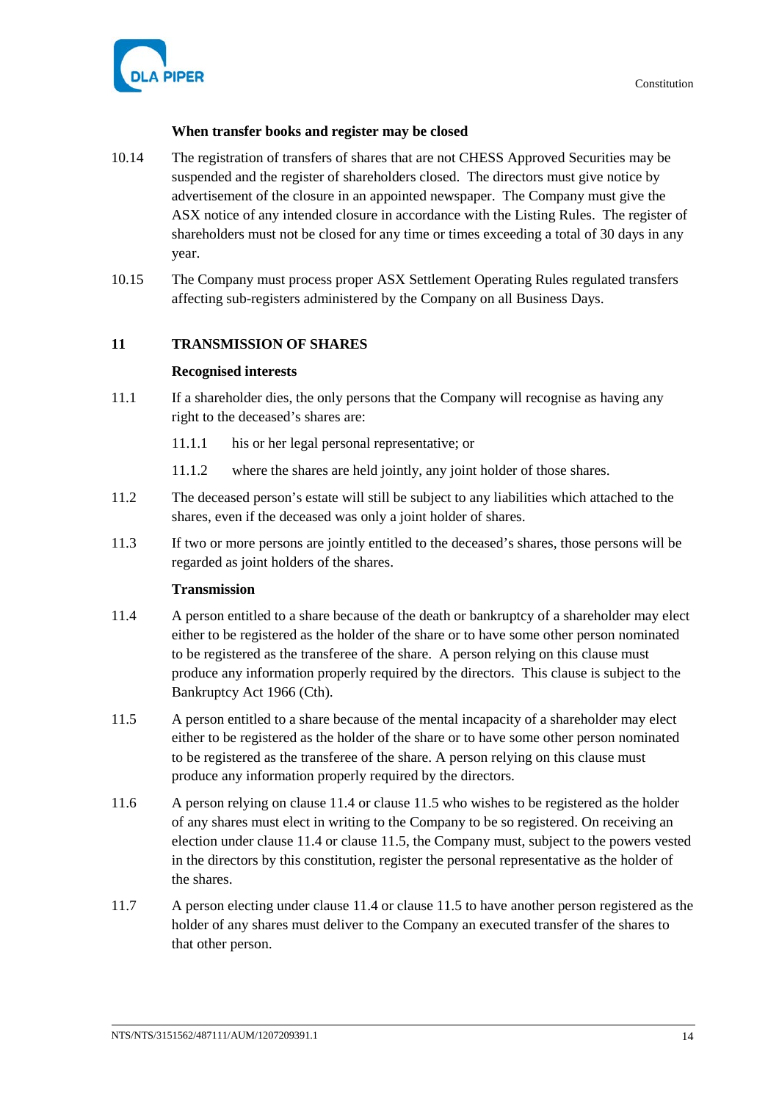

# **When transfer books and register may be closed**

- 10.14 The registration of transfers of shares that are not CHESS Approved Securities may be suspended and the register of shareholders closed. The directors must give notice by advertisement of the closure in an appointed newspaper. The Company must give the ASX notice of any intended closure in accordance with the Listing Rules. The register of shareholders must not be closed for any time or times exceeding a total of 30 days in any year.
- 10.15 The Company must process proper ASX Settlement Operating Rules regulated transfers affecting sub-registers administered by the Company on all Business Days.

# **11 TRANSMISSION OF SHARES**

# **Recognised interests**

- 11.1 If a shareholder dies, the only persons that the Company will recognise as having any right to the deceased's shares are:
	- 11.1.1 his or her legal personal representative; or
	- 11.1.2 where the shares are held jointly, any joint holder of those shares.
- 11.2 The deceased person's estate will still be subject to any liabilities which attached to the shares, even if the deceased was only a joint holder of shares.
- 11.3 If two or more persons are jointly entitled to the deceased's shares, those persons will be regarded as joint holders of the shares.

# **Transmission**

- <span id="page-19-0"></span>11.4 A person entitled to a share because of the death or bankruptcy of a shareholder may elect either to be registered as the holder of the share or to have some other person nominated to be registered as the transferee of the share. A person relying on this clause must produce any information properly required by the directors. This clause is subject to the Bankruptcy Act 1966 (Cth).
- <span id="page-19-1"></span>11.5 A person entitled to a share because of the mental incapacity of a shareholder may elect either to be registered as the holder of the share or to have some other person nominated to be registered as the transferee of the share. A person relying on this clause must produce any information properly required by the directors.
- 11.6 A person relying on clause [11.4](#page-19-0) or clause [11.5](#page-19-1) who wishes to be registered as the holder of any shares must elect in writing to the Company to be so registered. On receiving an election under clause [11.4](#page-19-0) or clause [11.5,](#page-19-1) the Company must, subject to the powers vested in the directors by this constitution, register the personal representative as the holder of the shares.
- 11.7 A person electing under claus[e 11.4](#page-19-0) or clause [11.5](#page-19-1) to have another person registered as the holder of any shares must deliver to the Company an executed transfer of the shares to that other person.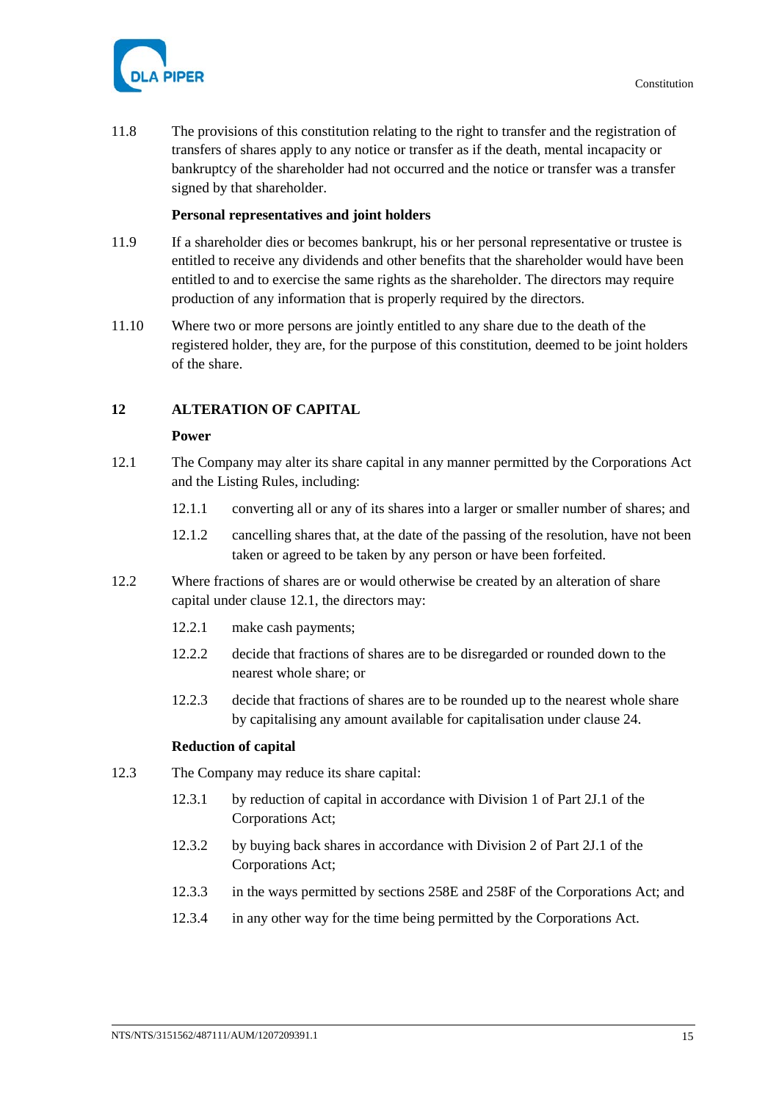

11.8 The provisions of this constitution relating to the right to transfer and the registration of transfers of shares apply to any notice or transfer as if the death, mental incapacity or bankruptcy of the shareholder had not occurred and the notice or transfer was a transfer signed by that shareholder.

### **Personal representatives and joint holders**

- 11.9 If a shareholder dies or becomes bankrupt, his or her personal representative or trustee is entitled to receive any dividends and other benefits that the shareholder would have been entitled to and to exercise the same rights as the shareholder. The directors may require production of any information that is properly required by the directors.
- 11.10 Where two or more persons are jointly entitled to any share due to the death of the registered holder, they are, for the purpose of this constitution, deemed to be joint holders of the share.

# **12 ALTERATION OF CAPITAL**

#### **Power**

- <span id="page-20-0"></span>12.1 The Company may alter its share capital in any manner permitted by the Corporations Act and the Listing Rules, including:
	- 12.1.1 converting all or any of its shares into a larger or smaller number of shares; and
	- 12.1.2 cancelling shares that, at the date of the passing of the resolution, have not been taken or agreed to be taken by any person or have been forfeited.
- 12.2 Where fractions of shares are or would otherwise be created by an alteration of share capital under clause [12.1,](#page-20-0) the directors may:
	- 12.2.1 make cash payments;
	- 12.2.2 decide that fractions of shares are to be disregarded or rounded down to the nearest whole share; or
	- 12.2.3 decide that fractions of shares are to be rounded up to the nearest whole share by capitalising any amount available for capitalisation under clause [24.](#page-40-0)

#### **Reduction of capital**

- 12.3 The Company may reduce its share capital:
	- 12.3.1 by reduction of capital in accordance with Division 1 of Part 2J.1 of the Corporations Act;
	- 12.3.2 by buying back shares in accordance with Division 2 of Part 2J.1 of the Corporations Act;
	- 12.3.3 in the ways permitted by sections 258E and 258F of the Corporations Act; and
	- 12.3.4 in any other way for the time being permitted by the Corporations Act.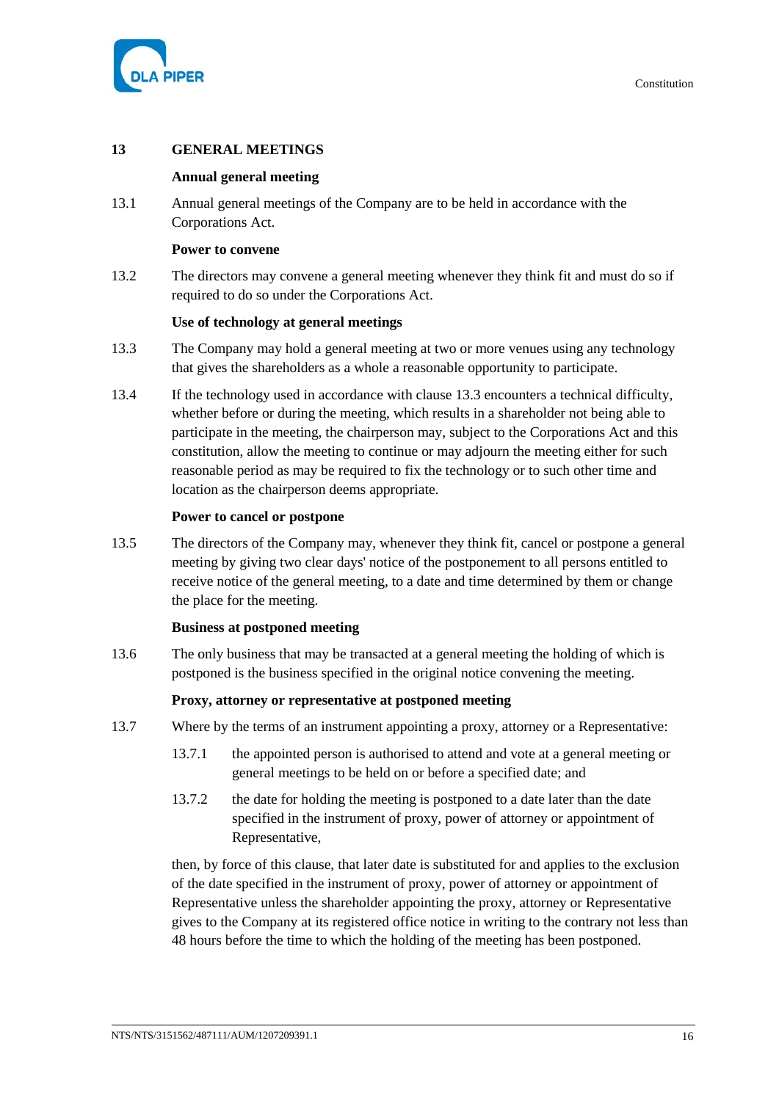

# **13 GENERAL MEETINGS**

# **Annual general meeting**

13.1 Annual general meetings of the Company are to be held in accordance with the Corporations Act.

#### **Power to convene**

13.2 The directors may convene a general meeting whenever they think fit and must do so if required to do so under the Corporations Act.

# **Use of technology at general meetings**

- <span id="page-21-0"></span>13.3 The Company may hold a general meeting at two or more venues using any technology that gives the shareholders as a whole a reasonable opportunity to participate.
- 13.4 If the technology used in accordance with clause [13.3](#page-21-0) encounters a technical difficulty, whether before or during the meeting, which results in a shareholder not being able to participate in the meeting, the chairperson may, subject to the Corporations Act and this constitution, allow the meeting to continue or may adjourn the meeting either for such reasonable period as may be required to fix the technology or to such other time and location as the chairperson deems appropriate.

#### **Power to cancel or postpone**

13.5 The directors of the Company may, whenever they think fit, cancel or postpone a general meeting by giving two clear days' notice of the postponement to all persons entitled to receive notice of the general meeting, to a date and time determined by them or change the place for the meeting.

#### **Business at postponed meeting**

13.6 The only business that may be transacted at a general meeting the holding of which is postponed is the business specified in the original notice convening the meeting.

# **Proxy, attorney or representative at postponed meeting**

- 13.7 Where by the terms of an instrument appointing a proxy, attorney or a Representative:
	- 13.7.1 the appointed person is authorised to attend and vote at a general meeting or general meetings to be held on or before a specified date; and
	- 13.7.2 the date for holding the meeting is postponed to a date later than the date specified in the instrument of proxy, power of attorney or appointment of Representative,

then, by force of this clause, that later date is substituted for and applies to the exclusion of the date specified in the instrument of proxy, power of attorney or appointment of Representative unless the shareholder appointing the proxy, attorney or Representative gives to the Company at its registered office notice in writing to the contrary not less than 48 hours before the time to which the holding of the meeting has been postponed.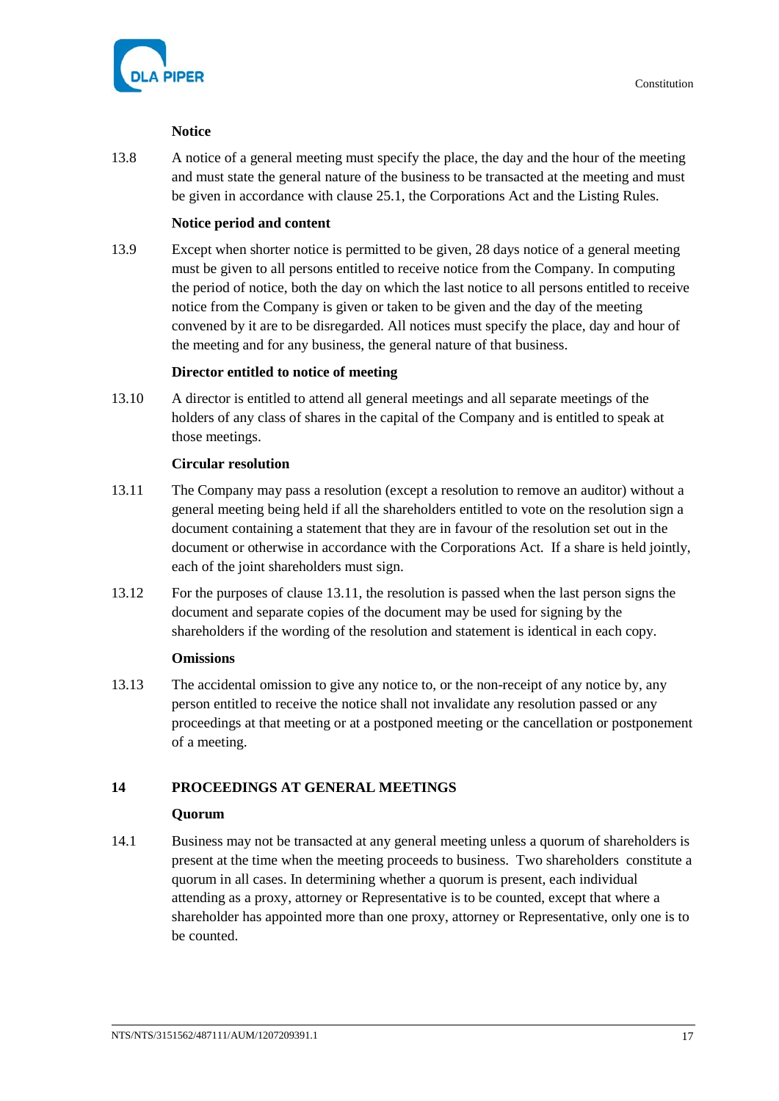

# **Notice**

13.8 A notice of a general meeting must specify the place, the day and the hour of the meeting and must state the general nature of the business to be transacted at the meeting and must be given in accordance with claus[e 25.1,](#page-44-0) the Corporations Act and the Listing Rules.

# **Notice period and content**

13.9 Except when shorter notice is permitted to be given, 28 days notice of a general meeting must be given to all persons entitled to receive notice from the Company. In computing the period of notice, both the day on which the last notice to all persons entitled to receive notice from the Company is given or taken to be given and the day of the meeting convened by it are to be disregarded. All notices must specify the place, day and hour of the meeting and for any business, the general nature of that business.

# **Director entitled to notice of meeting**

13.10 A director is entitled to attend all general meetings and all separate meetings of the holders of any class of shares in the capital of the Company and is entitled to speak at those meetings.

# **Circular resolution**

- <span id="page-22-0"></span>13.11 The Company may pass a resolution (except a resolution to remove an auditor) without a general meeting being held if all the shareholders entitled to vote on the resolution sign a document containing a statement that they are in favour of the resolution set out in the document or otherwise in accordance with the Corporations Act. If a share is held jointly, each of the joint shareholders must sign.
- 13.12 For the purposes of clause [13.11,](#page-22-0) the resolution is passed when the last person signs the document and separate copies of the document may be used for signing by the shareholders if the wording of the resolution and statement is identical in each copy.

# **Omissions**

13.13 The accidental omission to give any notice to, or the non-receipt of any notice by, any person entitled to receive the notice shall not invalidate any resolution passed or any proceedings at that meeting or at a postponed meeting or the cancellation or postponement of a meeting.

# **14 PROCEEDINGS AT GENERAL MEETINGS**

# **Quorum**

14.1 Business may not be transacted at any general meeting unless a quorum of shareholders is present at the time when the meeting proceeds to business. Two shareholders constitute a quorum in all cases. In determining whether a quorum is present, each individual attending as a proxy, attorney or Representative is to be counted, except that where a shareholder has appointed more than one proxy, attorney or Representative, only one is to be counted.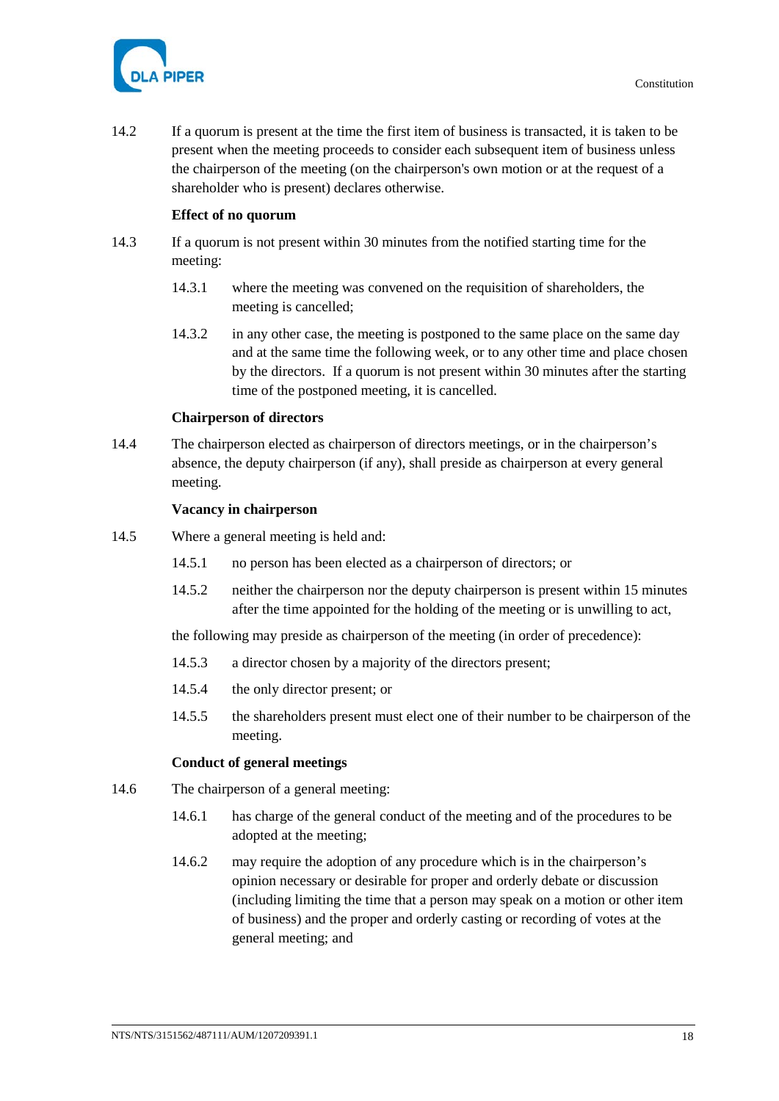



14.2 If a quorum is present at the time the first item of business is transacted, it is taken to be present when the meeting proceeds to consider each subsequent item of business unless the chairperson of the meeting (on the chairperson's own motion or at the request of a shareholder who is present) declares otherwise.

# **Effect of no quorum**

- 14.3 If a quorum is not present within 30 minutes from the notified starting time for the meeting:
	- 14.3.1 where the meeting was convened on the requisition of shareholders, the meeting is cancelled;
	- 14.3.2 in any other case, the meeting is postponed to the same place on the same day and at the same time the following week, or to any other time and place chosen by the directors. If a quorum is not present within 30 minutes after the starting time of the postponed meeting, it is cancelled.

# **Chairperson of directors**

14.4 The chairperson elected as chairperson of directors meetings, or in the chairperson's absence, the deputy chairperson (if any), shall preside as chairperson at every general meeting.

# **Vacancy in chairperson**

- 14.5 Where a general meeting is held and:
	- 14.5.1 no person has been elected as a chairperson of directors; or
	- 14.5.2 neither the chairperson nor the deputy chairperson is present within 15 minutes after the time appointed for the holding of the meeting or is unwilling to act,

the following may preside as chairperson of the meeting (in order of precedence):

- 14.5.3 a director chosen by a majority of the directors present;
- 14.5.4 the only director present; or
- 14.5.5 the shareholders present must elect one of their number to be chairperson of the meeting.

# **Conduct of general meetings**

- <span id="page-23-0"></span>14.6 The chairperson of a general meeting:
	- 14.6.1 has charge of the general conduct of the meeting and of the procedures to be adopted at the meeting;
	- 14.6.2 may require the adoption of any procedure which is in the chairperson's opinion necessary or desirable for proper and orderly debate or discussion (including limiting the time that a person may speak on a motion or other item of business) and the proper and orderly casting or recording of votes at the general meeting; and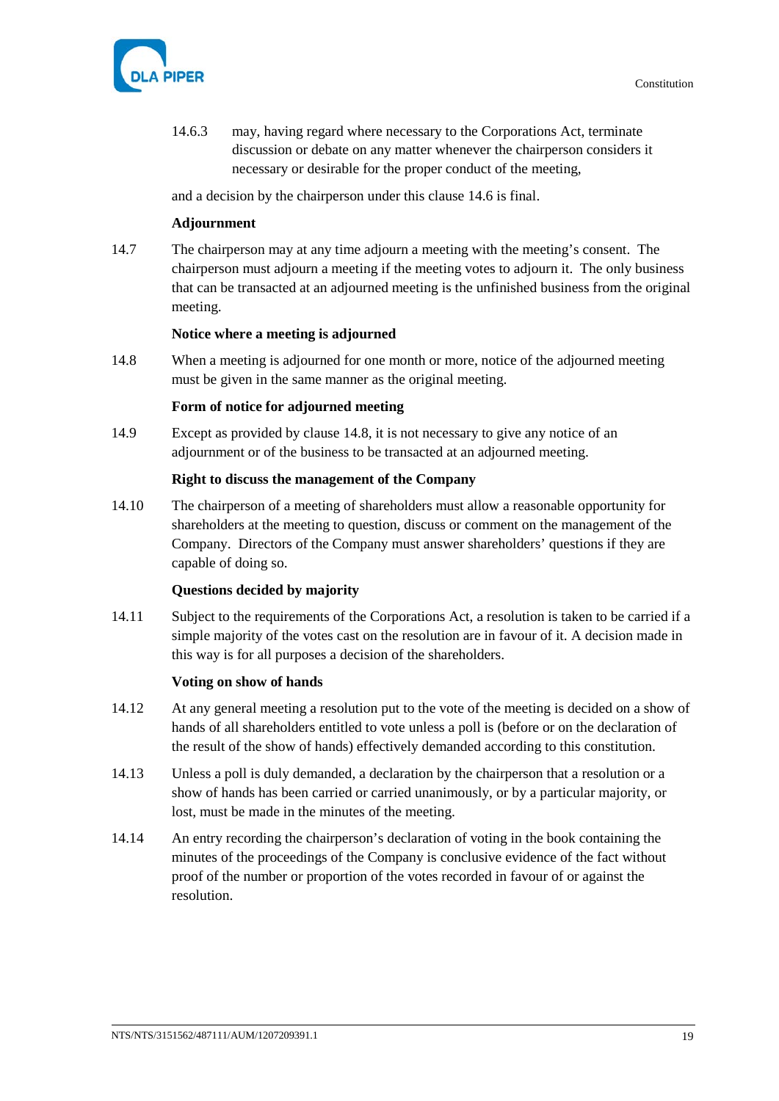

14.6.3 may, having regard where necessary to the Corporations Act, terminate discussion or debate on any matter whenever the chairperson considers it necessary or desirable for the proper conduct of the meeting,

and a decision by the chairperson under this clause [14.6](#page-23-0) is final.

# **Adjournment**

14.7 The chairperson may at any time adjourn a meeting with the meeting's consent. The chairperson must adjourn a meeting if the meeting votes to adjourn it. The only business that can be transacted at an adjourned meeting is the unfinished business from the original meeting.

#### **Notice where a meeting is adjourned**

<span id="page-24-0"></span>14.8 When a meeting is adjourned for one month or more, notice of the adjourned meeting must be given in the same manner as the original meeting.

#### **Form of notice for adjourned meeting**

14.9 Except as provided by clause [14.8,](#page-24-0) it is not necessary to give any notice of an adjournment or of the business to be transacted at an adjourned meeting.

# **Right to discuss the management of the Company**

14.10 The chairperson of a meeting of shareholders must allow a reasonable opportunity for shareholders at the meeting to question, discuss or comment on the management of the Company. Directors of the Company must answer shareholders' questions if they are capable of doing so.

# **Questions decided by majority**

14.11 Subject to the requirements of the Corporations Act, a resolution is taken to be carried if a simple majority of the votes cast on the resolution are in favour of it. A decision made in this way is for all purposes a decision of the shareholders.

#### **Voting on show of hands**

- 14.12 At any general meeting a resolution put to the vote of the meeting is decided on a show of hands of all shareholders entitled to vote unless a poll is (before or on the declaration of the result of the show of hands) effectively demanded according to this constitution.
- 14.13 Unless a poll is duly demanded, a declaration by the chairperson that a resolution or a show of hands has been carried or carried unanimously, or by a particular majority, or lost, must be made in the minutes of the meeting.
- 14.14 An entry recording the chairperson's declaration of voting in the book containing the minutes of the proceedings of the Company is conclusive evidence of the fact without proof of the number or proportion of the votes recorded in favour of or against the resolution.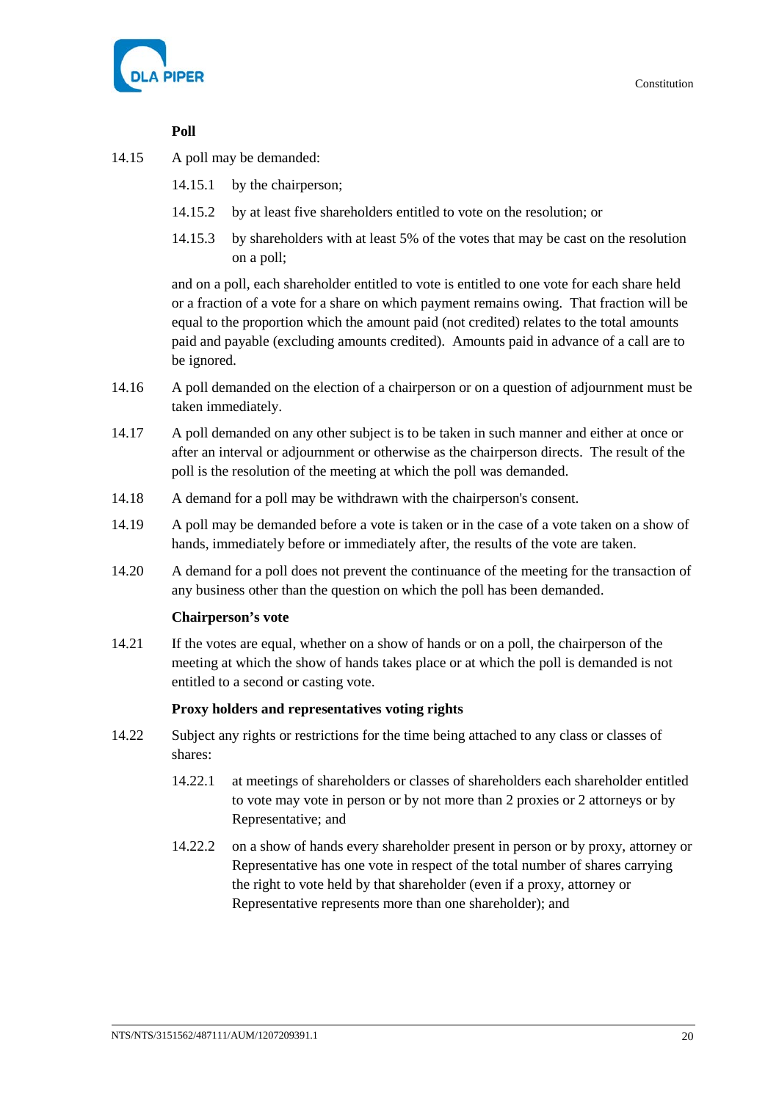

# **Poll**

- 14.15 A poll may be demanded:
	- 14.15.1 by the chairperson;
	- 14.15.2 by at least five shareholders entitled to vote on the resolution; or
	- 14.15.3 by shareholders with at least 5% of the votes that may be cast on the resolution on a poll;

and on a poll, each shareholder entitled to vote is entitled to one vote for each share held or a fraction of a vote for a share on which payment remains owing. That fraction will be equal to the proportion which the amount paid (not credited) relates to the total amounts paid and payable (excluding amounts credited). Amounts paid in advance of a call are to be ignored.

- 14.16 A poll demanded on the election of a chairperson or on a question of adjournment must be taken immediately.
- 14.17 A poll demanded on any other subject is to be taken in such manner and either at once or after an interval or adjournment or otherwise as the chairperson directs. The result of the poll is the resolution of the meeting at which the poll was demanded.
- 14.18 A demand for a poll may be withdrawn with the chairperson's consent.
- 14.19 A poll may be demanded before a vote is taken or in the case of a vote taken on a show of hands, immediately before or immediately after, the results of the vote are taken.
- 14.20 A demand for a poll does not prevent the continuance of the meeting for the transaction of any business other than the question on which the poll has been demanded.

# **Chairperson's vote**

14.21 If the votes are equal, whether on a show of hands or on a poll, the chairperson of the meeting at which the show of hands takes place or at which the poll is demanded is not entitled to a second or casting vote.

# **Proxy holders and representatives voting rights**

- 14.22 Subject any rights or restrictions for the time being attached to any class or classes of shares:
	- 14.22.1 at meetings of shareholders or classes of shareholders each shareholder entitled to vote may vote in person or by not more than 2 proxies or 2 attorneys or by Representative; and
	- 14.22.2 on a show of hands every shareholder present in person or by proxy, attorney or Representative has one vote in respect of the total number of shares carrying the right to vote held by that shareholder (even if a proxy, attorney or Representative represents more than one shareholder); and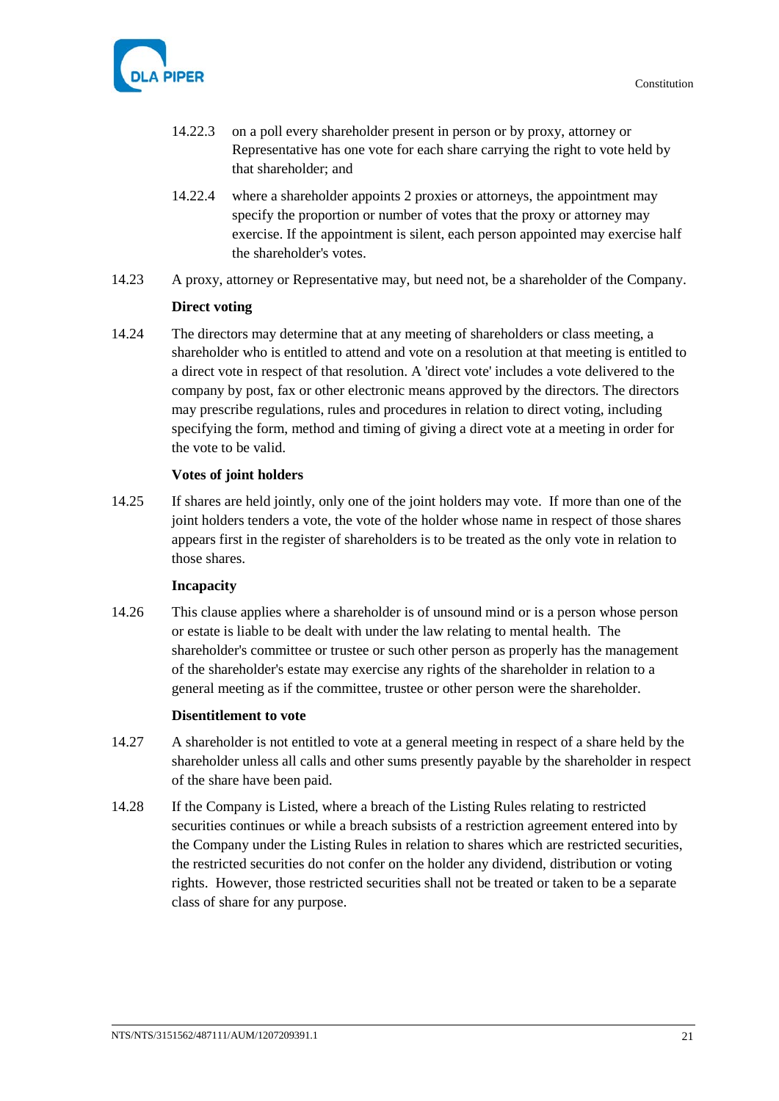

- 14.22.3 on a poll every shareholder present in person or by proxy, attorney or Representative has one vote for each share carrying the right to vote held by that shareholder; and
- 14.22.4 where a shareholder appoints 2 proxies or attorneys, the appointment may specify the proportion or number of votes that the proxy or attorney may exercise. If the appointment is silent, each person appointed may exercise half the shareholder's votes.
- 14.23 A proxy, attorney or Representative may, but need not, be a shareholder of the Company.

# **Direct voting**

<span id="page-26-0"></span>14.24 The directors may determine that at any meeting of shareholders or class meeting, a shareholder who is entitled to attend and vote on a resolution at that meeting is entitled to a direct vote in respect of that resolution. A 'direct vote' includes a vote delivered to the company by post, fax or other electronic means approved by the directors. The directors may prescribe regulations, rules and procedures in relation to direct voting, including specifying the form, method and timing of giving a direct vote at a meeting in order for the vote to be valid.

#### **Votes of joint holders**

14.25 If shares are held jointly, only one of the joint holders may vote. If more than one of the joint holders tenders a vote, the vote of the holder whose name in respect of those shares appears first in the register of shareholders is to be treated as the only vote in relation to those shares.

#### **Incapacity**

14.26 This clause applies where a shareholder is of unsound mind or is a person whose person or estate is liable to be dealt with under the law relating to mental health. The shareholder's committee or trustee or such other person as properly has the management of the shareholder's estate may exercise any rights of the shareholder in relation to a general meeting as if the committee, trustee or other person were the shareholder.

#### **Disentitlement to vote**

- 14.27 A shareholder is not entitled to vote at a general meeting in respect of a share held by the shareholder unless all calls and other sums presently payable by the shareholder in respect of the share have been paid.
- 14.28 If the Company is Listed, where a breach of the Listing Rules relating to restricted securities continues or while a breach subsists of a restriction agreement entered into by the Company under the Listing Rules in relation to shares which are restricted securities, the restricted securities do not confer on the holder any dividend, distribution or voting rights. However, those restricted securities shall not be treated or taken to be a separate class of share for any purpose.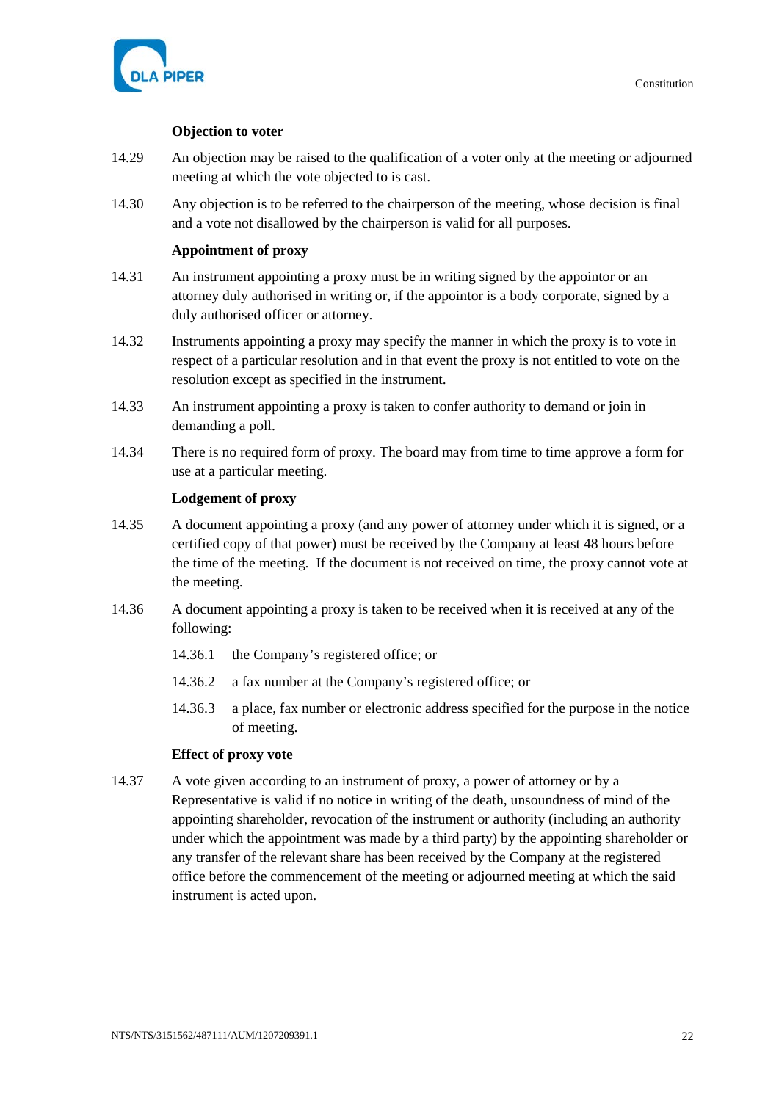

### **Objection to voter**

- 14.29 An objection may be raised to the qualification of a voter only at the meeting or adjourned meeting at which the vote objected to is cast.
- 14.30 Any objection is to be referred to the chairperson of the meeting, whose decision is final and a vote not disallowed by the chairperson is valid for all purposes.

### **Appointment of proxy**

- 14.31 An instrument appointing a proxy must be in writing signed by the appointor or an attorney duly authorised in writing or, if the appointor is a body corporate, signed by a duly authorised officer or attorney.
- 14.32 Instruments appointing a proxy may specify the manner in which the proxy is to vote in respect of a particular resolution and in that event the proxy is not entitled to vote on the resolution except as specified in the instrument.
- 14.33 An instrument appointing a proxy is taken to confer authority to demand or join in demanding a poll.
- 14.34 There is no required form of proxy. The board may from time to time approve a form for use at a particular meeting.

#### **Lodgement of proxy**

- 14.35 A document appointing a proxy (and any power of attorney under which it is signed, or a certified copy of that power) must be received by the Company at least 48 hours before the time of the meeting. If the document is not received on time, the proxy cannot vote at the meeting.
- 14.36 A document appointing a proxy is taken to be received when it is received at any of the following:
	- 14.36.1 the Company's registered office; or
	- 14.36.2 a fax number at the Company's registered office; or
	- 14.36.3 a place, fax number or electronic address specified for the purpose in the notice of meeting.

#### **Effect of proxy vote**

14.37 A vote given according to an instrument of proxy, a power of attorney or by a Representative is valid if no notice in writing of the death, unsoundness of mind of the appointing shareholder, revocation of the instrument or authority (including an authority under which the appointment was made by a third party) by the appointing shareholder or any transfer of the relevant share has been received by the Company at the registered office before the commencement of the meeting or adjourned meeting at which the said instrument is acted upon.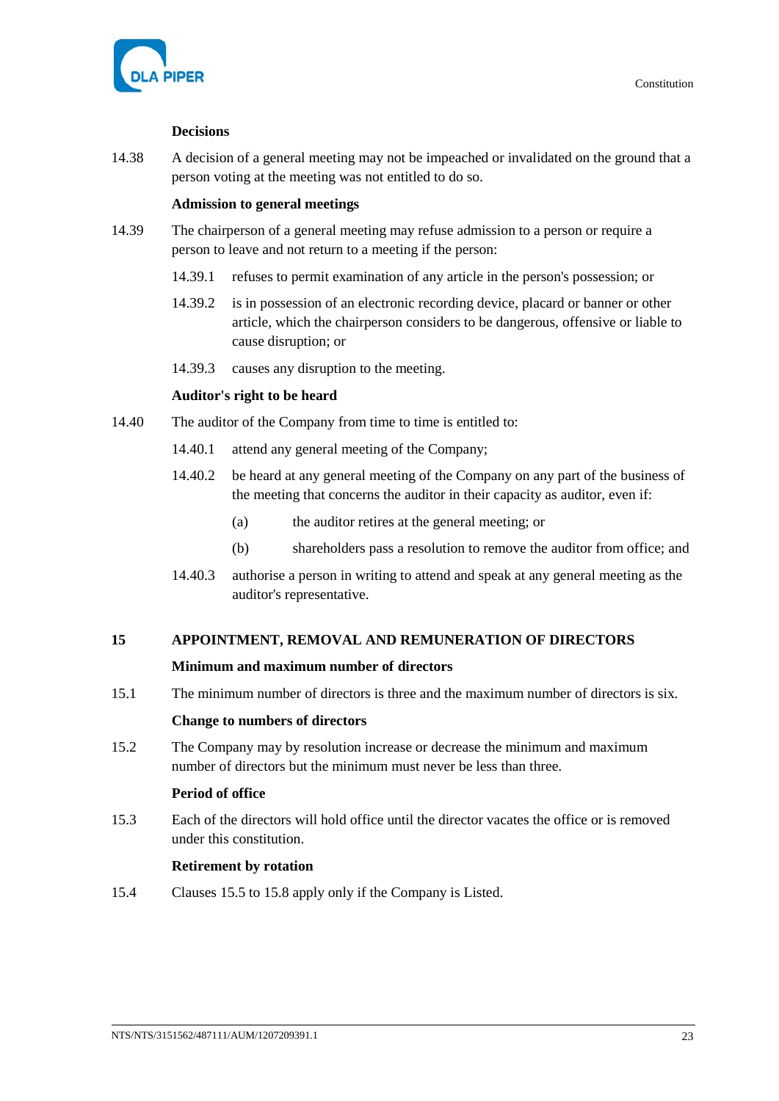

# **Decisions**

14.38 A decision of a general meeting may not be impeached or invalidated on the ground that a person voting at the meeting was not entitled to do so.

# **Admission to general meetings**

- 14.39 The chairperson of a general meeting may refuse admission to a person or require a person to leave and not return to a meeting if the person:
	- 14.39.1 refuses to permit examination of any article in the person's possession; or
	- 14.39.2 is in possession of an electronic recording device, placard or banner or other article, which the chairperson considers to be dangerous, offensive or liable to cause disruption; or
	- 14.39.3 causes any disruption to the meeting.

# **Auditor's right to be heard**

- 14.40 The auditor of the Company from time to time is entitled to:
	- 14.40.1 attend any general meeting of the Company;
	- 14.40.2 be heard at any general meeting of the Company on any part of the business of the meeting that concerns the auditor in their capacity as auditor, even if:
		- (a) the auditor retires at the general meeting; or
		- (b) shareholders pass a resolution to remove the auditor from office; and
	- 14.40.3 authorise a person in writing to attend and speak at any general meeting as the auditor's representative.

# **15 APPOINTMENT, REMOVAL AND REMUNERATION OF DIRECTORS**

# **Minimum and maximum number of directors**

15.1 The minimum number of directors is three and the maximum number of directors is six.

# **Change to numbers of directors**

15.2 The Company may by resolution increase or decrease the minimum and maximum number of directors but the minimum must never be less than three.

# **Period of office**

15.3 Each of the directors will hold office until the director vacates the office or is removed under this constitution.

# **Retirement by rotation**

15.4 Clauses [15.5](#page-29-0) t[o 15.8](#page-29-1) apply only if the Company is Listed.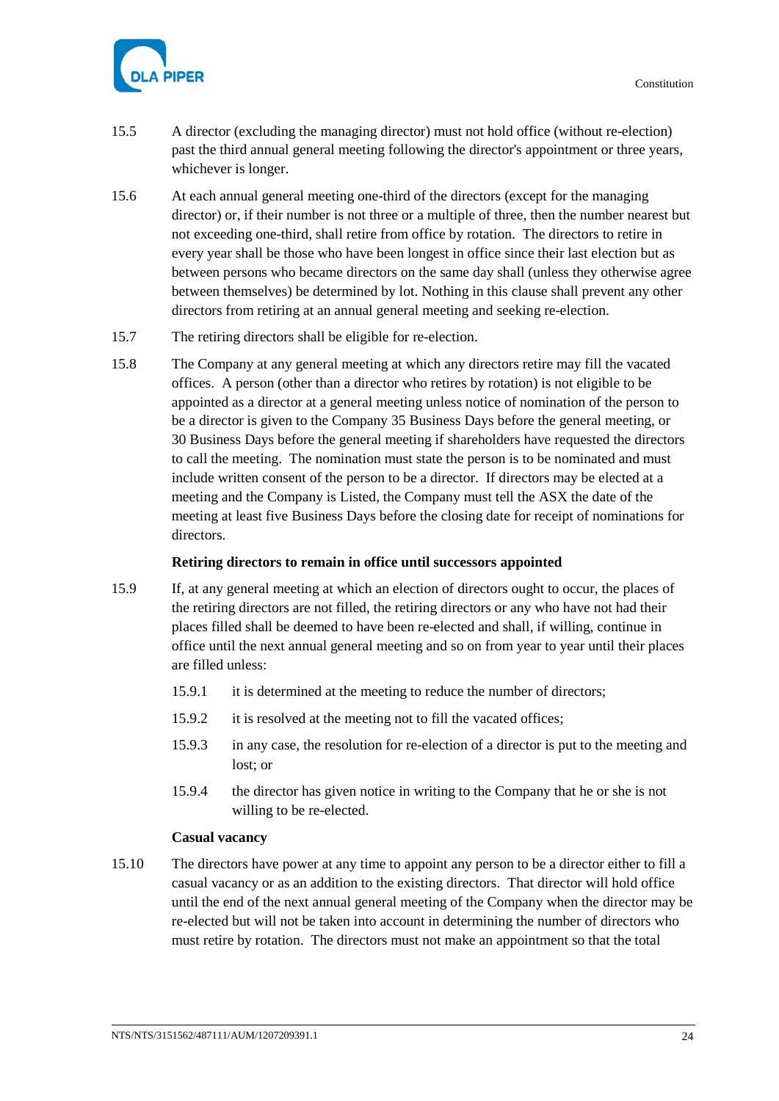

- <span id="page-29-0"></span>15.5 A director (excluding the managing director) must not hold office (without re-election) past the third annual general meeting following the director's appointment or three years, whichever is longer.
- 15.6 At each annual general meeting one-third of the directors (except for the managing director) or, if their number is not three or a multiple of three, then the number nearest but not exceeding one-third, shall retire from office by rotation. The directors to retire in every year shall be those who have been longest in office since their last election but as between persons who became directors on the same day shall (unless they otherwise agree between themselves) be determined by lot. Nothing in this clause shall prevent any other directors from retiring at an annual general meeting and seeking re-election.
- 15.7 The retiring directors shall be eligible for re-election.
- <span id="page-29-1"></span>15.8 The Company at any general meeting at which any directors retire may fill the vacated offices. A person (other than a director who retires by rotation) is not eligible to be appointed as a director at a general meeting unless notice of nomination of the person to be a director is given to the Company 35 Business Days before the general meeting, or 30 Business Days before the general meeting if shareholders have requested the directors to call the meeting. The nomination must state the person is to be nominated and must include written consent of the person to be a director. If directors may be elected at a meeting and the Company is Listed, the Company must tell the ASX the date of the meeting at least five Business Days before the closing date for receipt of nominations for directors.

# **Retiring directors to remain in office until successors appointed**

- 15.9 If, at any general meeting at which an election of directors ought to occur, the places of the retiring directors are not filled, the retiring directors or any who have not had their places filled shall be deemed to have been re-elected and shall, if willing, continue in office until the next annual general meeting and so on from year to year until their places are filled unless:
	- 15.9.1 it is determined at the meeting to reduce the number of directors;
	- 15.9.2 it is resolved at the meeting not to fill the vacated offices;
	- 15.9.3 in any case, the resolution for re-election of a director is put to the meeting and lost; or
	- 15.9.4 the director has given notice in writing to the Company that he or she is not willing to be re-elected.

# **Casual vacancy**

15.10 The directors have power at any time to appoint any person to be a director either to fill a casual vacancy or as an addition to the existing directors. That director will hold office until the end of the next annual general meeting of the Company when the director may be re-elected but will not be taken into account in determining the number of directors who must retire by rotation. The directors must not make an appointment so that the total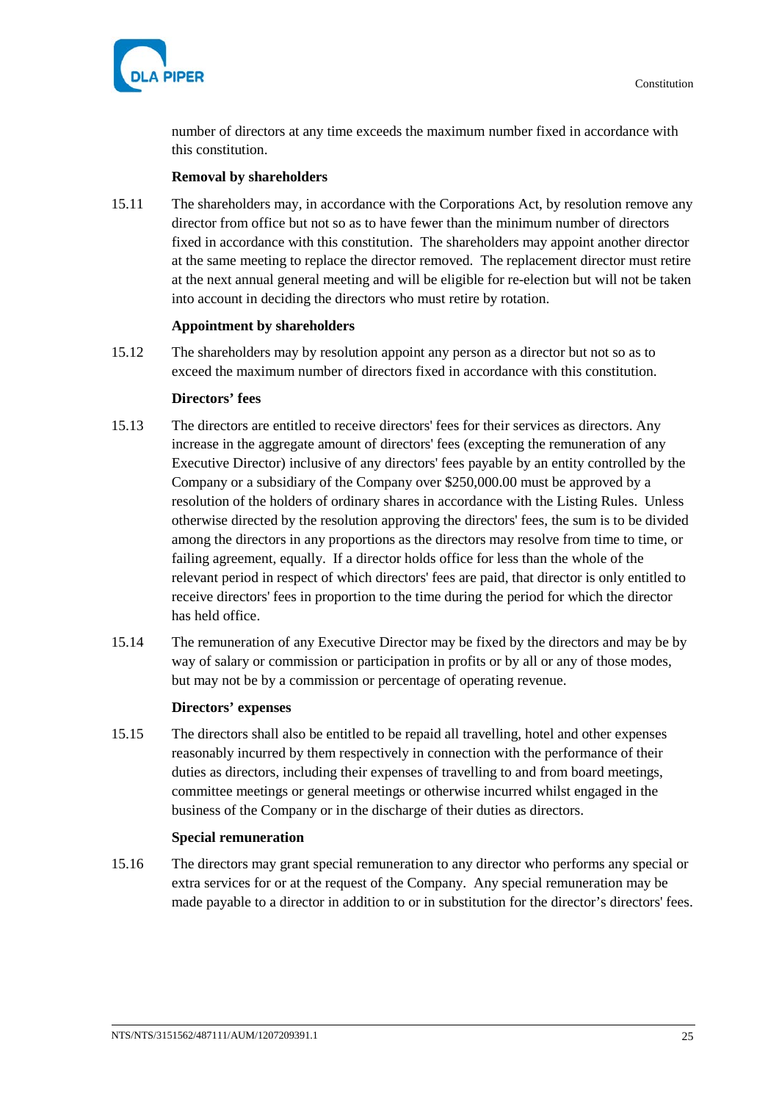

number of directors at any time exceeds the maximum number fixed in accordance with this constitution.

#### **Removal by shareholders**

<span id="page-30-0"></span>15.11 The shareholders may, in accordance with the Corporations Act, by resolution remove any director from office but not so as to have fewer than the minimum number of directors fixed in accordance with this constitution. The shareholders may appoint another director at the same meeting to replace the director removed. The replacement director must retire at the next annual general meeting and will be eligible for re-election but will not be taken into account in deciding the directors who must retire by rotation.

#### **Appointment by shareholders**

15.12 The shareholders may by resolution appoint any person as a director but not so as to exceed the maximum number of directors fixed in accordance with this constitution.

# **Directors' fees**

- 15.13 The directors are entitled to receive directors' fees for their services as directors. Any increase in the aggregate amount of directors' fees (excepting the remuneration of any Executive Director) inclusive of any directors' fees payable by an entity controlled by the Company or a subsidiary of the Company over \$250,000.00 must be approved by a resolution of the holders of ordinary shares in accordance with the Listing Rules. Unless otherwise directed by the resolution approving the directors' fees, the sum is to be divided among the directors in any proportions as the directors may resolve from time to time, or failing agreement, equally. If a director holds office for less than the whole of the relevant period in respect of which directors' fees are paid, that director is only entitled to receive directors' fees in proportion to the time during the period for which the director has held office.
- 15.14 The remuneration of any Executive Director may be fixed by the directors and may be by way of salary or commission or participation in profits or by all or any of those modes, but may not be by a commission or percentage of operating revenue.

#### **Directors' expenses**

15.15 The directors shall also be entitled to be repaid all travelling, hotel and other expenses reasonably incurred by them respectively in connection with the performance of their duties as directors, including their expenses of travelling to and from board meetings, committee meetings or general meetings or otherwise incurred whilst engaged in the business of the Company or in the discharge of their duties as directors.

#### **Special remuneration**

15.16 The directors may grant special remuneration to any director who performs any special or extra services for or at the request of the Company. Any special remuneration may be made payable to a director in addition to or in substitution for the director's directors' fees.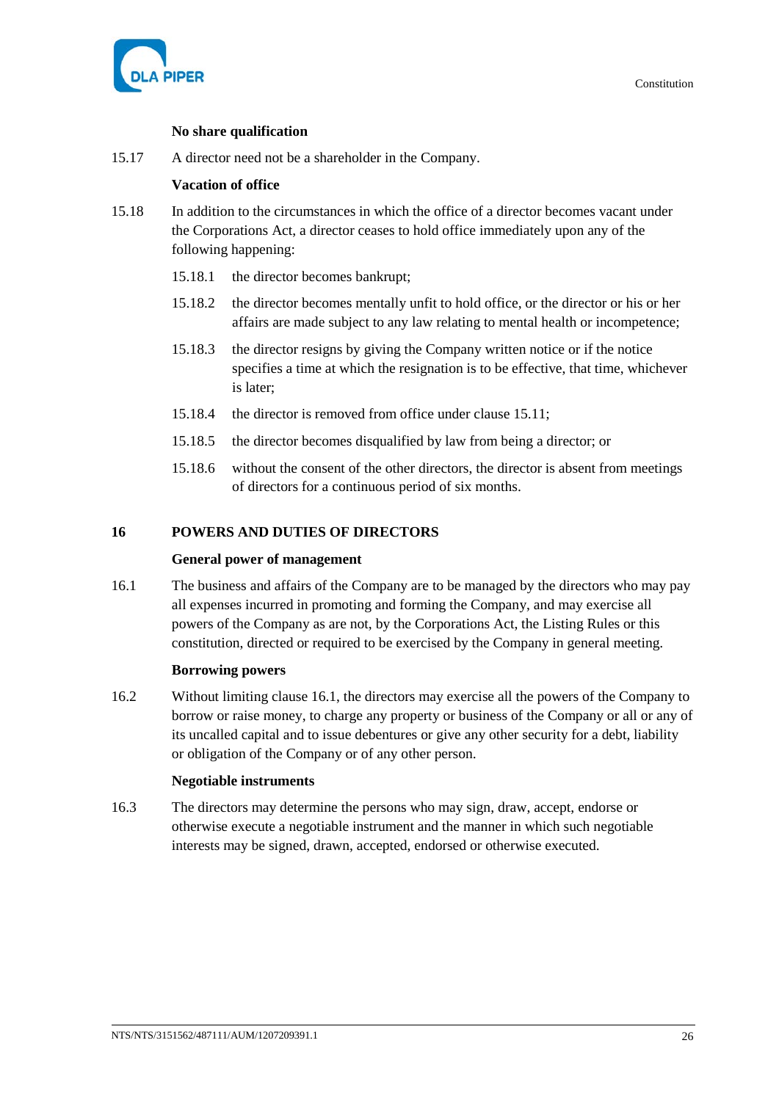

# **No share qualification**

15.17 A director need not be a shareholder in the Company.

# **Vacation of office**

- 15.18 In addition to the circumstances in which the office of a director becomes vacant under the Corporations Act, a director ceases to hold office immediately upon any of the following happening:
	- 15.18.1 the director becomes bankrupt;
	- 15.18.2 the director becomes mentally unfit to hold office, or the director or his or her affairs are made subject to any law relating to mental health or incompetence;
	- 15.18.3 the director resigns by giving the Company written notice or if the notice specifies a time at which the resignation is to be effective, that time, whichever is later;
	- 15.18.4 the director is removed from office under clause [15.11;](#page-30-0)
	- 15.18.5 the director becomes disqualified by law from being a director; or
	- 15.18.6 without the consent of the other directors, the director is absent from meetings of directors for a continuous period of six months.

# **16 POWERS AND DUTIES OF DIRECTORS**

# **General power of management**

<span id="page-31-0"></span>16.1 The business and affairs of the Company are to be managed by the directors who may pay all expenses incurred in promoting and forming the Company, and may exercise all powers of the Company as are not, by the Corporations Act, the Listing Rules or this constitution, directed or required to be exercised by the Company in general meeting.

# **Borrowing powers**

16.2 Without limiting clause [16.1,](#page-31-0) the directors may exercise all the powers of the Company to borrow or raise money, to charge any property or business of the Company or all or any of its uncalled capital and to issue debentures or give any other security for a debt, liability or obligation of the Company or of any other person.

# **Negotiable instruments**

16.3 The directors may determine the persons who may sign, draw, accept, endorse or otherwise execute a negotiable instrument and the manner in which such negotiable interests may be signed, drawn, accepted, endorsed or otherwise executed.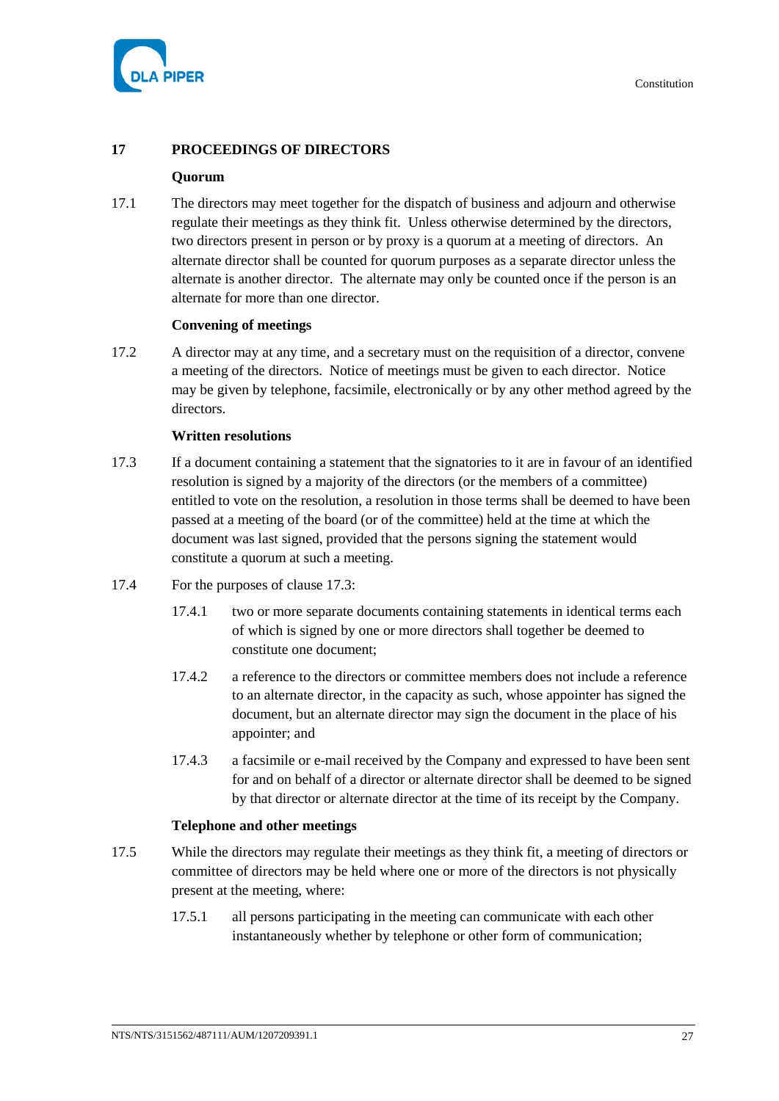

# **17 PROCEEDINGS OF DIRECTORS**

# **Quorum**

17.1 The directors may meet together for the dispatch of business and adjourn and otherwise regulate their meetings as they think fit. Unless otherwise determined by the directors, two directors present in person or by proxy is a quorum at a meeting of directors. An alternate director shall be counted for quorum purposes as a separate director unless the alternate is another director. The alternate may only be counted once if the person is an alternate for more than one director.

#### **Convening of meetings**

17.2 A director may at any time, and a secretary must on the requisition of a director, convene a meeting of the directors. Notice of meetings must be given to each director. Notice may be given by telephone, facsimile, electronically or by any other method agreed by the directors.

#### **Written resolutions**

- <span id="page-32-0"></span>17.3 If a document containing a statement that the signatories to it are in favour of an identified resolution is signed by a majority of the directors (or the members of a committee) entitled to vote on the resolution, a resolution in those terms shall be deemed to have been passed at a meeting of the board (or of the committee) held at the time at which the document was last signed, provided that the persons signing the statement would constitute a quorum at such a meeting.
- 17.4 For the purposes of clause [17.3:](#page-32-0)
	- 17.4.1 two or more separate documents containing statements in identical terms each of which is signed by one or more directors shall together be deemed to constitute one document;
	- 17.4.2 a reference to the directors or committee members does not include a reference to an alternate director, in the capacity as such, whose appointer has signed the document, but an alternate director may sign the document in the place of his appointer; and
	- 17.4.3 a facsimile or e-mail received by the Company and expressed to have been sent for and on behalf of a director or alternate director shall be deemed to be signed by that director or alternate director at the time of its receipt by the Company.

#### **Telephone and other meetings**

- <span id="page-32-1"></span>17.5 While the directors may regulate their meetings as they think fit, a meeting of directors or committee of directors may be held where one or more of the directors is not physically present at the meeting, where:
	- 17.5.1 all persons participating in the meeting can communicate with each other instantaneously whether by telephone or other form of communication;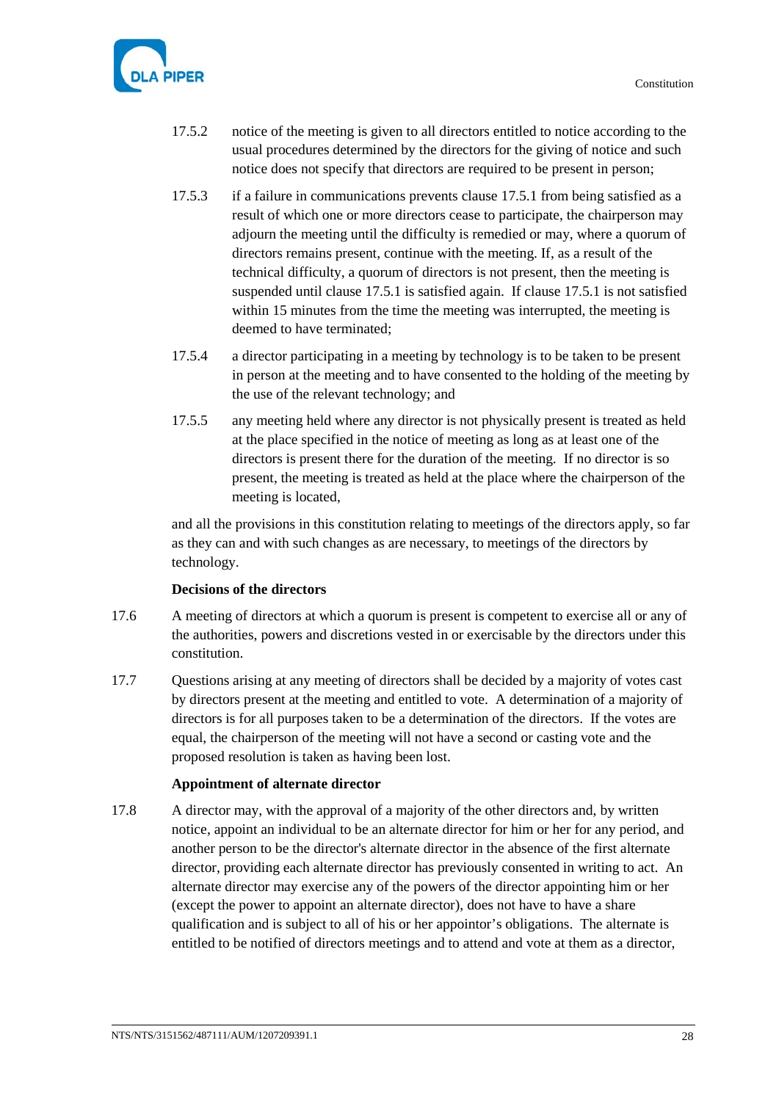

- 17.5.2 notice of the meeting is given to all directors entitled to notice according to the usual procedures determined by the directors for the giving of notice and such notice does not specify that directors are required to be present in person;
- 17.5.3 if a failure in communications prevents clause [17.5.1](#page-32-1) from being satisfied as a result of which one or more directors cease to participate, the chairperson may adjourn the meeting until the difficulty is remedied or may, where a quorum of directors remains present, continue with the meeting. If, as a result of the technical difficulty, a quorum of directors is not present, then the meeting is suspended until clause [17.5.1](#page-32-1) is satisfied again. If clause [17.5.1](#page-32-1) is not satisfied within 15 minutes from the time the meeting was interrupted, the meeting is deemed to have terminated;
- 17.5.4 a director participating in a meeting by technology is to be taken to be present in person at the meeting and to have consented to the holding of the meeting by the use of the relevant technology; and
- 17.5.5 any meeting held where any director is not physically present is treated as held at the place specified in the notice of meeting as long as at least one of the directors is present there for the duration of the meeting. If no director is so present, the meeting is treated as held at the place where the chairperson of the meeting is located,

and all the provisions in this constitution relating to meetings of the directors apply, so far as they can and with such changes as are necessary, to meetings of the directors by technology.

# **Decisions of the directors**

- 17.6 A meeting of directors at which a quorum is present is competent to exercise all or any of the authorities, powers and discretions vested in or exercisable by the directors under this constitution.
- 17.7 Questions arising at any meeting of directors shall be decided by a majority of votes cast by directors present at the meeting and entitled to vote. A determination of a majority of directors is for all purposes taken to be a determination of the directors. If the votes are equal, the chairperson of the meeting will not have a second or casting vote and the proposed resolution is taken as having been lost.

# **Appointment of alternate director**

17.8 A director may, with the approval of a majority of the other directors and, by written notice, appoint an individual to be an alternate director for him or her for any period, and another person to be the director's alternate director in the absence of the first alternate director, providing each alternate director has previously consented in writing to act. An alternate director may exercise any of the powers of the director appointing him or her (except the power to appoint an alternate director), does not have to have a share qualification and is subject to all of his or her appointor's obligations. The alternate is entitled to be notified of directors meetings and to attend and vote at them as a director,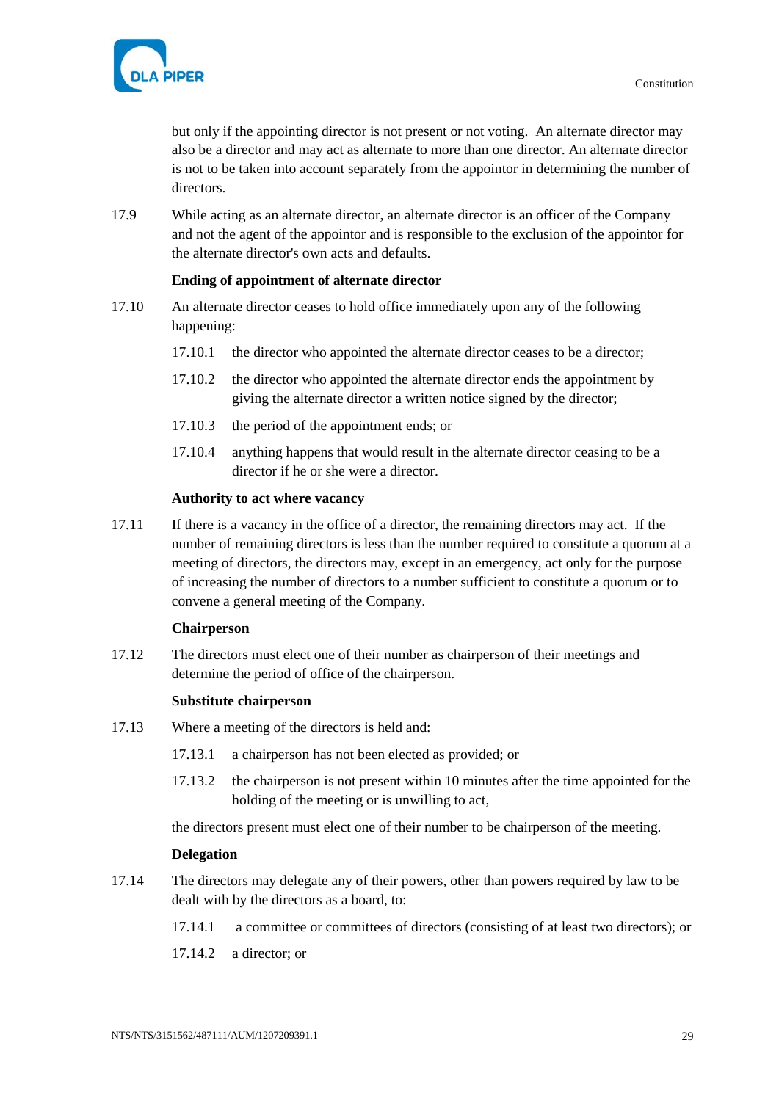

but only if the appointing director is not present or not voting. An alternate director may also be a director and may act as alternate to more than one director. An alternate director is not to be taken into account separately from the appointor in determining the number of directors.

17.9 While acting as an alternate director, an alternate director is an officer of the Company and not the agent of the appointor and is responsible to the exclusion of the appointor for the alternate director's own acts and defaults.

# **Ending of appointment of alternate director**

- 17.10 An alternate director ceases to hold office immediately upon any of the following happening:
	- 17.10.1 the director who appointed the alternate director ceases to be a director;
	- 17.10.2 the director who appointed the alternate director ends the appointment by giving the alternate director a written notice signed by the director;
	- 17.10.3 the period of the appointment ends; or
	- 17.10.4 anything happens that would result in the alternate director ceasing to be a director if he or she were a director.

#### **Authority to act where vacancy**

17.11 If there is a vacancy in the office of a director, the remaining directors may act. If the number of remaining directors is less than the number required to constitute a quorum at a meeting of directors, the directors may, except in an emergency, act only for the purpose of increasing the number of directors to a number sufficient to constitute a quorum or to convene a general meeting of the Company.

#### **Chairperson**

17.12 The directors must elect one of their number as chairperson of their meetings and determine the period of office of the chairperson.

# **Substitute chairperson**

- 17.13 Where a meeting of the directors is held and:
	- 17.13.1 a chairperson has not been elected as provided; or
	- 17.13.2 the chairperson is not present within 10 minutes after the time appointed for the holding of the meeting or is unwilling to act,

the directors present must elect one of their number to be chairperson of the meeting.

#### **Delegation**

- <span id="page-34-0"></span>17.14 The directors may delegate any of their powers, other than powers required by law to be dealt with by the directors as a board, to:
	- 17.14.1 a committee or committees of directors (consisting of at least two directors); or
	- 17.14.2 a director; or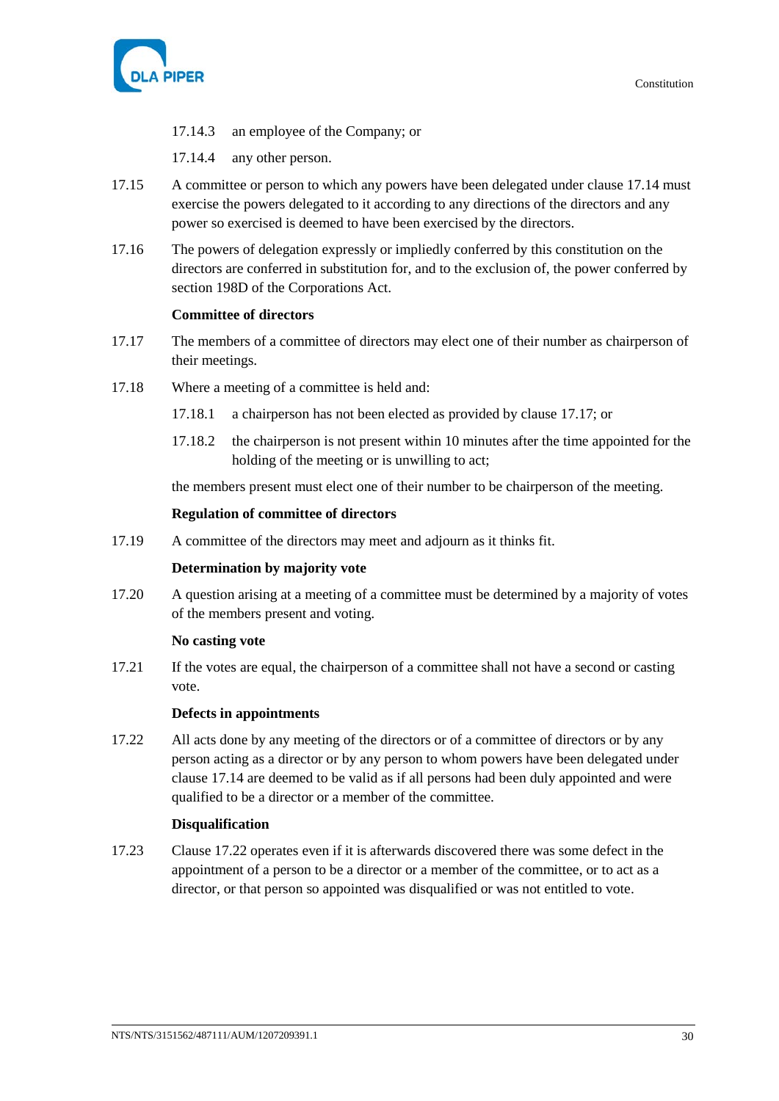

- 17.14.3 an employee of the Company; or
- 17.14.4 any other person.
- 17.15 A committee or person to which any powers have been delegated under clause [17.14](#page-34-0) must exercise the powers delegated to it according to any directions of the directors and any power so exercised is deemed to have been exercised by the directors.
- 17.16 The powers of delegation expressly or impliedly conferred by this constitution on the directors are conferred in substitution for, and to the exclusion of, the power conferred by section 198D of the Corporations Act.

# **Committee of directors**

- <span id="page-35-0"></span>17.17 The members of a committee of directors may elect one of their number as chairperson of their meetings.
- 17.18 Where a meeting of a committee is held and:
	- 17.18.1 a chairperson has not been elected as provided by clause [17.17;](#page-35-0) or
	- 17.18.2 the chairperson is not present within 10 minutes after the time appointed for the holding of the meeting or is unwilling to act;

the members present must elect one of their number to be chairperson of the meeting.

# **Regulation of committee of directors**

17.19 A committee of the directors may meet and adjourn as it thinks fit.

# **Determination by majority vote**

17.20 A question arising at a meeting of a committee must be determined by a majority of votes of the members present and voting.

# **No casting vote**

17.21 If the votes are equal, the chairperson of a committee shall not have a second or casting vote.

# **Defects in appointments**

<span id="page-35-1"></span>17.22 All acts done by any meeting of the directors or of a committee of directors or by any person acting as a director or by any person to whom powers have been delegated under clause [17.14](#page-34-0) are deemed to be valid as if all persons had been duly appointed and were qualified to be a director or a member of the committee.

# **Disqualification**

17.23 Clause [17.22](#page-35-1) operates even if it is afterwards discovered there was some defect in the appointment of a person to be a director or a member of the committee, or to act as a director, or that person so appointed was disqualified or was not entitled to vote.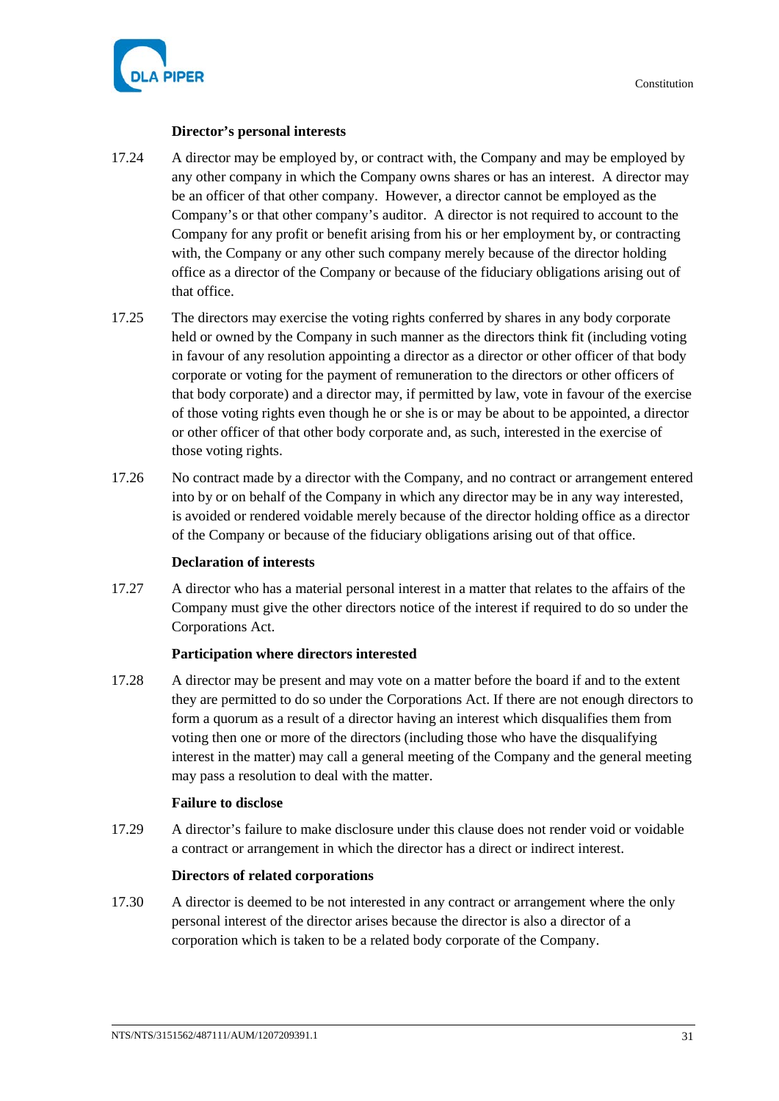

# **Director's personal interests**

- 17.24 A director may be employed by, or contract with, the Company and may be employed by any other company in which the Company owns shares or has an interest. A director may be an officer of that other company. However, a director cannot be employed as the Company's or that other company's auditor. A director is not required to account to the Company for any profit or benefit arising from his or her employment by, or contracting with, the Company or any other such company merely because of the director holding office as a director of the Company or because of the fiduciary obligations arising out of that office.
- 17.25 The directors may exercise the voting rights conferred by shares in any body corporate held or owned by the Company in such manner as the directors think fit (including voting in favour of any resolution appointing a director as a director or other officer of that body corporate or voting for the payment of remuneration to the directors or other officers of that body corporate) and a director may, if permitted by law, vote in favour of the exercise of those voting rights even though he or she is or may be about to be appointed, a director or other officer of that other body corporate and, as such, interested in the exercise of those voting rights.
- 17.26 No contract made by a director with the Company, and no contract or arrangement entered into by or on behalf of the Company in which any director may be in any way interested, is avoided or rendered voidable merely because of the director holding office as a director of the Company or because of the fiduciary obligations arising out of that office.

# **Declaration of interests**

17.27 A director who has a material personal interest in a matter that relates to the affairs of the Company must give the other directors notice of the interest if required to do so under the Corporations Act.

# **Participation where directors interested**

17.28 A director may be present and may vote on a matter before the board if and to the extent they are permitted to do so under the Corporations Act. If there are not enough directors to form a quorum as a result of a director having an interest which disqualifies them from voting then one or more of the directors (including those who have the disqualifying interest in the matter) may call a general meeting of the Company and the general meeting may pass a resolution to deal with the matter.

# **Failure to disclose**

17.29 A director's failure to make disclosure under this clause does not render void or voidable a contract or arrangement in which the director has a direct or indirect interest.

# **Directors of related corporations**

17.30 A director is deemed to be not interested in any contract or arrangement where the only personal interest of the director arises because the director is also a director of a corporation which is taken to be a related body corporate of the Company.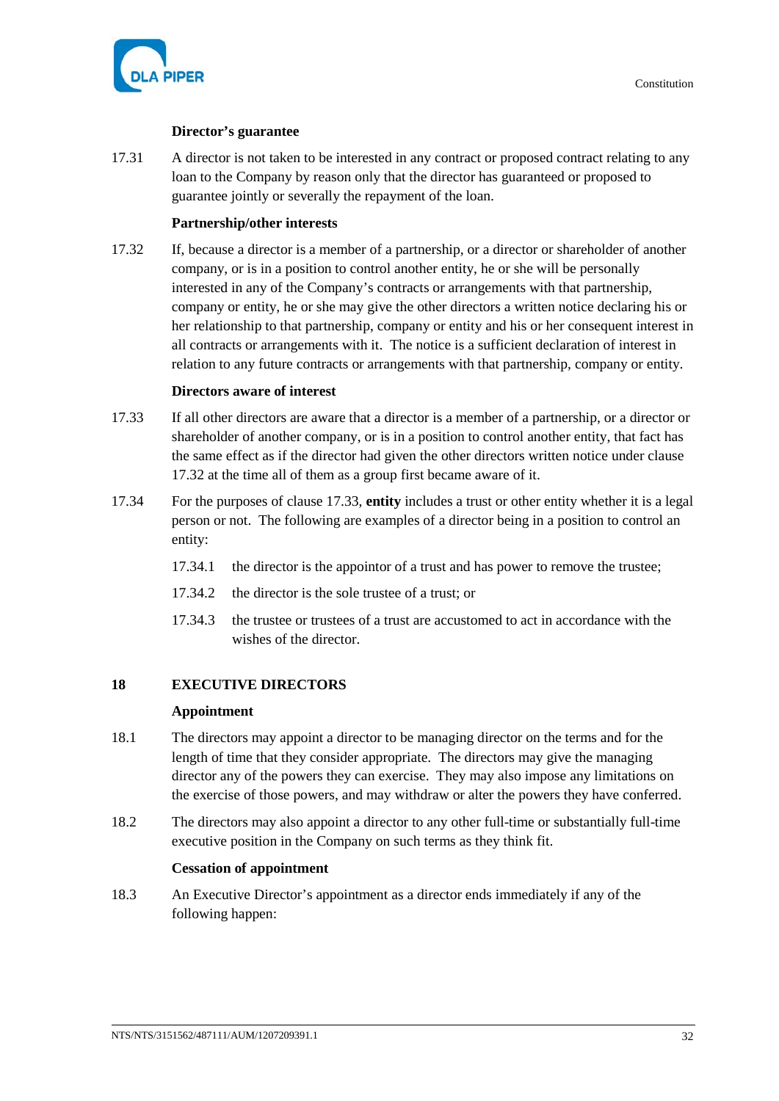

# **Director's guarantee**

17.31 A director is not taken to be interested in any contract or proposed contract relating to any loan to the Company by reason only that the director has guaranteed or proposed to guarantee jointly or severally the repayment of the loan.

# **Partnership/other interests**

<span id="page-37-2"></span>17.32 If, because a director is a member of a partnership, or a director or shareholder of another company, or is in a position to control another entity, he or she will be personally interested in any of the Company's contracts or arrangements with that partnership, company or entity, he or she may give the other directors a written notice declaring his or her relationship to that partnership, company or entity and his or her consequent interest in all contracts or arrangements with it. The notice is a sufficient declaration of interest in relation to any future contracts or arrangements with that partnership, company or entity.

# **Directors aware of interest**

- <span id="page-37-3"></span>17.33 If all other directors are aware that a director is a member of a partnership, or a director or shareholder of another company, or is in a position to control another entity, that fact has the same effect as if the director had given the other directors written notice under clause [17.32](#page-37-2) at the time all of them as a group first became aware of it.
- 17.34 For the purposes of clause [17.33,](#page-37-3) **entity** includes a trust or other entity whether it is a legal person or not. The following are examples of a director being in a position to control an entity:
	- 17.34.1 the director is the appointor of a trust and has power to remove the trustee;
	- 17.34.2 the director is the sole trustee of a trust; or
	- 17.34.3 the trustee or trustees of a trust are accustomed to act in accordance with the wishes of the director.

# **18 EXECUTIVE DIRECTORS**

# **Appointment**

- <span id="page-37-0"></span>18.1 The directors may appoint a director to be managing director on the terms and for the length of time that they consider appropriate. The directors may give the managing director any of the powers they can exercise. They may also impose any limitations on the exercise of those powers, and may withdraw or alter the powers they have conferred.
- <span id="page-37-1"></span>18.2 The directors may also appoint a director to any other full-time or substantially full-time executive position in the Company on such terms as they think fit.

# **Cessation of appointment**

18.3 An Executive Director's appointment as a director ends immediately if any of the following happen: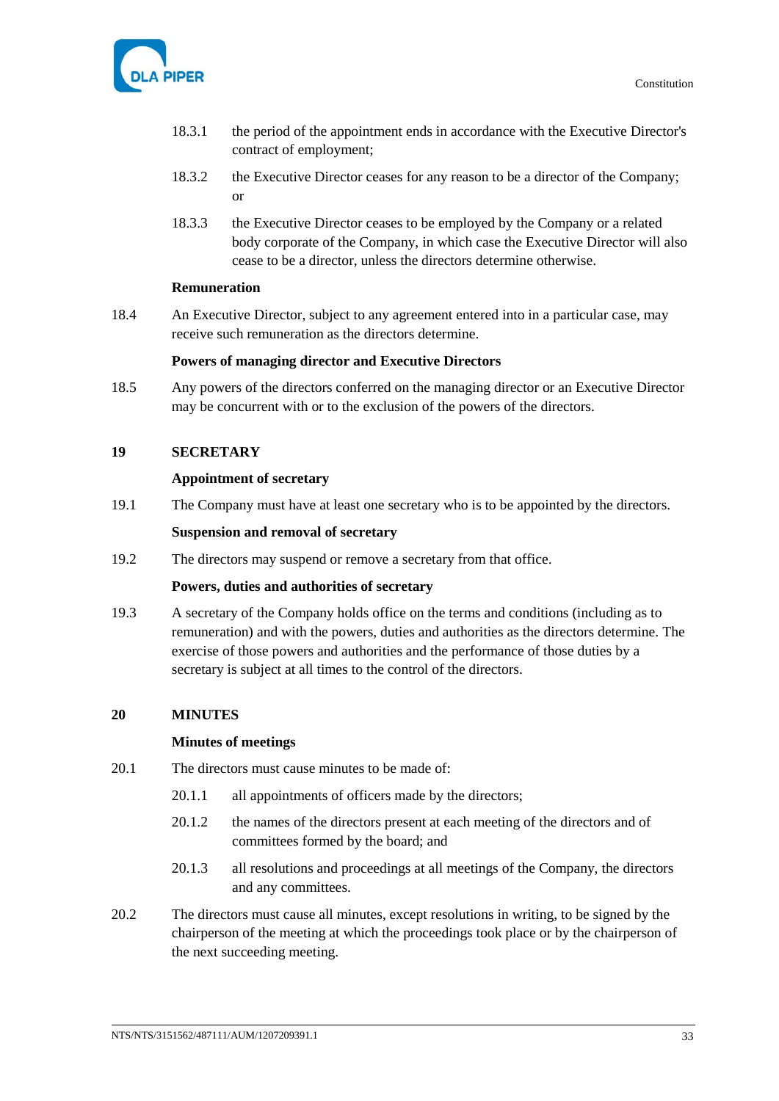

- 18.3.1 the period of the appointment ends in accordance with the Executive Director's contract of employment;
- 18.3.2 the Executive Director ceases for any reason to be a director of the Company; or
- 18.3.3 the Executive Director ceases to be employed by the Company or a related body corporate of the Company, in which case the Executive Director will also cease to be a director, unless the directors determine otherwise.

# **Remuneration**

18.4 An Executive Director, subject to any agreement entered into in a particular case, may receive such remuneration as the directors determine.

#### **Powers of managing director and Executive Directors**

18.5 Any powers of the directors conferred on the managing director or an Executive Director may be concurrent with or to the exclusion of the powers of the directors.

# **19 SECRETARY**

#### **Appointment of secretary**

19.1 The Company must have at least one secretary who is to be appointed by the directors.

#### **Suspension and removal of secretary**

19.2 The directors may suspend or remove a secretary from that office.

#### **Powers, duties and authorities of secretary**

19.3 A secretary of the Company holds office on the terms and conditions (including as to remuneration) and with the powers, duties and authorities as the directors determine. The exercise of those powers and authorities and the performance of those duties by a secretary is subject at all times to the control of the directors.

# **20 MINUTES**

#### **Minutes of meetings**

- 20.1 The directors must cause minutes to be made of:
	- 20.1.1 all appointments of officers made by the directors;
	- 20.1.2 the names of the directors present at each meeting of the directors and of committees formed by the board; and
	- 20.1.3 all resolutions and proceedings at all meetings of the Company, the directors and any committees.
- 20.2 The directors must cause all minutes, except resolutions in writing, to be signed by the chairperson of the meeting at which the proceedings took place or by the chairperson of the next succeeding meeting.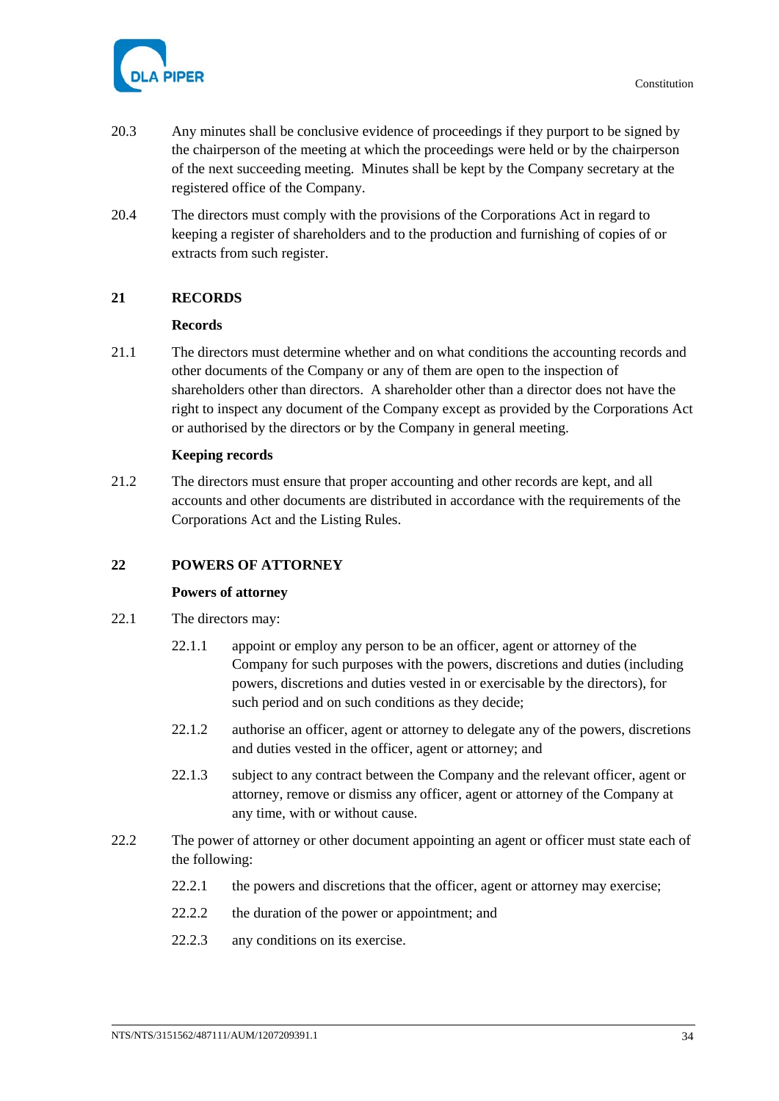

- 20.3 Any minutes shall be conclusive evidence of proceedings if they purport to be signed by the chairperson of the meeting at which the proceedings were held or by the chairperson of the next succeeding meeting. Minutes shall be kept by the Company secretary at the registered office of the Company.
- 20.4 The directors must comply with the provisions of the Corporations Act in regard to keeping a register of shareholders and to the production and furnishing of copies of or extracts from such register.

# **21 RECORDS**

# **Records**

21.1 The directors must determine whether and on what conditions the accounting records and other documents of the Company or any of them are open to the inspection of shareholders other than directors. A shareholder other than a director does not have the right to inspect any document of the Company except as provided by the Corporations Act or authorised by the directors or by the Company in general meeting.

# **Keeping records**

21.2 The directors must ensure that proper accounting and other records are kept, and all accounts and other documents are distributed in accordance with the requirements of the Corporations Act and the Listing Rules.

# **22 POWERS OF ATTORNEY**

# **Powers of attorney**

- 22.1 The directors may:
	- 22.1.1 appoint or employ any person to be an officer, agent or attorney of the Company for such purposes with the powers, discretions and duties (including powers, discretions and duties vested in or exercisable by the directors), for such period and on such conditions as they decide;
	- 22.1.2 authorise an officer, agent or attorney to delegate any of the powers, discretions and duties vested in the officer, agent or attorney; and
	- 22.1.3 subject to any contract between the Company and the relevant officer, agent or attorney, remove or dismiss any officer, agent or attorney of the Company at any time, with or without cause.
- 22.2 The power of attorney or other document appointing an agent or officer must state each of the following:
	- 22.2.1 the powers and discretions that the officer, agent or attorney may exercise;
	- 22.2.2 the duration of the power or appointment; and
	- 22.2.3 any conditions on its exercise.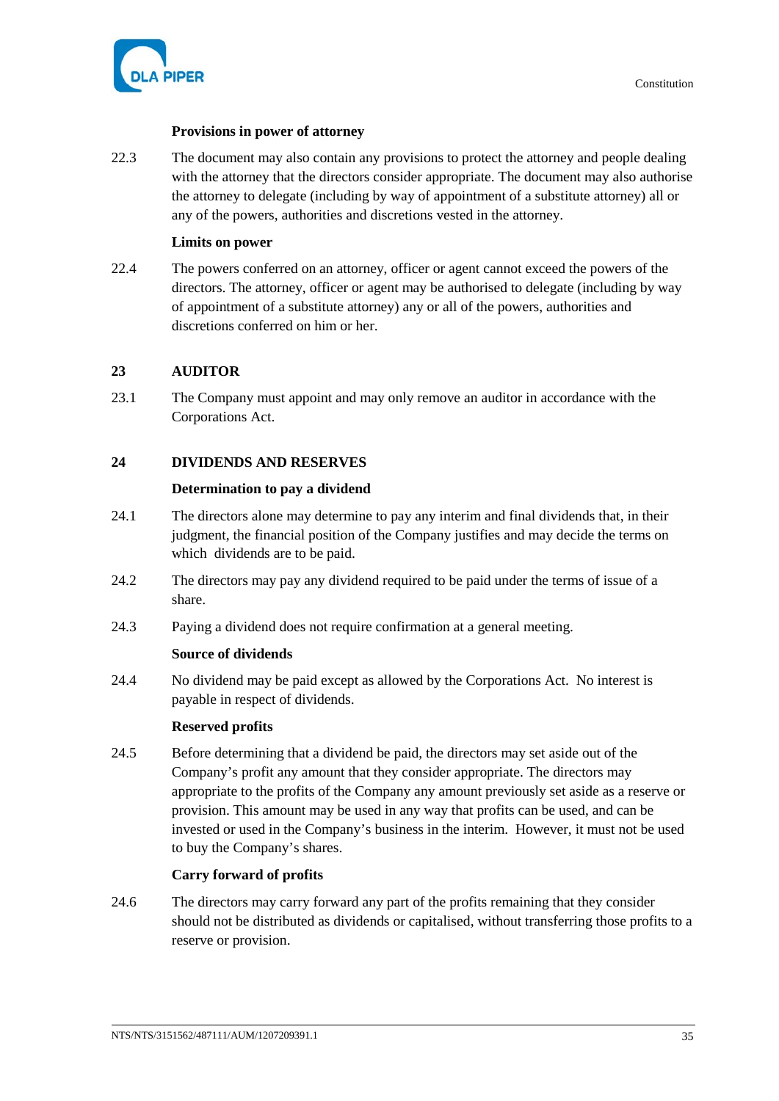

# **Provisions in power of attorney**

22.3 The document may also contain any provisions to protect the attorney and people dealing with the attorney that the directors consider appropriate. The document may also authorise the attorney to delegate (including by way of appointment of a substitute attorney) all or any of the powers, authorities and discretions vested in the attorney.

# **Limits on power**

22.4 The powers conferred on an attorney, officer or agent cannot exceed the powers of the directors. The attorney, officer or agent may be authorised to delegate (including by way of appointment of a substitute attorney) any or all of the powers, authorities and discretions conferred on him or her.

# **23 AUDITOR**

23.1 The Company must appoint and may only remove an auditor in accordance with the Corporations Act.

# <span id="page-40-0"></span>**24 DIVIDENDS AND RESERVES**

# **Determination to pay a dividend**

- 24.1 The directors alone may determine to pay any interim and final dividends that, in their judgment, the financial position of the Company justifies and may decide the terms on which dividends are to be paid.
- 24.2 The directors may pay any dividend required to be paid under the terms of issue of a share.
- 24.3 Paying a dividend does not require confirmation at a general meeting.

# **Source of dividends**

24.4 No dividend may be paid except as allowed by the Corporations Act. No interest is payable in respect of dividends.

# **Reserved profits**

24.5 Before determining that a dividend be paid, the directors may set aside out of the Company's profit any amount that they consider appropriate. The directors may appropriate to the profits of the Company any amount previously set aside as a reserve or provision. This amount may be used in any way that profits can be used, and can be invested or used in the Company's business in the interim. However, it must not be used to buy the Company's shares.

# **Carry forward of profits**

24.6 The directors may carry forward any part of the profits remaining that they consider should not be distributed as dividends or capitalised, without transferring those profits to a reserve or provision.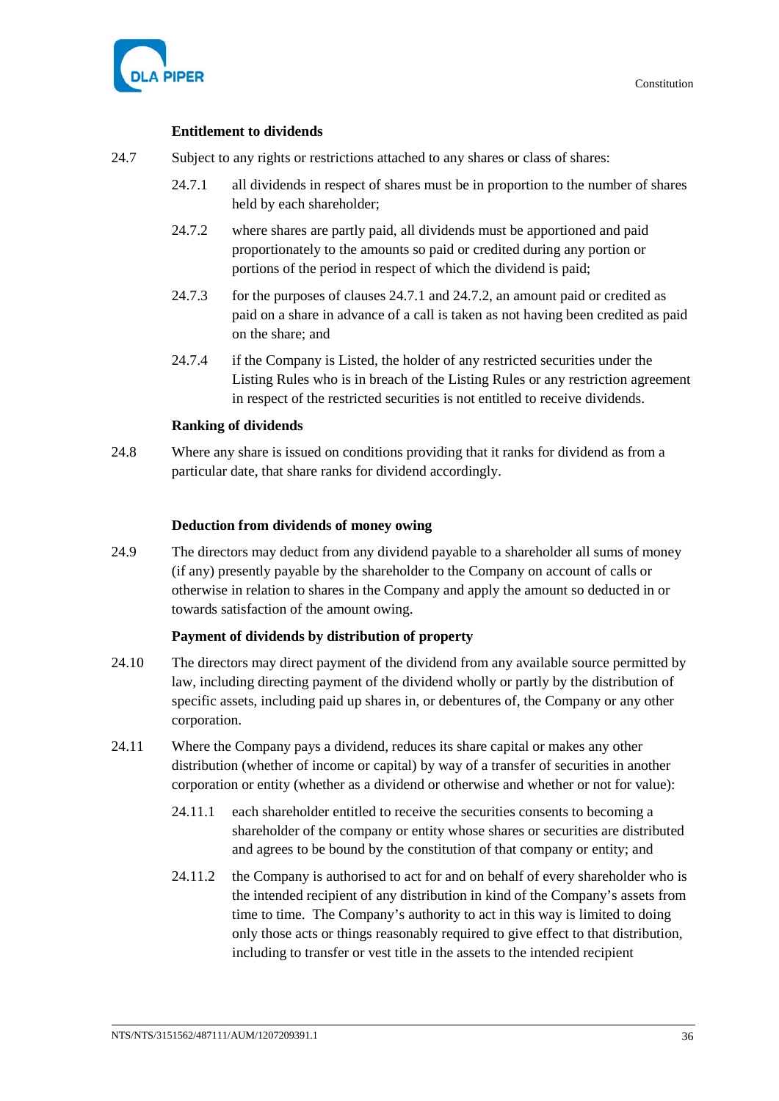

Constitution

# **Entitlement to dividends**

- <span id="page-41-1"></span><span id="page-41-0"></span>24.7 Subject to any rights or restrictions attached to any shares or class of shares:
	- 24.7.1 all dividends in respect of shares must be in proportion to the number of shares held by each shareholder;
	- 24.7.2 where shares are partly paid, all dividends must be apportioned and paid proportionately to the amounts so paid or credited during any portion or portions of the period in respect of which the dividend is paid;
	- 24.7.3 for the purposes of clauses [24.7.1](#page-41-0) and [24.7.2,](#page-41-1) an amount paid or credited as paid on a share in advance of a call is taken as not having been credited as paid on the share; and
	- 24.7.4 if the Company is Listed, the holder of any restricted securities under the Listing Rules who is in breach of the Listing Rules or any restriction agreement in respect of the restricted securities is not entitled to receive dividends.

# **Ranking of dividends**

24.8 Where any share is issued on conditions providing that it ranks for dividend as from a particular date, that share ranks for dividend accordingly.

# **Deduction from dividends of money owing**

24.9 The directors may deduct from any dividend payable to a shareholder all sums of money (if any) presently payable by the shareholder to the Company on account of calls or otherwise in relation to shares in the Company and apply the amount so deducted in or towards satisfaction of the amount owing.

# **Payment of dividends by distribution of property**

- <span id="page-41-2"></span>24.10 The directors may direct payment of the dividend from any available source permitted by law, including directing payment of the dividend wholly or partly by the distribution of specific assets, including paid up shares in, or debentures of, the Company or any other corporation.
- 24.11 Where the Company pays a dividend, reduces its share capital or makes any other distribution (whether of income or capital) by way of a transfer of securities in another corporation or entity (whether as a dividend or otherwise and whether or not for value):
	- 24.11.1 each shareholder entitled to receive the securities consents to becoming a shareholder of the company or entity whose shares or securities are distributed and agrees to be bound by the constitution of that company or entity; and
	- 24.11.2 the Company is authorised to act for and on behalf of every shareholder who is the intended recipient of any distribution in kind of the Company's assets from time to time. The Company's authority to act in this way is limited to doing only those acts or things reasonably required to give effect to that distribution, including to transfer or vest title in the assets to the intended recipient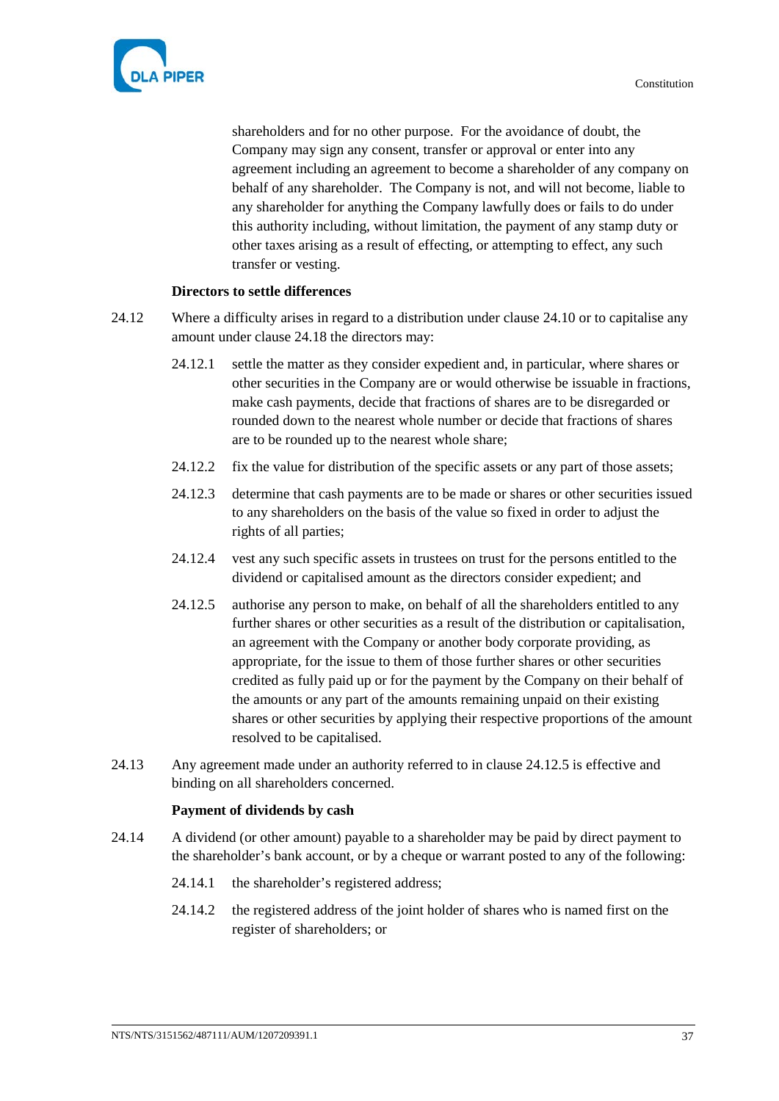

shareholders and for no other purpose. For the avoidance of doubt, the Company may sign any consent, transfer or approval or enter into any agreement including an agreement to become a shareholder of any company on behalf of any shareholder. The Company is not, and will not become, liable to any shareholder for anything the Company lawfully does or fails to do under this authority including, without limitation, the payment of any stamp duty or other taxes arising as a result of effecting, or attempting to effect, any such transfer or vesting.

# **Directors to settle differences**

- <span id="page-42-2"></span>24.12 Where a difficulty arises in regard to a distribution under clause [24.10](#page-41-2) or to capitalise any amount under clause [24.18](#page-43-0) the directors may:
	- 24.12.1 settle the matter as they consider expedient and, in particular, where shares or other securities in the Company are or would otherwise be issuable in fractions, make cash payments, decide that fractions of shares are to be disregarded or rounded down to the nearest whole number or decide that fractions of shares are to be rounded up to the nearest whole share;
	- 24.12.2 fix the value for distribution of the specific assets or any part of those assets;
	- 24.12.3 determine that cash payments are to be made or shares or other securities issued to any shareholders on the basis of the value so fixed in order to adjust the rights of all parties;
	- 24.12.4 vest any such specific assets in trustees on trust for the persons entitled to the dividend or capitalised amount as the directors consider expedient; and
	- 24.12.5 authorise any person to make, on behalf of all the shareholders entitled to any further shares or other securities as a result of the distribution or capitalisation, an agreement with the Company or another body corporate providing, as appropriate, for the issue to them of those further shares or other securities credited as fully paid up or for the payment by the Company on their behalf of the amounts or any part of the amounts remaining unpaid on their existing shares or other securities by applying their respective proportions of the amount resolved to be capitalised.
- <span id="page-42-3"></span><span id="page-42-0"></span>24.13 Any agreement made under an authority referred to in clause [24.12.5](#page-42-0) is effective and binding on all shareholders concerned.

#### **Payment of dividends by cash**

- <span id="page-42-1"></span>24.14 A dividend (or other amount) payable to a shareholder may be paid by direct payment to the shareholder's bank account, or by a cheque or warrant posted to any of the following:
	- 24.14.1 the shareholder's registered address;
	- 24.14.2 the registered address of the joint holder of shares who is named first on the register of shareholders; or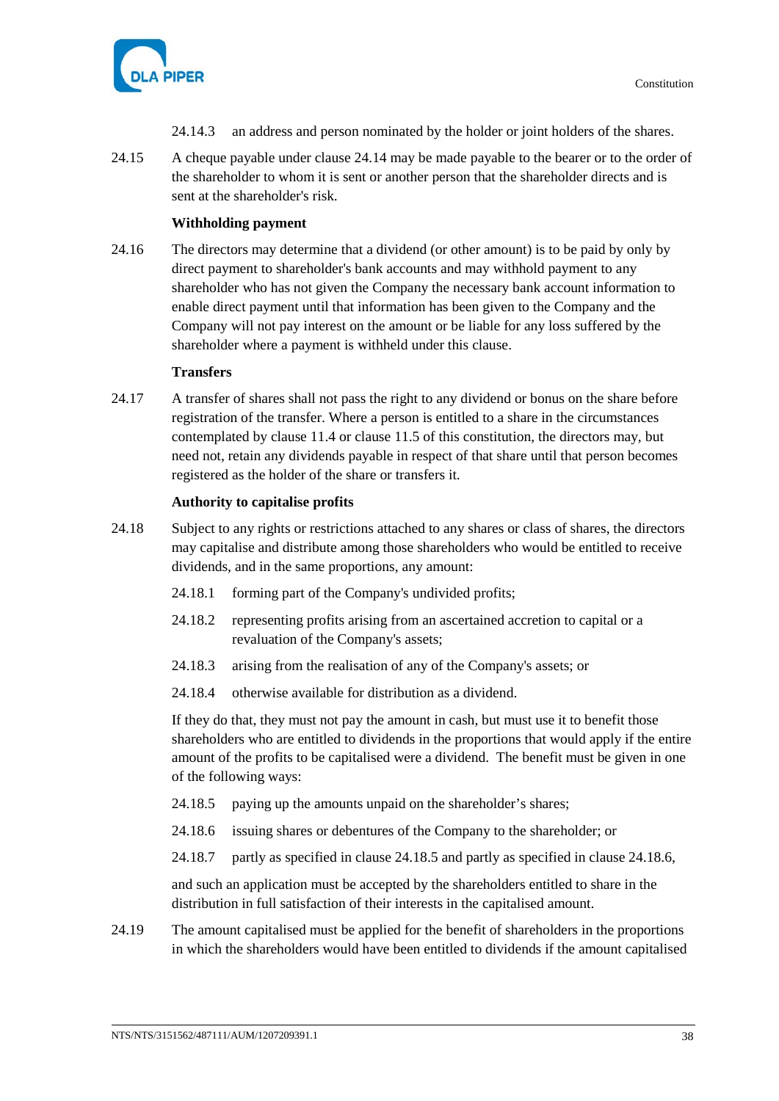

- 24.14.3 an address and person nominated by the holder or joint holders of the shares.
- 24.15 A cheque payable under clause [24.14](#page-42-1) may be made payable to the bearer or to the order of the shareholder to whom it is sent or another person that the shareholder directs and is sent at the shareholder's risk.

### **Withholding payment**

24.16 The directors may determine that a dividend (or other amount) is to be paid by only by direct payment to shareholder's bank accounts and may withhold payment to any shareholder who has not given the Company the necessary bank account information to enable direct payment until that information has been given to the Company and the Company will not pay interest on the amount or be liable for any loss suffered by the shareholder where a payment is withheld under this clause.

#### **Transfers**

24.17 A transfer of shares shall not pass the right to any dividend or bonus on the share before registration of the transfer. Where a person is entitled to a share in the circumstances contemplated by clause [11.4](#page-19-0) or clause [11.5](#page-19-1) of this constitution, the directors may, but need not, retain any dividends payable in respect of that share until that person becomes registered as the holder of the share or transfers it.

#### **Authority to capitalise profits**

- <span id="page-43-0"></span>24.18 Subject to any rights or restrictions attached to any shares or class of shares, the directors may capitalise and distribute among those shareholders who would be entitled to receive dividends, and in the same proportions, any amount:
	- 24.18.1 forming part of the Company's undivided profits;
	- 24.18.2 representing profits arising from an ascertained accretion to capital or a revaluation of the Company's assets;
	- 24.18.3 arising from the realisation of any of the Company's assets; or
	- 24.18.4 otherwise available for distribution as a dividend.

If they do that, they must not pay the amount in cash, but must use it to benefit those shareholders who are entitled to dividends in the proportions that would apply if the entire amount of the profits to be capitalised were a dividend. The benefit must be given in one of the following ways:

- <span id="page-43-1"></span>24.18.5 paying up the amounts unpaid on the shareholder's shares;
- <span id="page-43-2"></span>24.18.6 issuing shares or debentures of the Company to the shareholder; or
- 24.18.7 partly as specified in clause [24.18.5](#page-43-1) and partly as specified in claus[e 24.18.6,](#page-43-2)

and such an application must be accepted by the shareholders entitled to share in the distribution in full satisfaction of their interests in the capitalised amount.

24.19 The amount capitalised must be applied for the benefit of shareholders in the proportions in which the shareholders would have been entitled to dividends if the amount capitalised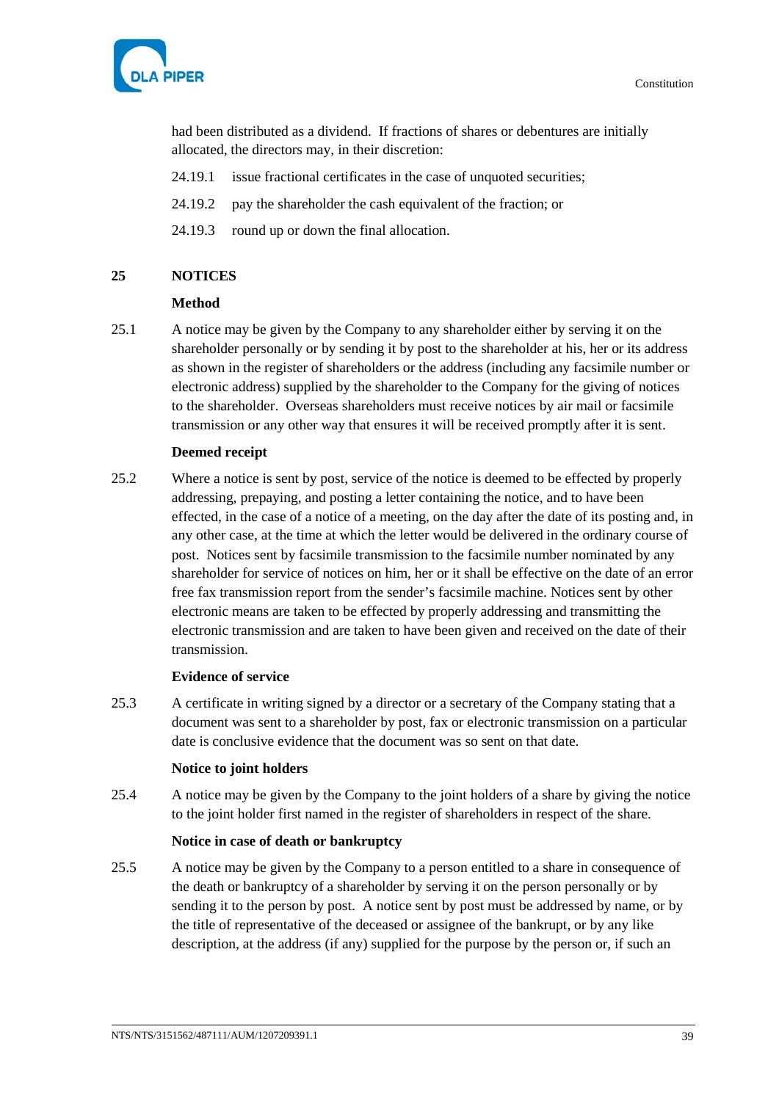Constitution



had been distributed as a dividend. If fractions of shares or debentures are initially allocated, the directors may, in their discretion:

- 24.19.1 issue fractional certificates in the case of unquoted securities;
- 24.19.2 pay the shareholder the cash equivalent of the fraction; or
- 24.19.3 round up or down the final allocation.

#### <span id="page-44-1"></span>**25 NOTICES**

#### **Method**

<span id="page-44-0"></span>25.1 A notice may be given by the Company to any shareholder either by serving it on the shareholder personally or by sending it by post to the shareholder at his, her or its address as shown in the register of shareholders or the address (including any facsimile number or electronic address) supplied by the shareholder to the Company for the giving of notices to the shareholder. Overseas shareholders must receive notices by air mail or facsimile transmission or any other way that ensures it will be received promptly after it is sent.

# **Deemed receipt**

25.2 Where a notice is sent by post, service of the notice is deemed to be effected by properly addressing, prepaying, and posting a letter containing the notice, and to have been effected, in the case of a notice of a meeting, on the day after the date of its posting and, in any other case, at the time at which the letter would be delivered in the ordinary course of post. Notices sent by facsimile transmission to the facsimile number nominated by any shareholder for service of notices on him, her or it shall be effective on the date of an error free fax transmission report from the sender's facsimile machine. Notices sent by other electronic means are taken to be effected by properly addressing and transmitting the electronic transmission and are taken to have been given and received on the date of their transmission.

#### **Evidence of service**

25.3 A certificate in writing signed by a director or a secretary of the Company stating that a document was sent to a shareholder by post, fax or electronic transmission on a particular date is conclusive evidence that the document was so sent on that date.

#### **Notice to joint holders**

25.4 A notice may be given by the Company to the joint holders of a share by giving the notice to the joint holder first named in the register of shareholders in respect of the share.

#### **Notice in case of death or bankruptcy**

25.5 A notice may be given by the Company to a person entitled to a share in consequence of the death or bankruptcy of a shareholder by serving it on the person personally or by sending it to the person by post. A notice sent by post must be addressed by name, or by the title of representative of the deceased or assignee of the bankrupt, or by any like description, at the address (if any) supplied for the purpose by the person or, if such an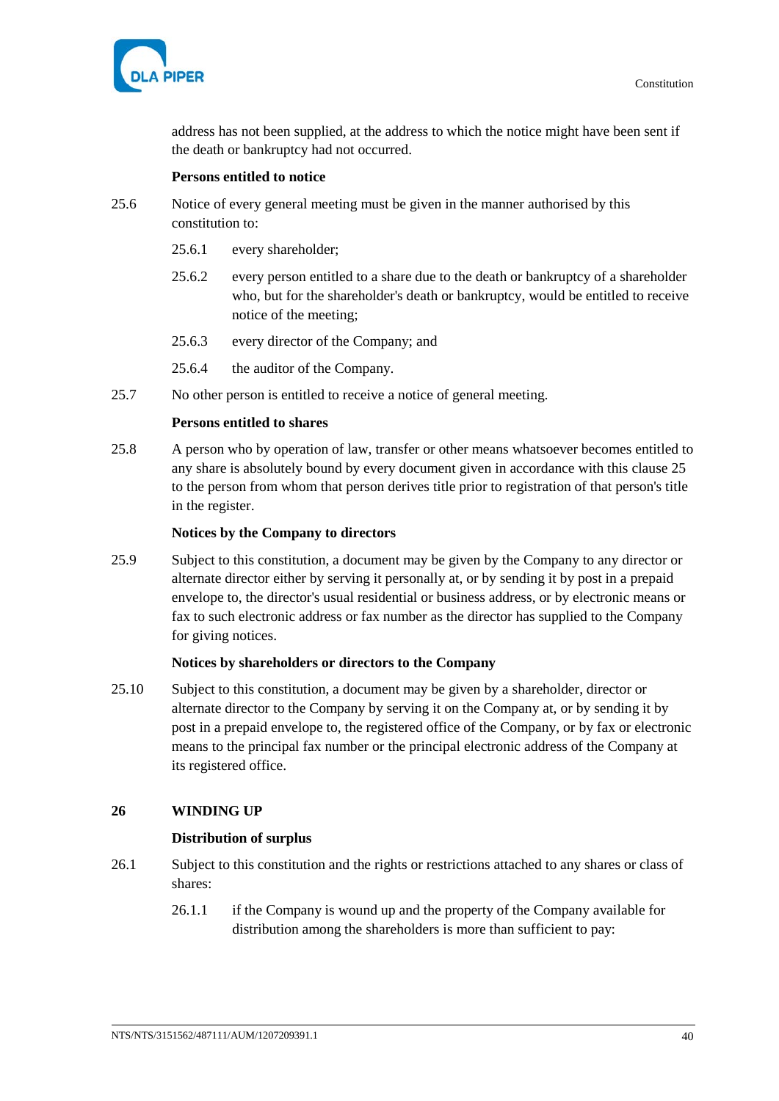

address has not been supplied, at the address to which the notice might have been sent if the death or bankruptcy had not occurred.

### **Persons entitled to notice**

- 25.6 Notice of every general meeting must be given in the manner authorised by this constitution to:
	- 25.6.1 every shareholder;
	- 25.6.2 every person entitled to a share due to the death or bankruptcy of a shareholder who, but for the shareholder's death or bankruptcy, would be entitled to receive notice of the meeting;
	- 25.6.3 every director of the Company; and
	- 25.6.4 the auditor of the Company.
- 25.7 No other person is entitled to receive a notice of general meeting.

# **Persons entitled to shares**

25.8 A person who by operation of law, transfer or other means whatsoever becomes entitled to any share is absolutely bound by every document given in accordance with this clause [25](#page-44-1) to the person from whom that person derives title prior to registration of that person's title in the register.

#### **Notices by the Company to directors**

25.9 Subject to this constitution, a document may be given by the Company to any director or alternate director either by serving it personally at, or by sending it by post in a prepaid envelope to, the director's usual residential or business address, or by electronic means or fax to such electronic address or fax number as the director has supplied to the Company for giving notices.

#### **Notices by shareholders or directors to the Company**

25.10 Subject to this constitution, a document may be given by a shareholder, director or alternate director to the Company by serving it on the Company at, or by sending it by post in a prepaid envelope to, the registered office of the Company, or by fax or electronic means to the principal fax number or the principal electronic address of the Company at its registered office.

# **26 WINDING UP**

#### **Distribution of surplus**

- <span id="page-45-0"></span>26.1 Subject to this constitution and the rights or restrictions attached to any shares or class of shares:
	- 26.1.1 if the Company is wound up and the property of the Company available for distribution among the shareholders is more than sufficient to pay: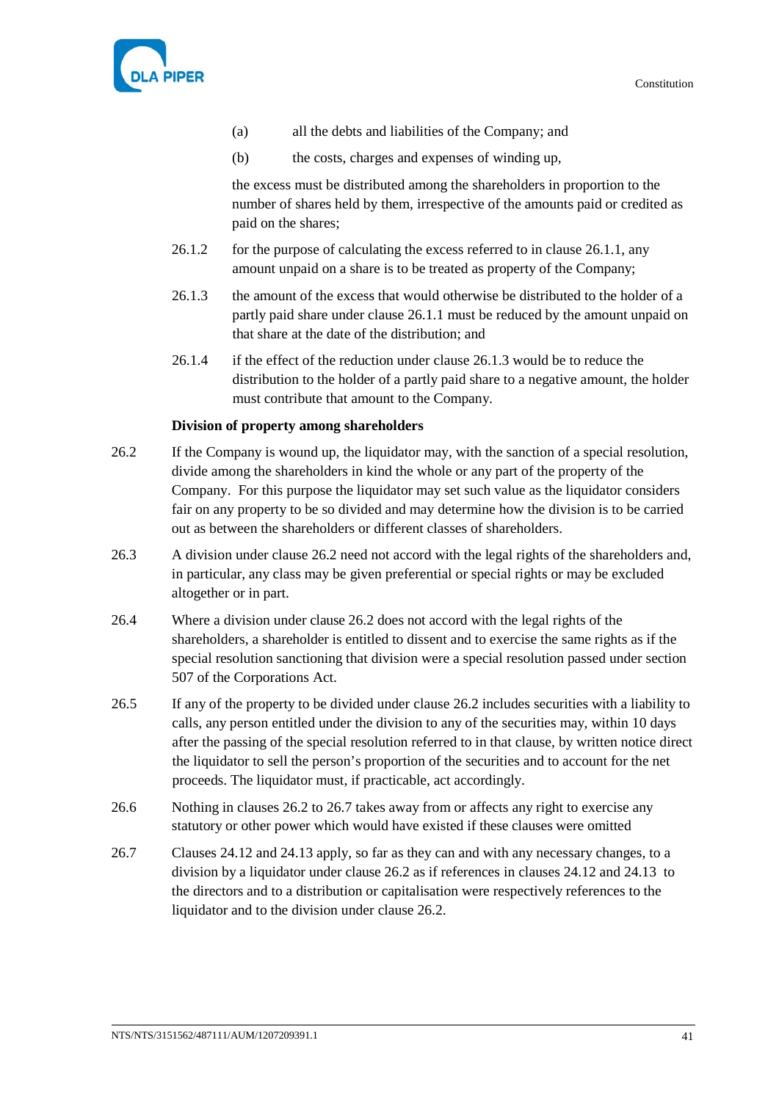

- (a) all the debts and liabilities of the Company; and
- (b) the costs, charges and expenses of winding up,

the excess must be distributed among the shareholders in proportion to the number of shares held by them, irrespective of the amounts paid or credited as paid on the shares;

- 26.1.2 for the purpose of calculating the excess referred to in clause [26.1.1,](#page-45-0) any amount unpaid on a share is to be treated as property of the Company;
- <span id="page-46-0"></span>26.1.3 the amount of the excess that would otherwise be distributed to the holder of a partly paid share under clause [26.1.1](#page-45-0) must be reduced by the amount unpaid on that share at the date of the distribution; and
- 26.1.4 if the effect of the reduction under claus[e 26.1.3](#page-46-0) would be to reduce the distribution to the holder of a partly paid share to a negative amount, the holder must contribute that amount to the Company.

#### **Division of property among shareholders**

- <span id="page-46-1"></span>26.2 If the Company is wound up, the liquidator may, with the sanction of a special resolution, divide among the shareholders in kind the whole or any part of the property of the Company. For this purpose the liquidator may set such value as the liquidator considers fair on any property to be so divided and may determine how the division is to be carried out as between the shareholders or different classes of shareholders.
- 26.3 A division under clause [26.2](#page-46-1) need not accord with the legal rights of the shareholders and, in particular, any class may be given preferential or special rights or may be excluded altogether or in part.
- 26.4 Where a division under clause [26.2](#page-46-1) does not accord with the legal rights of the shareholders, a shareholder is entitled to dissent and to exercise the same rights as if the special resolution sanctioning that division were a special resolution passed under section 507 of the Corporations Act.
- 26.5 If any of the property to be divided under clause [26.2](#page-46-1) includes securities with a liability to calls, any person entitled under the division to any of the securities may, within 10 days after the passing of the special resolution referred to in that clause, by written notice direct the liquidator to sell the person's proportion of the securities and to account for the net proceeds. The liquidator must, if practicable, act accordingly.
- 26.6 Nothing in clauses [26.2](#page-46-1) to [26.7](#page-46-2) takes away from or affects any right to exercise any statutory or other power which would have existed if these clauses were omitted
- <span id="page-46-2"></span>26.7 Clauses [24.12](#page-42-2) and [24.13](#page-42-3) apply, so far as they can and with any necessary changes, to a division by a liquidator under clause [26.2](#page-46-1) as if references in clauses [24.12](#page-42-2) and [24.13](#page-42-3) to the directors and to a distribution or capitalisation were respectively references to the liquidator and to the division under clause [26.2.](#page-46-1)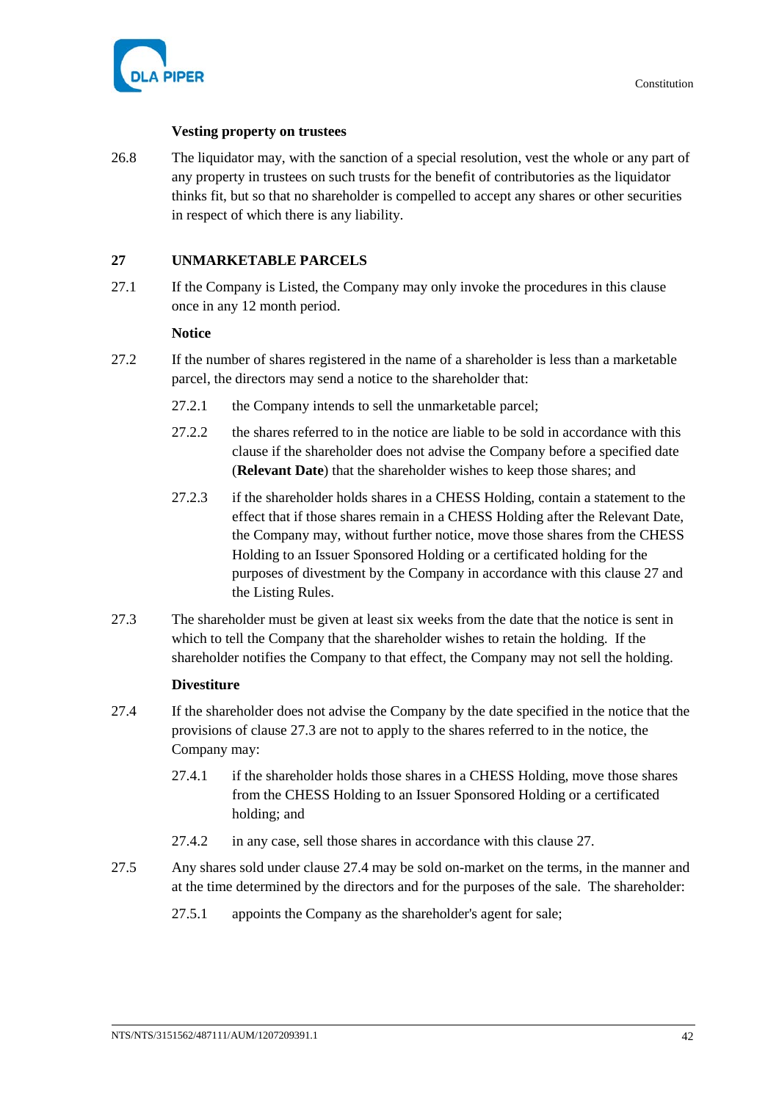

# **Vesting property on trustees**

26.8 The liquidator may, with the sanction of a special resolution, vest the whole or any part of any property in trustees on such trusts for the benefit of contributories as the liquidator thinks fit, but so that no shareholder is compelled to accept any shares or other securities in respect of which there is any liability.

# <span id="page-47-0"></span>**27 UNMARKETABLE PARCELS**

27.1 If the Company is Listed, the Company may only invoke the procedures in this clause once in any 12 month period.

# **Notice**

- 27.2 If the number of shares registered in the name of a shareholder is less than a marketable parcel, the directors may send a notice to the shareholder that:
	- 27.2.1 the Company intends to sell the unmarketable parcel;
	- 27.2.2 the shares referred to in the notice are liable to be sold in accordance with this clause if the shareholder does not advise the Company before a specified date (**Relevant Date**) that the shareholder wishes to keep those shares; and
	- 27.2.3 if the shareholder holds shares in a CHESS Holding, contain a statement to the effect that if those shares remain in a CHESS Holding after the Relevant Date, the Company may, without further notice, move those shares from the CHESS Holding to an Issuer Sponsored Holding or a certificated holding for the purposes of divestment by the Company in accordance with this clause [27](#page-47-0) and the Listing Rules.
- <span id="page-47-1"></span>27.3 The shareholder must be given at least six weeks from the date that the notice is sent in which to tell the Company that the shareholder wishes to retain the holding. If the shareholder notifies the Company to that effect, the Company may not sell the holding.

# **Divestiture**

- <span id="page-47-2"></span>27.4 If the shareholder does not advise the Company by the date specified in the notice that the provisions of clause [27.3](#page-47-1) are not to apply to the shares referred to in the notice, the Company may:
	- 27.4.1 if the shareholder holds those shares in a CHESS Holding, move those shares from the CHESS Holding to an Issuer Sponsored Holding or a certificated holding; and
	- 27.4.2 in any case, sell those shares in accordance with this claus[e 27.](#page-47-0)
- 27.5 Any shares sold under clause [27.4](#page-47-2) may be sold on-market on the terms, in the manner and at the time determined by the directors and for the purposes of the sale. The shareholder:
	- 27.5.1 appoints the Company as the shareholder's agent for sale;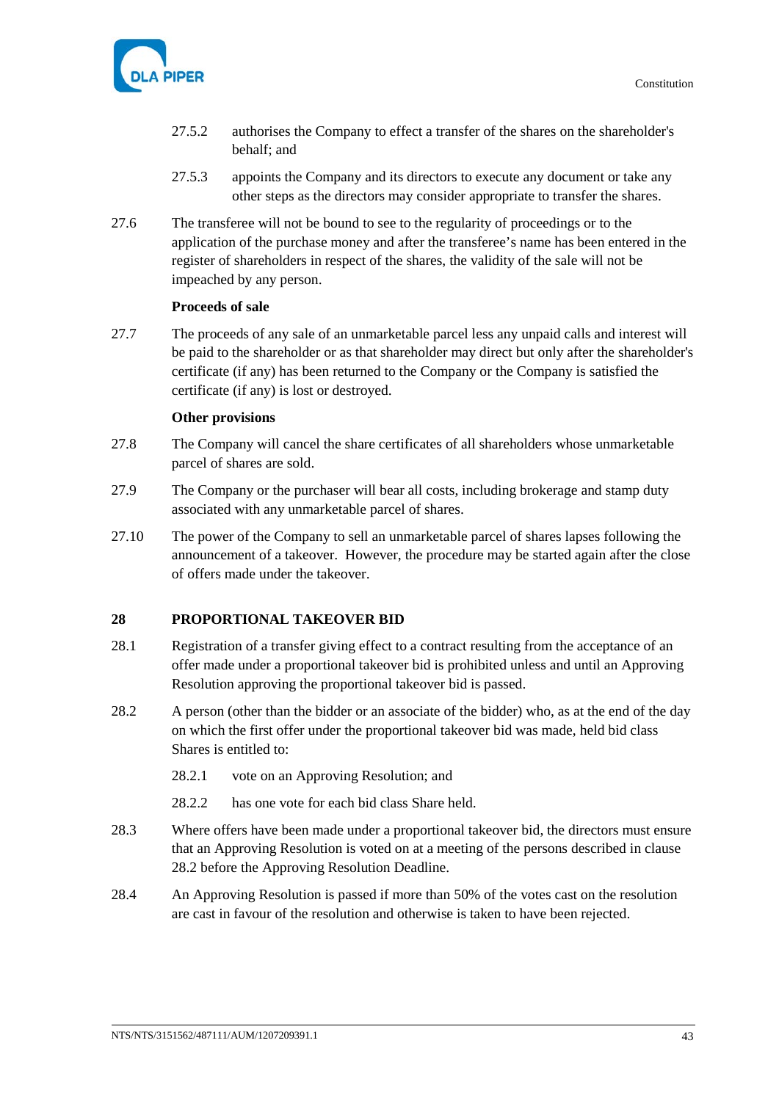

- 27.5.2 authorises the Company to effect a transfer of the shares on the shareholder's behalf; and
- 27.5.3 appoints the Company and its directors to execute any document or take any other steps as the directors may consider appropriate to transfer the shares.
- 27.6 The transferee will not be bound to see to the regularity of proceedings or to the application of the purchase money and after the transferee's name has been entered in the register of shareholders in respect of the shares, the validity of the sale will not be impeached by any person.

# **Proceeds of sale**

27.7 The proceeds of any sale of an unmarketable parcel less any unpaid calls and interest will be paid to the shareholder or as that shareholder may direct but only after the shareholder's certificate (if any) has been returned to the Company or the Company is satisfied the certificate (if any) is lost or destroyed.

#### **Other provisions**

- 27.8 The Company will cancel the share certificates of all shareholders whose unmarketable parcel of shares are sold.
- 27.9 The Company or the purchaser will bear all costs, including brokerage and stamp duty associated with any unmarketable parcel of shares.
- 27.10 The power of the Company to sell an unmarketable parcel of shares lapses following the announcement of a takeover. However, the procedure may be started again after the close of offers made under the takeover.

# <span id="page-48-1"></span>**28 PROPORTIONAL TAKEOVER BID**

- 28.1 Registration of a transfer giving effect to a contract resulting from the acceptance of an offer made under a proportional takeover bid is prohibited unless and until an Approving Resolution approving the proportional takeover bid is passed.
- <span id="page-48-0"></span>28.2 A person (other than the bidder or an associate of the bidder) who, as at the end of the day on which the first offer under the proportional takeover bid was made, held bid class Shares is entitled to:
	- 28.2.1 vote on an Approving Resolution; and
	- 28.2.2 has one vote for each bid class Share held.
- 28.3 Where offers have been made under a proportional takeover bid, the directors must ensure that an Approving Resolution is voted on at a meeting of the persons described in clause [28.2](#page-48-0) before the Approving Resolution Deadline.
- 28.4 An Approving Resolution is passed if more than 50% of the votes cast on the resolution are cast in favour of the resolution and otherwise is taken to have been rejected.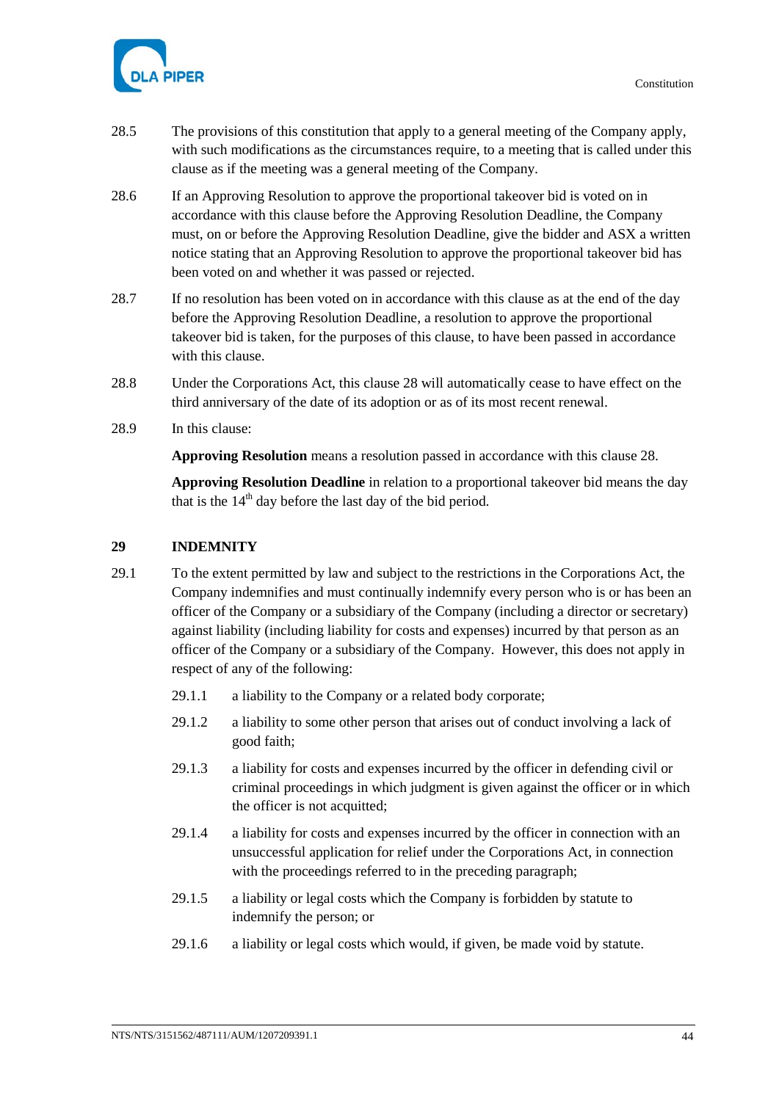

- 28.5 The provisions of this constitution that apply to a general meeting of the Company apply, with such modifications as the circumstances require, to a meeting that is called under this clause as if the meeting was a general meeting of the Company.
- 28.6 If an Approving Resolution to approve the proportional takeover bid is voted on in accordance with this clause before the Approving Resolution Deadline, the Company must, on or before the Approving Resolution Deadline, give the bidder and ASX a written notice stating that an Approving Resolution to approve the proportional takeover bid has been voted on and whether it was passed or rejected.
- 28.7 If no resolution has been voted on in accordance with this clause as at the end of the day before the Approving Resolution Deadline, a resolution to approve the proportional takeover bid is taken, for the purposes of this clause, to have been passed in accordance with this clause.
- 28.8 Under the Corporations Act, this clause [28](#page-48-1) will automatically cease to have effect on the third anniversary of the date of its adoption or as of its most recent renewal.
- 28.9 In this clause:

**Approving Resolution** means a resolution passed in accordance with this claus[e 28.](#page-48-1)

**Approving Resolution Deadline** in relation to a proportional takeover bid means the day that is the  $14<sup>th</sup>$  day before the last day of the bid period.

# **29 INDEMNITY**

- <span id="page-49-0"></span>29.1 To the extent permitted by law and subject to the restrictions in the Corporations Act, the Company indemnifies and must continually indemnify every person who is or has been an officer of the Company or a subsidiary of the Company (including a director or secretary) against liability (including liability for costs and expenses) incurred by that person as an officer of the Company or a subsidiary of the Company. However, this does not apply in respect of any of the following:
	- 29.1.1 a liability to the Company or a related body corporate;
	- 29.1.2 a liability to some other person that arises out of conduct involving a lack of good faith;
	- 29.1.3 a liability for costs and expenses incurred by the officer in defending civil or criminal proceedings in which judgment is given against the officer or in which the officer is not acquitted;
	- 29.1.4 a liability for costs and expenses incurred by the officer in connection with an unsuccessful application for relief under the Corporations Act, in connection with the proceedings referred to in the preceding paragraph;
	- 29.1.5 a liability or legal costs which the Company is forbidden by statute to indemnify the person; or
	- 29.1.6 a liability or legal costs which would, if given, be made void by statute.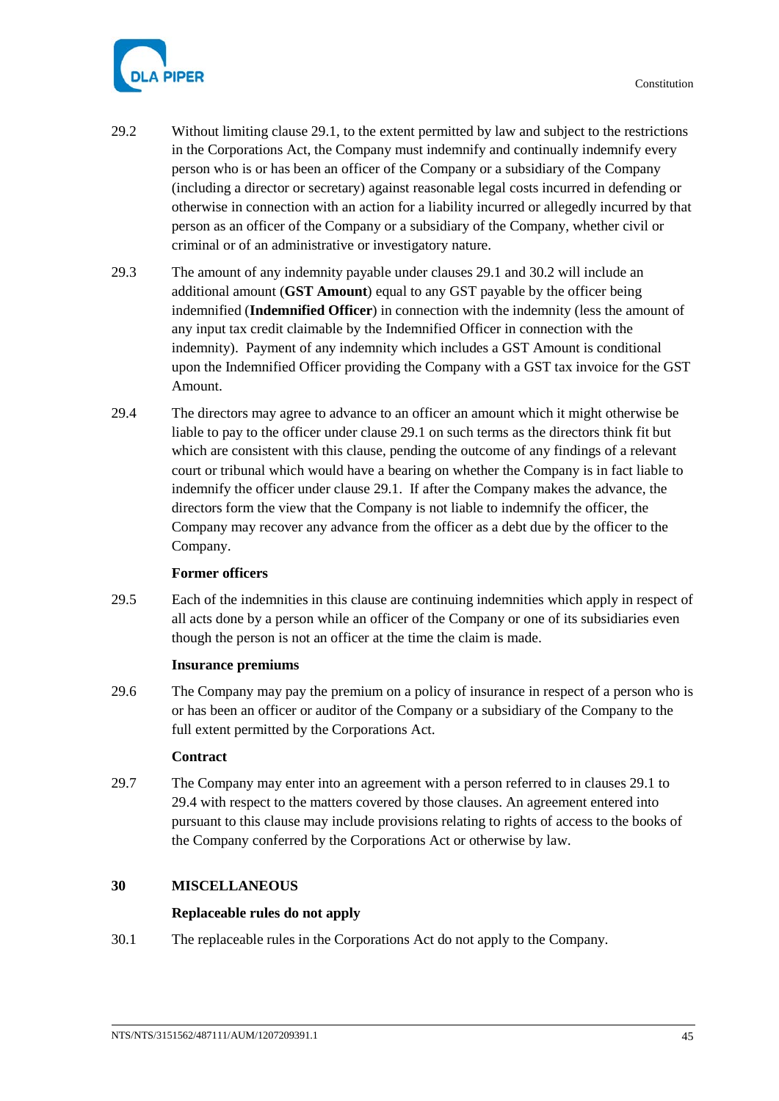

- 29.2 Without limiting clause [29.1,](#page-49-0) to the extent permitted by law and subject to the restrictions in the Corporations Act, the Company must indemnify and continually indemnify every person who is or has been an officer of the Company or a subsidiary of the Company (including a director or secretary) against reasonable legal costs incurred in defending or otherwise in connection with an action for a liability incurred or allegedly incurred by that person as an officer of the Company or a subsidiary of the Company, whether civil or criminal or of an administrative or investigatory nature.
- 29.3 The amount of any indemnity payable under clauses [29.1](#page-49-0) and 30.2 will include an additional amount (**GST Amount**) equal to any GST payable by the officer being indemnified (**Indemnified Officer**) in connection with the indemnity (less the amount of any input tax credit claimable by the Indemnified Officer in connection with the indemnity). Payment of any indemnity which includes a GST Amount is conditional upon the Indemnified Officer providing the Company with a GST tax invoice for the GST Amount.
- <span id="page-50-0"></span>29.4 The directors may agree to advance to an officer an amount which it might otherwise be liable to pay to the officer under clause [29.1](#page-49-0) on such terms as the directors think fit but which are consistent with this clause, pending the outcome of any findings of a relevant court or tribunal which would have a bearing on whether the Company is in fact liable to indemnify the officer under clause [29.1.](#page-49-0) If after the Company makes the advance, the directors form the view that the Company is not liable to indemnify the officer, the Company may recover any advance from the officer as a debt due by the officer to the Company.

# **Former officers**

29.5 Each of the indemnities in this clause are continuing indemnities which apply in respect of all acts done by a person while an officer of the Company or one of its subsidiaries even though the person is not an officer at the time the claim is made.

# **Insurance premiums**

29.6 The Company may pay the premium on a policy of insurance in respect of a person who is or has been an officer or auditor of the Company or a subsidiary of the Company to the full extent permitted by the Corporations Act.

# **Contract**

29.7 The Company may enter into an agreement with a person referred to in clauses [29.1](#page-49-0) to [29.4](#page-50-0) with respect to the matters covered by those clauses. An agreement entered into pursuant to this clause may include provisions relating to rights of access to the books of the Company conferred by the Corporations Act or otherwise by law.

# **30 MISCELLANEOUS**

# **Replaceable rules do not apply**

30.1 The replaceable rules in the Corporations Act do not apply to the Company.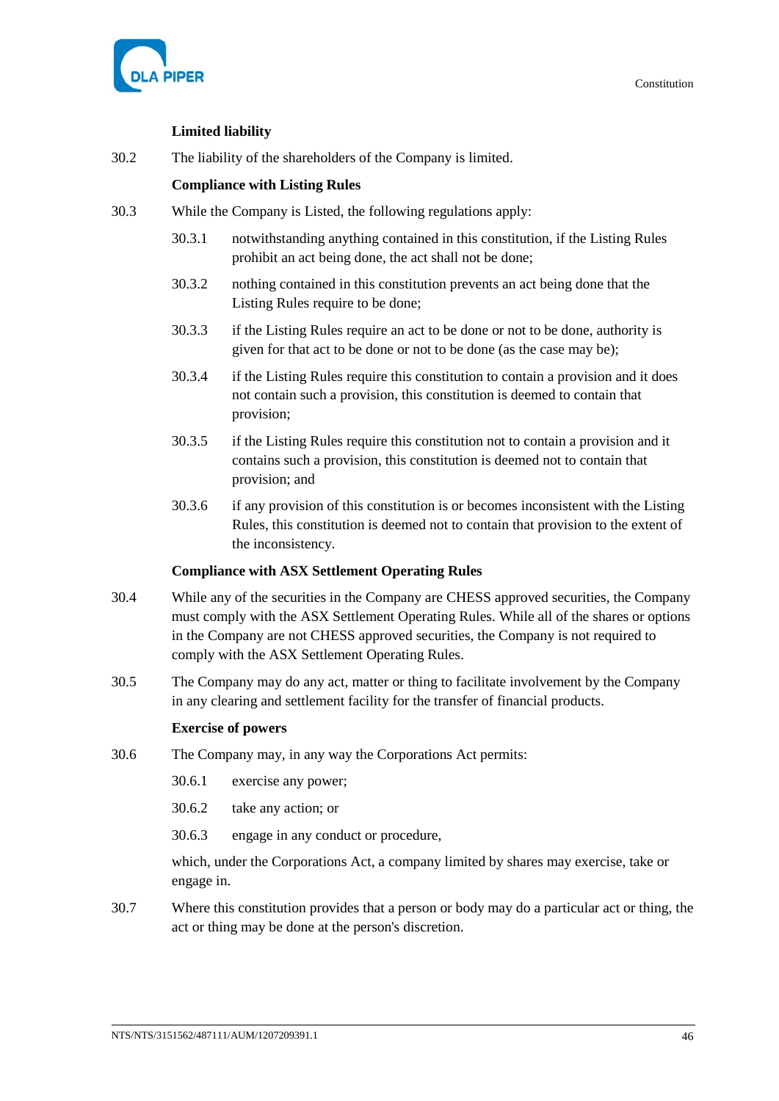

# **Limited liability**

30.2 The liability of the shareholders of the Company is limited.

# **Compliance with Listing Rules**

- <span id="page-51-0"></span>30.3 While the Company is Listed, the following regulations apply:
	- 30.3.1 notwithstanding anything contained in this constitution, if the Listing Rules prohibit an act being done, the act shall not be done;
	- 30.3.2 nothing contained in this constitution prevents an act being done that the Listing Rules require to be done;
	- 30.3.3 if the Listing Rules require an act to be done or not to be done, authority is given for that act to be done or not to be done (as the case may be);
	- 30.3.4 if the Listing Rules require this constitution to contain a provision and it does not contain such a provision, this constitution is deemed to contain that provision;
	- 30.3.5 if the Listing Rules require this constitution not to contain a provision and it contains such a provision, this constitution is deemed not to contain that provision; and
	- 30.3.6 if any provision of this constitution is or becomes inconsistent with the Listing Rules, this constitution is deemed not to contain that provision to the extent of the inconsistency.

# **Compliance with ASX Settlement Operating Rules**

- 30.4 While any of the securities in the Company are CHESS approved securities, the Company must comply with the ASX Settlement Operating Rules. While all of the shares or options in the Company are not CHESS approved securities, the Company is not required to comply with the ASX Settlement Operating Rules.
- 30.5 The Company may do any act, matter or thing to facilitate involvement by the Company in any clearing and settlement facility for the transfer of financial products.

# **Exercise of powers**

- 30.6 The Company may, in any way the Corporations Act permits:
	- 30.6.1 exercise any power;
	- 30.6.2 take any action; or
	- 30.6.3 engage in any conduct or procedure,

which, under the Corporations Act, a company limited by shares may exercise, take or engage in.

30.7 Where this constitution provides that a person or body may do a particular act or thing, the act or thing may be done at the person's discretion.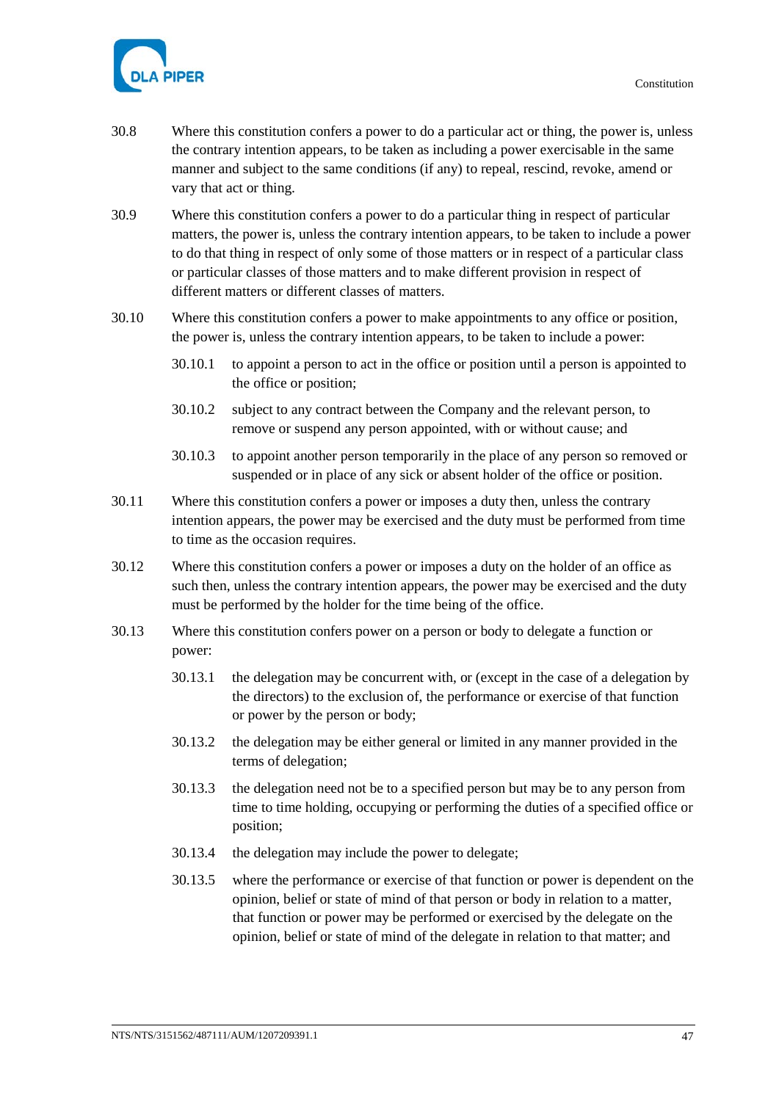

- 30.8 Where this constitution confers a power to do a particular act or thing, the power is, unless the contrary intention appears, to be taken as including a power exercisable in the same manner and subject to the same conditions (if any) to repeal, rescind, revoke, amend or vary that act or thing.
- 30.9 Where this constitution confers a power to do a particular thing in respect of particular matters, the power is, unless the contrary intention appears, to be taken to include a power to do that thing in respect of only some of those matters or in respect of a particular class or particular classes of those matters and to make different provision in respect of different matters or different classes of matters.
- 30.10 Where this constitution confers a power to make appointments to any office or position, the power is, unless the contrary intention appears, to be taken to include a power:
	- 30.10.1 to appoint a person to act in the office or position until a person is appointed to the office or position;
	- 30.10.2 subject to any contract between the Company and the relevant person, to remove or suspend any person appointed, with or without cause; and
	- 30.10.3 to appoint another person temporarily in the place of any person so removed or suspended or in place of any sick or absent holder of the office or position.
- 30.11 Where this constitution confers a power or imposes a duty then, unless the contrary intention appears, the power may be exercised and the duty must be performed from time to time as the occasion requires.
- 30.12 Where this constitution confers a power or imposes a duty on the holder of an office as such then, unless the contrary intention appears, the power may be exercised and the duty must be performed by the holder for the time being of the office.
- 30.13 Where this constitution confers power on a person or body to delegate a function or power:
	- 30.13.1 the delegation may be concurrent with, or (except in the case of a delegation by the directors) to the exclusion of, the performance or exercise of that function or power by the person or body;
	- 30.13.2 the delegation may be either general or limited in any manner provided in the terms of delegation;
	- 30.13.3 the delegation need not be to a specified person but may be to any person from time to time holding, occupying or performing the duties of a specified office or position;
	- 30.13.4 the delegation may include the power to delegate;
	- 30.13.5 where the performance or exercise of that function or power is dependent on the opinion, belief or state of mind of that person or body in relation to a matter, that function or power may be performed or exercised by the delegate on the opinion, belief or state of mind of the delegate in relation to that matter; and